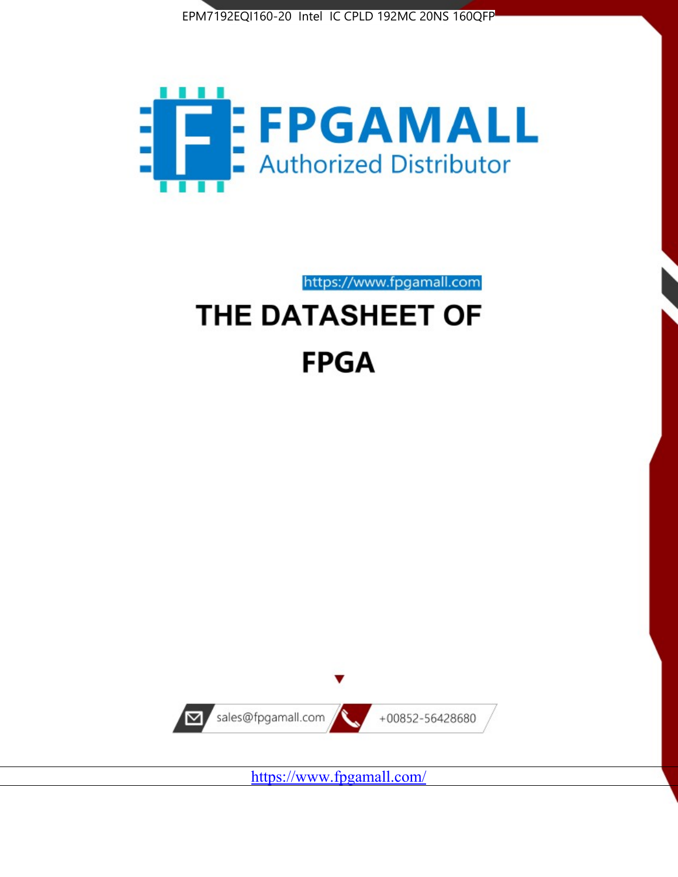



https://www.fpgamall.com

# THE DATASHEET OF **FPGA**



<https://www.fpgamall.com/>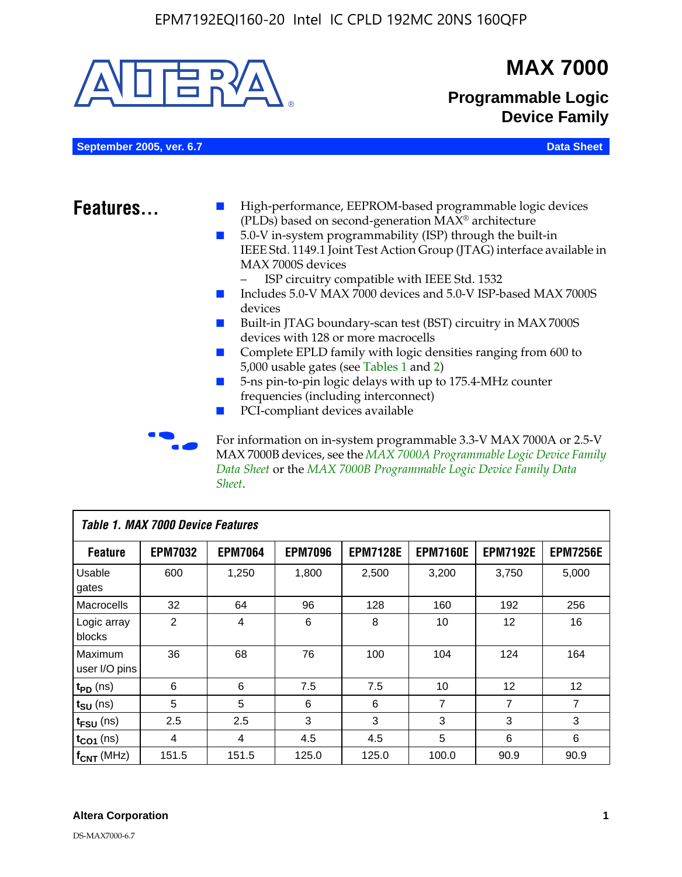

MAX 7000B devices, see the *MAX 7000A Programmable Logic Device Family Data Sheet* or the *MAX 7000B Programmable Logic Device Family Data Sheet*.

| <b>Table 1. MAX 7000 Device Features</b> |                |                |                |                 |                 |                 |                 |  |
|------------------------------------------|----------------|----------------|----------------|-----------------|-----------------|-----------------|-----------------|--|
| <b>Feature</b>                           | <b>EPM7032</b> | <b>EPM7064</b> | <b>EPM7096</b> | <b>EPM7128E</b> | <b>EPM7160E</b> | <b>EPM7192E</b> | <b>EPM7256E</b> |  |
| Usable<br>gates                          | 600            | 1,250          | 1,800          | 2,500           | 3,200           | 3,750           | 5,000           |  |
| Macrocells                               | 32             | 64             | 96             | 128             | 160             | 192             | 256             |  |
| Logic array<br>blocks                    | 2              | 4              | 6              | 8               | 10              | 12              | 16              |  |
| Maximum<br>user I/O pins                 | 36             | 68             | 76             | 100             | 104             | 124             | 164             |  |
| $t_{PD}$ (ns)                            | 6              | 6              | 7.5            | 7.5             | 10              | 12              | 12              |  |
| $t_{\text{SU}}$ (ns)                     | 5              | 5              | 6              | 6               | 7               | 7               | 7               |  |
| $t_{\text{FSU}}$ (ns)                    | 2.5            | 2.5            | 3              | 3               | 3               | 3               | 3               |  |
| $t_{CO1}$ (ns)                           | 4              | 4              | 4.5            | 4.5             | 5               | 6               | 6               |  |
| $f_{CNT}$ (MHz)                          | 151.5          | 151.5          | 125.0          | 125.0           | 100.0           | 90.9            | 90.9            |  |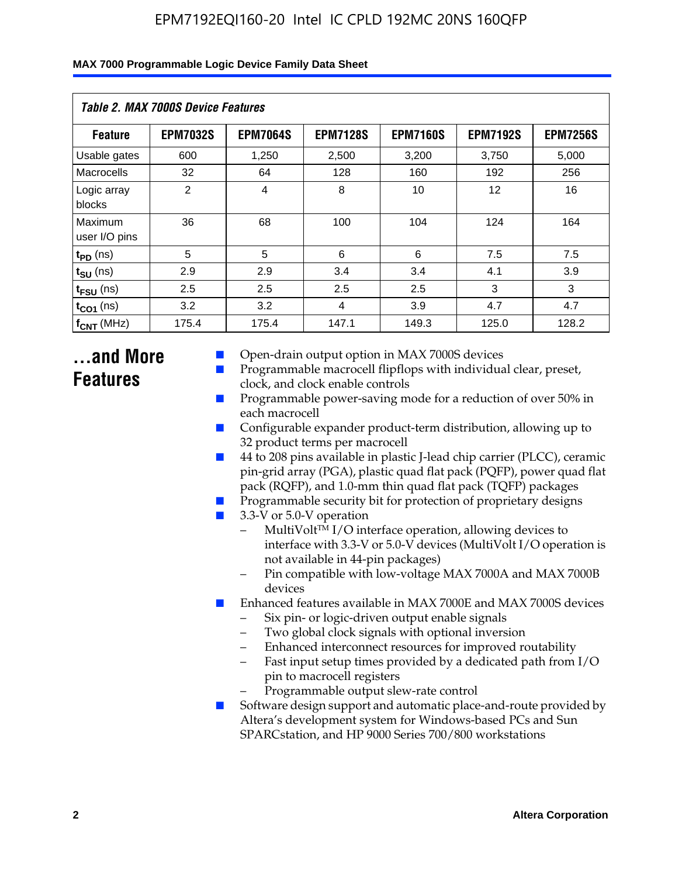| Table 2. MAX 7000S Device Features |                 |                 |                 |                 |                   |                 |  |
|------------------------------------|-----------------|-----------------|-----------------|-----------------|-------------------|-----------------|--|
| <b>Feature</b>                     | <b>EPM7032S</b> | <b>EPM7064S</b> | <b>EPM7128S</b> | <b>EPM7160S</b> | <b>EPM7192S</b>   | <b>EPM7256S</b> |  |
| Usable gates                       | 600             | 1,250           | 2,500           | 3,200           | 3,750             | 5,000           |  |
| Macrocells                         | 32              | 64              | 128             | 160             | 192               | 256             |  |
| Logic array<br>blocks              | $\overline{2}$  | 4               | 8               | 10              | $12 \overline{ }$ | 16              |  |
| Maximum<br>user I/O pins           | 36              | 68              | 100             | 104             | 124               | 164             |  |
| $t_{PD}$ (ns)                      | 5               | 5               | 6               | 6               | 7.5               | 7.5             |  |
| $t_{SU}$ (ns)                      | 2.9             | 2.9             | 3.4             | 3.4             | 4.1               | 3.9             |  |
| $t_{\text{FSU}}$ (ns)              | 2.5             | 2.5             | 2.5             | 2.5             | 3                 | 3               |  |
| $t_{CO1}$ (ns)                     | 3.2             | 3.2             | 4               | 3.9             | 4.7               | 4.7             |  |
| $f_{\text{CNT}}$ (MHz)             | 175.4           | 175.4           | 147.1           | 149.3           | 125.0             | 128.2           |  |

## **...and More Features**

- Open-drain output option in MAX 7000S devices
- Programmable macrocell flipflops with individual clear, preset, clock, and clock enable controls
- Programmable power-saving mode for a reduction of over 50% in each macrocell
- Configurable expander product-term distribution, allowing up to 32 product terms per macrocell
- 44 to 208 pins available in plastic J-lead chip carrier (PLCC), ceramic pin-grid array (PGA), plastic quad flat pack (PQFP), power quad flat pack (RQFP), and 1.0-mm thin quad flat pack (TQFP) packages
- Programmable security bit for protection of proprietary designs
- 3.3-V or 5.0-V operation
	- MultiVolt<sup>TM</sup> I/O interface operation, allowing devices to interface with 3.3-V or 5.0-V devices (MultiVolt I/O operation is not available in 44-pin packages)
	- Pin compatible with low-voltage MAX 7000A and MAX 7000B devices
- Enhanced features available in MAX 7000E and MAX 7000S devices
	- Six pin- or logic-driven output enable signals
	- Two global clock signals with optional inversion
	- Enhanced interconnect resources for improved routability
	- Fast input setup times provided by a dedicated path from I/O pin to macrocell registers
	- Programmable output slew-rate control
- Software design support and automatic place-and-route provided by Altera's development system for Windows-based PCs and Sun SPARCstation, and HP 9000 Series 700/800 workstations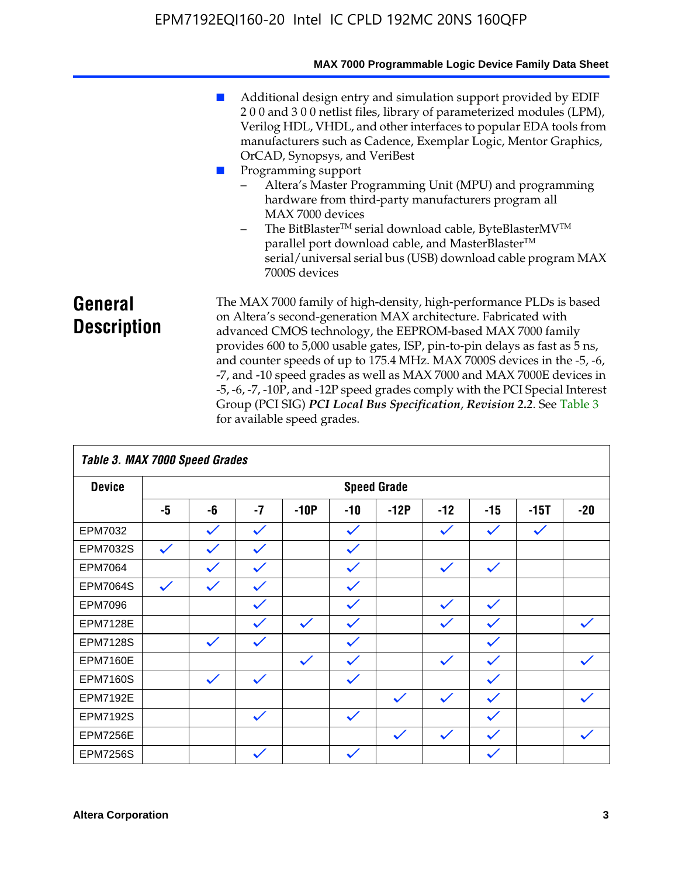|                               | MAX 7000 Programmable Logic Device Family Data Sheet                                                                                                                                                                                                                                                                                                                                                                                                                                                                                                                                                                                                                            |
|-------------------------------|---------------------------------------------------------------------------------------------------------------------------------------------------------------------------------------------------------------------------------------------------------------------------------------------------------------------------------------------------------------------------------------------------------------------------------------------------------------------------------------------------------------------------------------------------------------------------------------------------------------------------------------------------------------------------------|
|                               | Additional design entry and simulation support provided by EDIF<br>200 and 300 netlist files, library of parameterized modules (LPM),<br>Verilog HDL, VHDL, and other interfaces to popular EDA tools from<br>manufacturers such as Cadence, Exemplar Logic, Mentor Graphics,<br>OrCAD, Synopsys, and VeriBest<br>Programming support<br>Altera's Master Programming Unit (MPU) and programming<br>hardware from third-party manufacturers program all<br>MAX 7000 devices<br>The BitBlaster™ serial download cable, ByteBlasterMV™<br>$-$<br>parallel port download cable, and MasterBlaster™<br>serial/universal serial bus (USB) download cable program MAX<br>7000S devices |
| General<br><b>Description</b> | The MAX 7000 family of high-density, high-performance PLDs is based<br>on Altera's second-generation MAX architecture. Fabricated with<br>advanced CMOS technology, the EEPROM-based MAX 7000 family<br>provides 600 to 5,000 usable gates, ISP, pin-to-pin delays as fast as 5 ns,<br>and counter speeds of up to 175.4 MHz. MAX 7000S devices in the -5, -6,<br>-7, and -10 speed grades as well as MAX 7000 and MAX 7000E devices in<br>-5, -6, -7, -10P, and -12P speed grades comply with the PCI Special Interest<br>Group (PCI SIG) PCI Local Bus Specification, Revision 2.2. See Table 3                                                                               |

|                 | Table 3. MAX 7000 Speed Grades |              |              |              |              |                    |              |              |              |              |
|-----------------|--------------------------------|--------------|--------------|--------------|--------------|--------------------|--------------|--------------|--------------|--------------|
| <b>Device</b>   |                                |              |              |              |              | <b>Speed Grade</b> |              |              |              |              |
|                 | -5                             | -6           | $-7$         | $-10P$       | $-10$        | $-12P$             | $-12$        | $-15$        | $-15T$       | $-20$        |
| EPM7032         |                                | $\checkmark$ | $\checkmark$ |              | $\checkmark$ |                    | $\checkmark$ | $\checkmark$ | $\checkmark$ |              |
| EPM7032S        | $\checkmark$                   | $\checkmark$ | $\checkmark$ |              | $\checkmark$ |                    |              |              |              |              |
| <b>EPM7064</b>  |                                | $\checkmark$ | $\checkmark$ |              | $\checkmark$ |                    | $\checkmark$ | $\checkmark$ |              |              |
| <b>EPM7064S</b> | $\checkmark$                   | $\checkmark$ | $\checkmark$ |              | $\checkmark$ |                    |              |              |              |              |
| <b>EPM7096</b>  |                                |              | $\checkmark$ |              | $\checkmark$ |                    | $\checkmark$ | $\checkmark$ |              |              |
| <b>EPM7128E</b> |                                |              | $\checkmark$ | $\checkmark$ | $\checkmark$ |                    | $\checkmark$ | $\checkmark$ |              | $\checkmark$ |
| <b>EPM7128S</b> |                                | $\checkmark$ | $\checkmark$ |              | $\checkmark$ |                    |              | $\checkmark$ |              |              |
| <b>EPM7160E</b> |                                |              |              | $\checkmark$ | $\checkmark$ |                    | $\checkmark$ | $\checkmark$ |              | $\checkmark$ |
| <b>EPM7160S</b> |                                | $\checkmark$ | $\checkmark$ |              | $\checkmark$ |                    |              | $\checkmark$ |              |              |
| <b>EPM7192E</b> |                                |              |              |              |              | $\checkmark$       | $\checkmark$ | $\checkmark$ |              |              |
| <b>EPM7192S</b> |                                |              | $\checkmark$ |              | $\checkmark$ |                    |              | $\checkmark$ |              |              |
| <b>EPM7256E</b> |                                |              |              |              |              | $\checkmark$       | $\checkmark$ | $\checkmark$ |              | $\checkmark$ |
| <b>EPM7256S</b> |                                |              | $\checkmark$ |              | $\checkmark$ |                    |              | $\checkmark$ |              |              |

for available speed grades.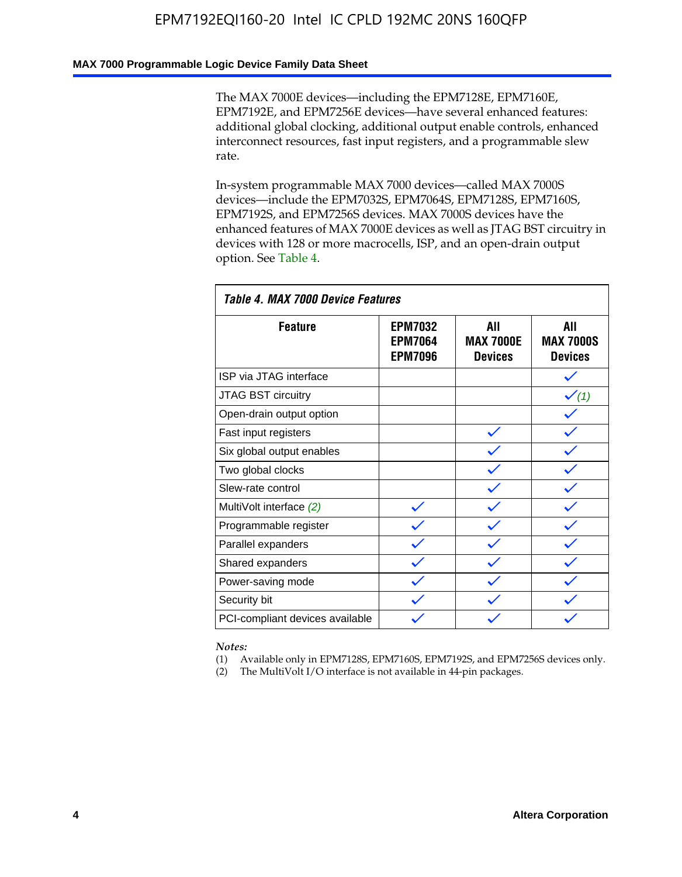### **MAX 7000 Programmable Logic Device Family Data Sheet**

The MAX 7000E devices—including the EPM7128E, EPM7160E, EPM7192E, and EPM7256E devices—have several enhanced features: additional global clocking, additional output enable controls, enhanced interconnect resources, fast input registers, and a programmable slew rate.

In-system programmable MAX 7000 devices—called MAX 7000S devices—include the EPM7032S, EPM7064S, EPM7128S, EPM7160S, EPM7192S, and EPM7256S devices. MAX 7000S devices have the enhanced features of MAX 7000E devices as well as JTAG BST circuitry in devices with 128 or more macrocells, ISP, and an open-drain output option. See Table 4.

| Table 4. MAX 7000 Device Features |                                                    |                                           |                                           |  |  |  |
|-----------------------------------|----------------------------------------------------|-------------------------------------------|-------------------------------------------|--|--|--|
| <b>Feature</b>                    | <b>EPM7032</b><br><b>EPM7064</b><br><b>EPM7096</b> | All<br><b>MAX 7000E</b><br><b>Devices</b> | All<br><b>MAX 7000S</b><br><b>Devices</b> |  |  |  |
| ISP via JTAG interface            |                                                    |                                           |                                           |  |  |  |
| JTAG BST circuitry                |                                                    |                                           | $\checkmark$ (1)                          |  |  |  |
| Open-drain output option          |                                                    |                                           |                                           |  |  |  |
| Fast input registers              |                                                    |                                           |                                           |  |  |  |
| Six global output enables         |                                                    |                                           |                                           |  |  |  |
| Two global clocks                 |                                                    |                                           |                                           |  |  |  |
| Slew-rate control                 |                                                    |                                           |                                           |  |  |  |
| MultiVolt interface (2)           |                                                    |                                           |                                           |  |  |  |
| Programmable register             |                                                    |                                           |                                           |  |  |  |
| Parallel expanders                |                                                    |                                           |                                           |  |  |  |
| Shared expanders                  |                                                    |                                           |                                           |  |  |  |
| Power-saving mode                 |                                                    |                                           |                                           |  |  |  |
| Security bit                      |                                                    |                                           |                                           |  |  |  |
| PCI-compliant devices available   |                                                    |                                           |                                           |  |  |  |

*Notes:*

(1) Available only in EPM7128S, EPM7160S, EPM7192S, and EPM7256S devices only.

(2) The MultiVolt I/O interface is not available in 44-pin packages.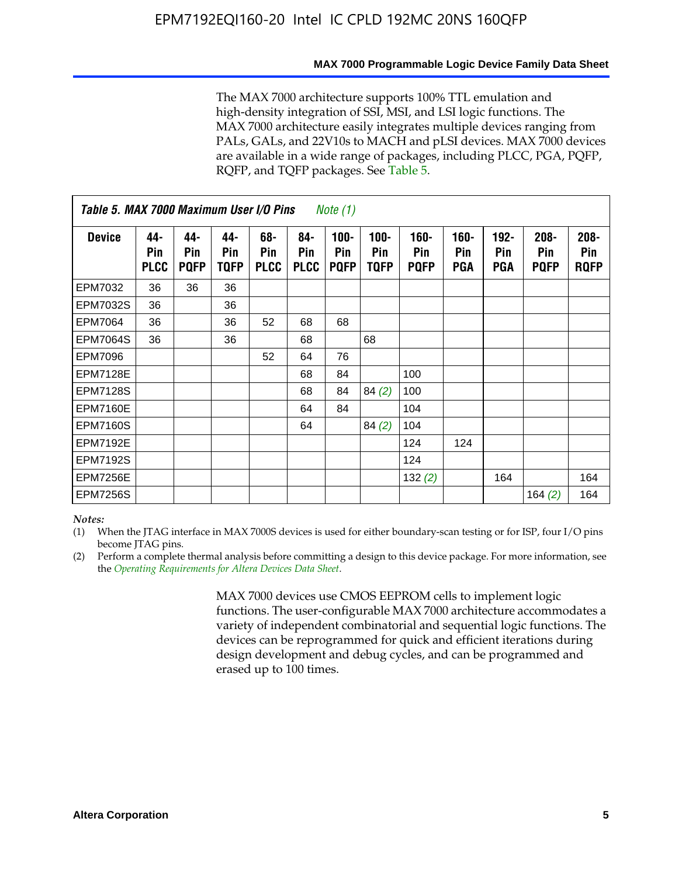#### **MAX 7000 Programmable Logic Device Family Data Sheet**

The MAX 7000 architecture supports 100% TTL emulation and high-density integration of SSI, MSI, and LSI logic functions. The MAX 7000 architecture easily integrates multiple devices ranging from PALs, GALs, and 22V10s to MACH and pLSI devices. MAX 7000 devices are available in a wide range of packages, including PLCC, PGA, PQFP, RQFP, and TQFP packages. See Table 5.

| Table 5. MAX 7000 Maximum User I/O Pins<br><i>Note</i> $(1)$ |                           |                           |                           |                           |                           |                               |                        |                            |                       |                              |                               |                               |
|--------------------------------------------------------------|---------------------------|---------------------------|---------------------------|---------------------------|---------------------------|-------------------------------|------------------------|----------------------------|-----------------------|------------------------------|-------------------------------|-------------------------------|
| <b>Device</b>                                                | 44-<br>Pin<br><b>PLCC</b> | 44-<br>Pin<br><b>PQFP</b> | 44-<br>Pin<br><b>TQFP</b> | 68-<br>Pin<br><b>PLCC</b> | 84-<br>Pin<br><b>PLCC</b> | $100 -$<br>Pin<br><b>PQFP</b> | $100 -$<br>Pin<br>TQFP | 160-<br>Pin<br><b>PQFP</b> | $160 -$<br>Pin<br>PGA | $192 -$<br>Pin<br><b>PGA</b> | $208 -$<br>Pin<br><b>PQFP</b> | $208 -$<br>Pin<br><b>RQFP</b> |
| EPM7032                                                      | 36                        | 36                        | 36                        |                           |                           |                               |                        |                            |                       |                              |                               |                               |
| <b>EPM7032S</b>                                              | 36                        |                           | 36                        |                           |                           |                               |                        |                            |                       |                              |                               |                               |
| <b>EPM7064</b>                                               | 36                        |                           | 36                        | 52                        | 68                        | 68                            |                        |                            |                       |                              |                               |                               |
| <b>EPM7064S</b>                                              | 36                        |                           | 36                        |                           | 68                        |                               | 68                     |                            |                       |                              |                               |                               |
| <b>EPM7096</b>                                               |                           |                           |                           | 52                        | 64                        | 76                            |                        |                            |                       |                              |                               |                               |
| <b>EPM7128E</b>                                              |                           |                           |                           |                           | 68                        | 84                            |                        | 100                        |                       |                              |                               |                               |
| <b>EPM7128S</b>                                              |                           |                           |                           |                           | 68                        | 84                            | 84(2)                  | 100                        |                       |                              |                               |                               |
| <b>EPM7160E</b>                                              |                           |                           |                           |                           | 64                        | 84                            |                        | 104                        |                       |                              |                               |                               |
| EPM7160S                                                     |                           |                           |                           |                           | 64                        |                               | 84(2)                  | 104                        |                       |                              |                               |                               |
| <b>EPM7192E</b>                                              |                           |                           |                           |                           |                           |                               |                        | 124                        | 124                   |                              |                               |                               |
| <b>EPM7192S</b>                                              |                           |                           |                           |                           |                           |                               |                        | 124                        |                       |                              |                               |                               |
| <b>EPM7256E</b>                                              |                           |                           |                           |                           |                           |                               |                        | 132(2)                     |                       | 164                          |                               | 164                           |
| <b>EPM7256S</b>                                              |                           |                           |                           |                           |                           |                               |                        |                            |                       |                              | 164 $(2)$                     | 164                           |

#### *Notes:*

(1) When the JTAG interface in MAX 7000S devices is used for either boundary-scan testing or for ISP, four I/O pins become JTAG pins.

(2) Perform a complete thermal analysis before committing a design to this device package. For more information, see the *Operating Requirements for Altera Devices Data Sheet*.

> MAX 7000 devices use CMOS EEPROM cells to implement logic functions. The user-configurable MAX 7000 architecture accommodates a variety of independent combinatorial and sequential logic functions. The devices can be reprogrammed for quick and efficient iterations during design development and debug cycles, and can be programmed and erased up to 100 times.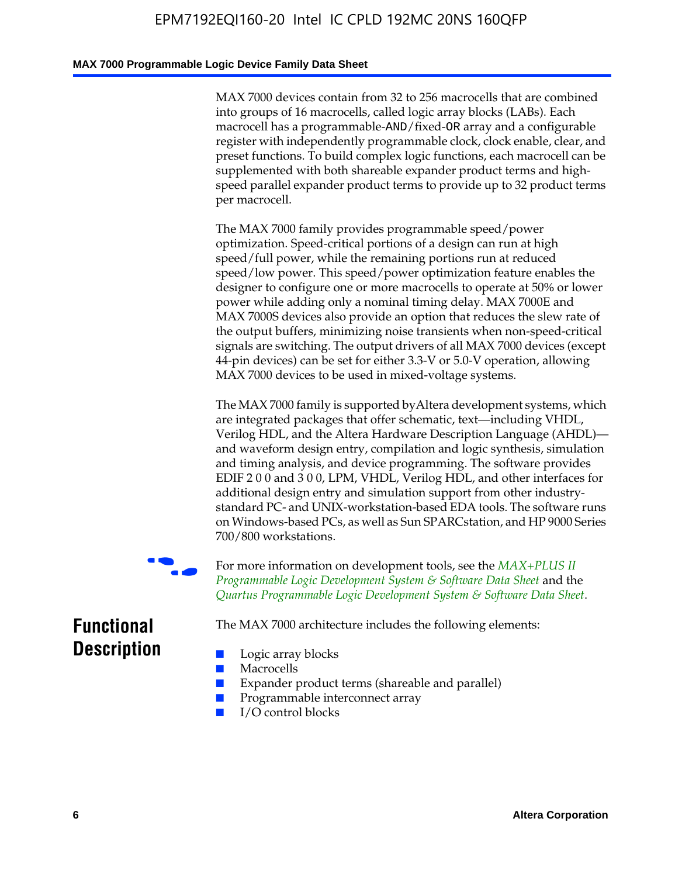### **MAX 7000 Programmable Logic Device Family Data Sheet**

MAX 7000 devices contain from 32 to 256 macrocells that are combined into groups of 16 macrocells, called logic array blocks (LABs). Each macrocell has a programmable-AND/fixed-OR array and a configurable register with independently programmable clock, clock enable, clear, and preset functions. To build complex logic functions, each macrocell can be supplemented with both shareable expander product terms and highspeed parallel expander product terms to provide up to 32 product terms per macrocell.

The MAX 7000 family provides programmable speed/power optimization. Speed-critical portions of a design can run at high speed/full power, while the remaining portions run at reduced speed/low power. This speed/power optimization feature enables the designer to configure one or more macrocells to operate at 50% or lower power while adding only a nominal timing delay. MAX 7000E and MAX 7000S devices also provide an option that reduces the slew rate of the output buffers, minimizing noise transients when non-speed-critical signals are switching. The output drivers of all MAX 7000 devices (except 44-pin devices) can be set for either 3.3-V or 5.0-V operation, allowing MAX 7000 devices to be used in mixed-voltage systems.

The MAX 7000 family is supported byAltera development systems, which are integrated packages that offer schematic, text—including VHDL, Verilog HDL, and the Altera Hardware Description Language (AHDL) and waveform design entry, compilation and logic synthesis, simulation and timing analysis, and device programming. The [software provides](http://www.altera.com/literature/ds/dsmii.pdf)  [EDIF 2 0 0 and 3 0 0, LPM, VHDL, Verilog HDL, and other in](http://www.altera.com/literature/ds/dsmii.pdf)terfaces for [additional design entry and simulation support from other industry](http://www.altera.com/literature/ds/quartus.pdf)standard PC- and UNIX-workstation-based EDA tools. The software runs on Windows-based PCs, as well as Sun SPARCstation, and HP 9000 Series 700/800 workstations.

For more information on development tools, see the **MAX+PLUS II** *Programmable Logic Development System & Software Data Sheet* and the *Quartus Programmable Logic Development System & Software Data Sheet*.

The MAX 7000 architecture includes the following elements:

## **Functional Description**

- Logic array blocks
- **Macrocells**
- Expander product terms (shareable and parallel)
- Programmable interconnect array
- I/O control blocks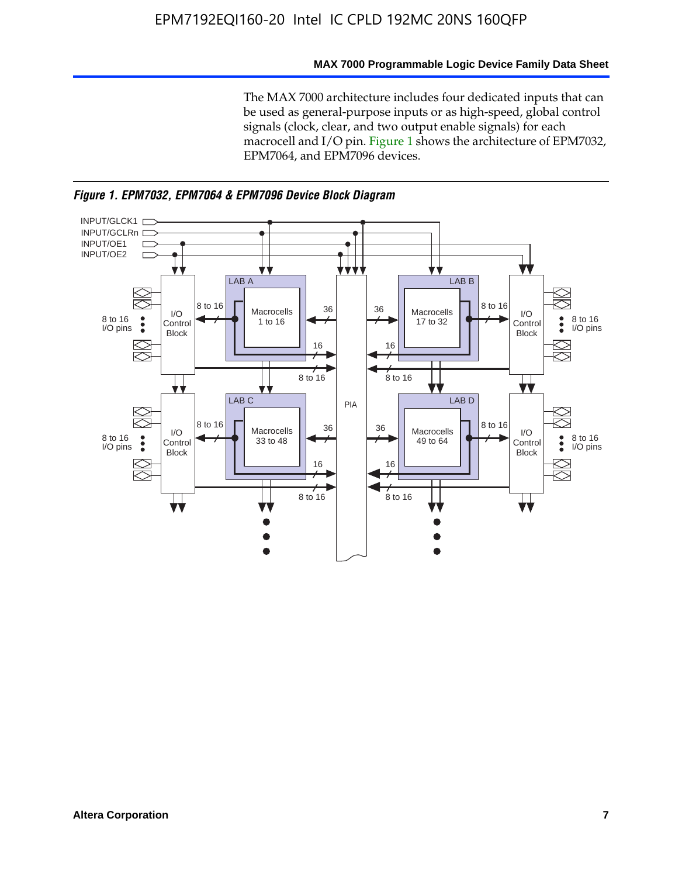### **MAX 7000 Programmable Logic Device Family Data Sheet**

The MAX 7000 architecture includes four dedicated inputs that can be used as general-purpose inputs or as high-speed, global control signals (clock, clear, and two output enable signals) for each macrocell and I/O pin. Figure 1 shows the architecture of EPM7032, EPM7064, and EPM7096 devices.



*Figure 1. EPM7032, EPM7064 & EPM7096 Device Block Diagram*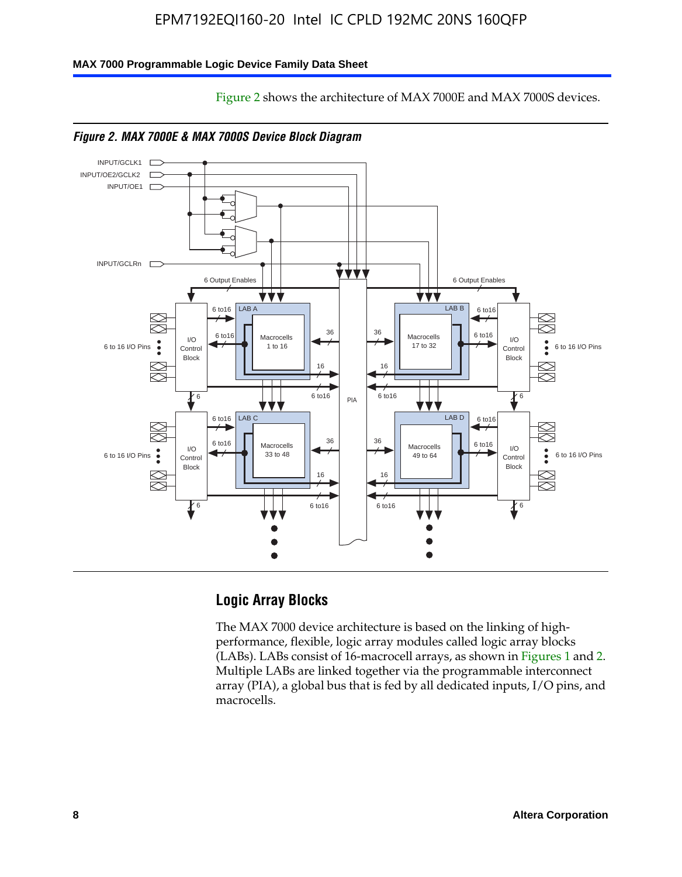Figure 2 shows the architecture of MAX 7000E and MAX 7000S devices.

### **MAX 7000 Programmable Logic Device Family Data Sheet**





## **Logic Array Blocks**

The MAX 7000 device architecture is based on the linking of highperformance, flexible, logic array modules called logic array blocks (LABs). LABs consist of 16-macrocell arrays, as shown in Figures 1 and 2. Multiple LABs are linked together via the programmable interconnect array (PIA), a global bus that is fed by all dedicated inputs, I/O pins, and macrocells.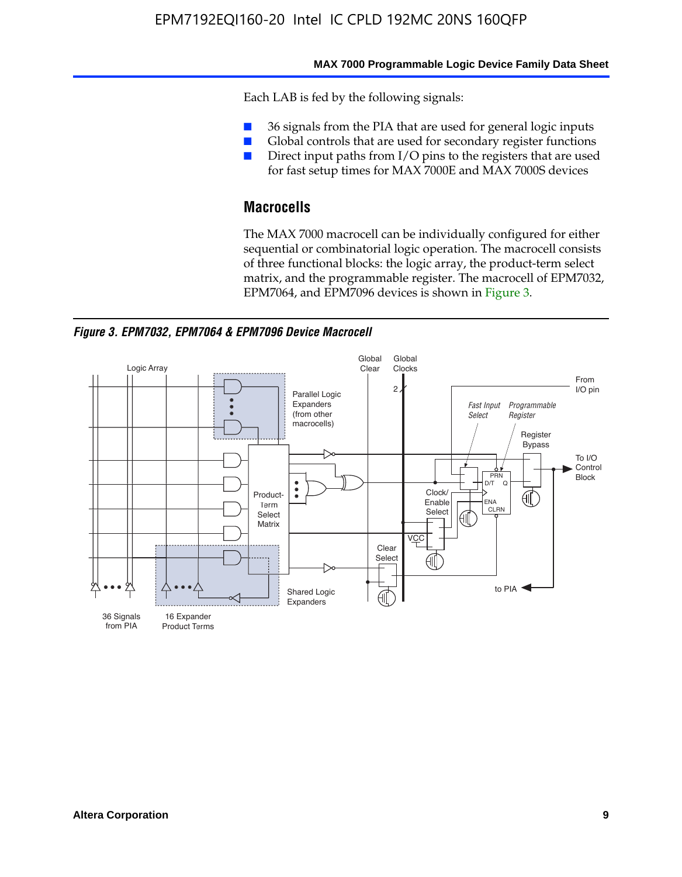#### **MAX 7000 Programmable Logic Device Family Data Sheet**

Each LAB is fed by the following signals:

- 36 signals from the PIA that are used for general logic inputs
- Global controls that are used for secondary register functions
- Direct input paths from I/O pins to the registers that are used for fast setup times for MAX 7000E and MAX 7000S devices

## **Macrocells**

The MAX 7000 macrocell can be individually configured for either sequential or combinatorial logic operation. The macrocell consists of three functional blocks: the logic array, the product-term select matrix, and the programmable register. The macrocell of EPM7032, EPM7064, and EPM7096 devices is shown in Figure 3.

*Figure 3. EPM7032, EPM7064 & EPM7096 Device Macrocell*

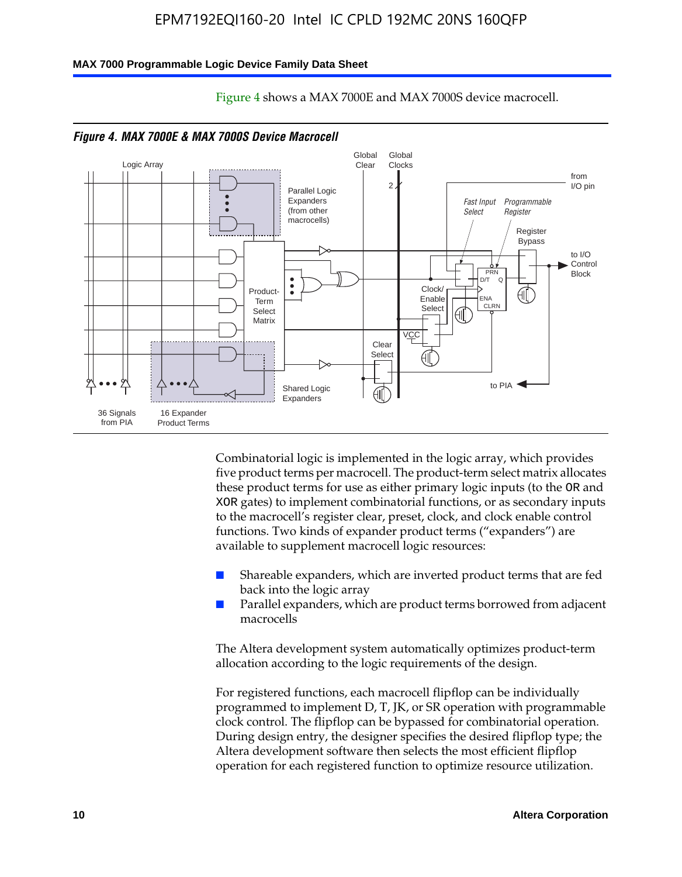#### **MAX 7000 Programmable Logic Device Family Data Sheet**



Figure 4 shows a MAX 7000E and MAX 7000S device macrocell.

Combinatorial logic is implemented in the logic array, which provides five product terms per macrocell. The product-term select matrix allocates these product terms for use as either primary logic inputs (to the OR and XOR gates) to implement combinatorial functions, or as secondary inputs to the macrocell's register clear, preset, clock, and clock enable control functions. Two kinds of expander product terms ("expanders") are available to supplement macrocell logic resources:

- Shareable expanders, which are inverted product terms that are fed back into the logic array
- Parallel expanders, which are product terms borrowed from adjacent macrocells

The Altera development system automatically optimizes product-term allocation according to the logic requirements of the design.

For registered functions, each macrocell flipflop can be individually programmed to implement D, T, JK, or SR operation with programmable clock control. The flipflop can be bypassed for combinatorial operation. During design entry, the designer specifies the desired flipflop type; the Altera development software then selects the most efficient flipflop operation for each registered function to optimize resource utilization.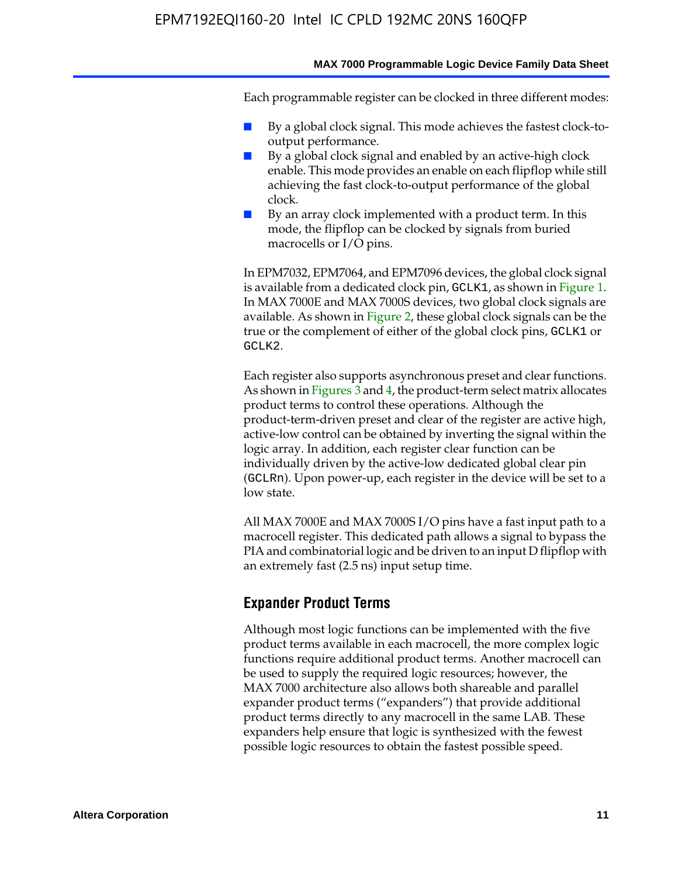Each programmable register can be clocked in three different modes:

- By a global clock signal. This mode achieves the fastest clock-tooutput performance.
- By a global clock signal and enabled by an active-high clock enable. This mode provides an enable on each flipflop while still achieving the fast clock-to-output performance of the global clock.
- By an array clock implemented with a product term. In this mode, the flipflop can be clocked by signals from buried macrocells or I/O pins.

In EPM7032, EPM7064, and EPM7096 devices, the global clock signal is available from a dedicated clock pin, GCLK1, as shown in Figure 1. In MAX 7000E and MAX 7000S devices, two global clock signals are available. As shown in Figure 2, these global clock signals can be the true or the complement of either of the global clock pins, GCLK1 or GCLK2.

Each register also supports asynchronous preset and clear functions. As shown in Figures 3 and 4, the product-term select matrix allocates product terms to control these operations. Although the product-term-driven preset and clear of the register are active high, active-low control can be obtained by inverting the signal within the logic array. In addition, each register clear function can be individually driven by the active-low dedicated global clear pin (GCLRn). Upon power-up, each register in the device will be set to a low state.

All MAX 7000E and MAX 7000S I/O pins have a fast input path to a macrocell register. This dedicated path allows a signal to bypass the PIA and combinatorial logic and be driven to an input D flipflop with an extremely fast (2.5 ns) input setup time.

### **Expander Product Terms**

Although most logic functions can be implemented with the five product terms available in each macrocell, the more complex logic functions require additional product terms. Another macrocell can be used to supply the required logic resources; however, the MAX 7000 architecture also allows both shareable and parallel expander product terms ("expanders") that provide additional product terms directly to any macrocell in the same LAB. These expanders help ensure that logic is synthesized with the fewest possible logic resources to obtain the fastest possible speed.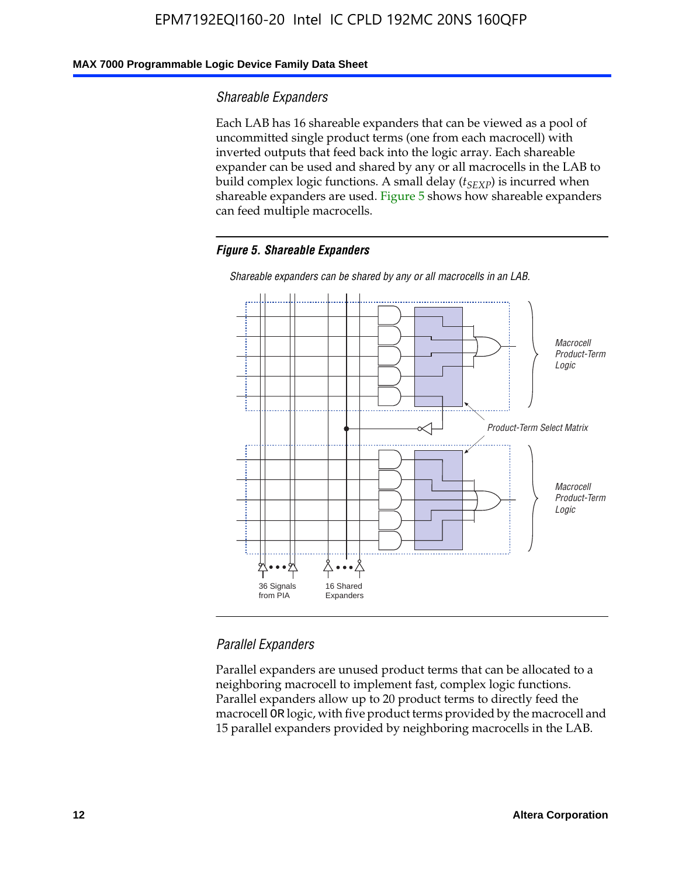### **MAX 7000 Programmable Logic Device Family Data Sheet**

### *Shareable Expanders*

Each LAB has 16 shareable expanders that can be viewed as a pool of uncommitted single product terms (one from each macrocell) with inverted outputs that feed back into the logic array. Each shareable expander can be used and shared by any or all macrocells in the LAB to build complex logic functions. A small delay ( $t_{SEXP}$ ) is incurred when shareable expanders are used. Figure 5 shows how shareable expanders can feed multiple macrocells.

### *Figure 5. Shareable Expanders*



*Shareable expanders can be shared by any or all macrocells in an LAB.*

### *Parallel Expanders*

Parallel expanders are unused product terms that can be allocated to a neighboring macrocell to implement fast, complex logic functions. Parallel expanders allow up to 20 product terms to directly feed the macrocell OR logic, with five product terms provided by the macrocell and 15 parallel expanders provided by neighboring macrocells in the LAB.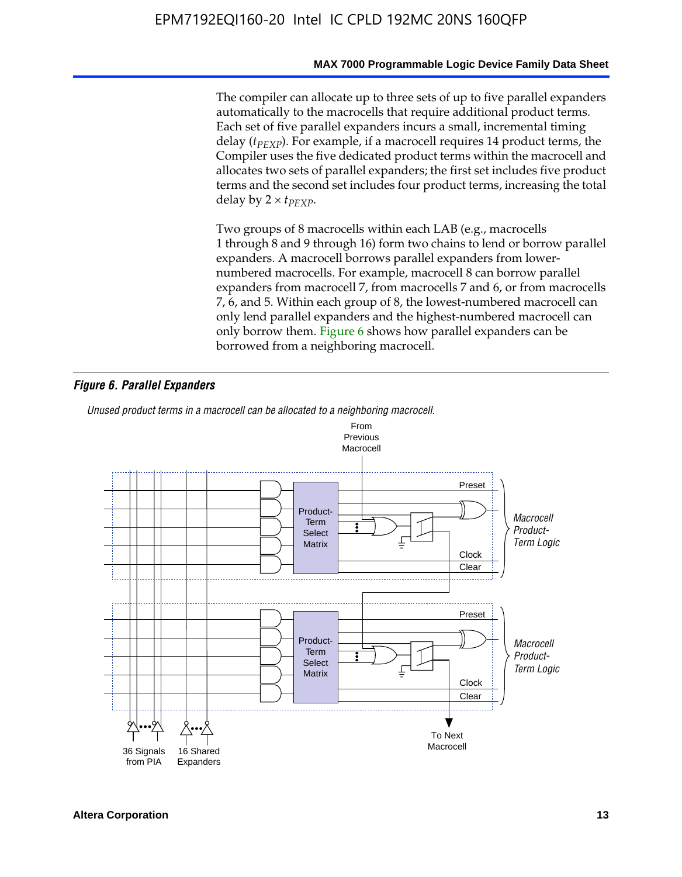The compiler can allocate up to three sets of up to five parallel expanders automatically to the macrocells that require additional product terms. Each set of five parallel expanders incurs a small, incremental timing delay (*t<sub>PEXP</sub>*). For example, if a macrocell requires 14 product terms, the Compiler uses the five dedicated product terms within the macrocell and allocates two sets of parallel expanders; the first set includes five product terms and the second set includes four product terms, increasing the total delay by  $2 \times t_{PFXP}$ .

Two groups of 8 macrocells within each LAB (e.g., macrocells 1 through 8 and 9 through 16) form two chains to lend or borrow parallel expanders. A macrocell borrows parallel expanders from lowernumbered macrocells. For example, macrocell 8 can borrow parallel expanders from macrocell 7, from macrocells 7 and 6, or from macrocells 7, 6, and 5. Within each group of 8, the lowest-numbered macrocell can only lend parallel expanders and the highest-numbered macrocell can only borrow them. Figure 6 shows how parallel expanders can be borrowed from a neighboring macrocell.

### *Figure 6. Parallel Expanders*

*Unused product terms in a macrocell can be allocated to a neighboring macrocell.*

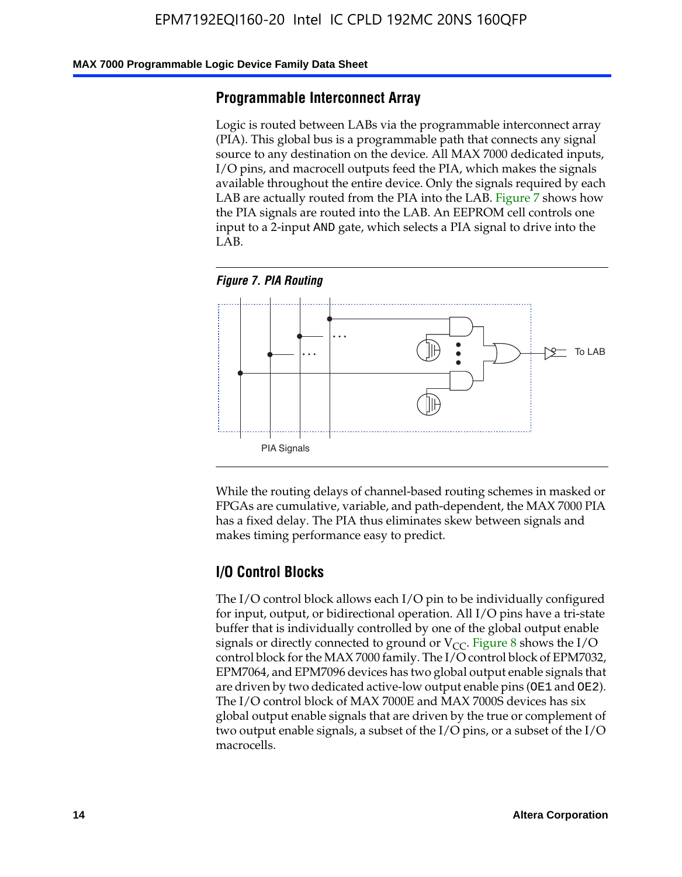#### **MAX 7000 Programmable Logic Device Family Data Sheet**

### **Programmable Interconnect Array**

Logic is routed between LABs via the programmable interconnect array (PIA). This global bus is a programmable path that connects any signal source to any destination on the device. All MAX 7000 dedicated inputs, I/O pins, and macrocell outputs feed the PIA, which makes the signals available throughout the entire device. Only the signals required by each LAB are actually routed from the PIA into the LAB. Figure 7 shows how the PIA signals are routed into the LAB. An EEPROM cell controls one input to a 2-input AND gate, which selects a PIA signal to drive into the LAB.





While the routing delays of channel-based routing schemes in masked or FPGAs are cumulative, variable, and path-dependent, the MAX 7000 PIA has a fixed delay. The PIA thus eliminates skew between signals and makes timing performance easy to predict.

### **I/O Control Blocks**

The I/O control block allows each I/O pin to be individually configured for input, output, or bidirectional operation. All I/O pins have a tri-state buffer that is individually controlled by one of the global output enable signals or directly connected to ground or  $V_{CC}$ . Figure 8 shows the I/O control block for the MAX 7000 family. The I/O control block of EPM7032, EPM7064, and EPM7096 devices has two global output enable signals that are driven by two dedicated active-low output enable pins (OE1 and OE2). The I/O control block of MAX 7000E and MAX 7000S devices has six global output enable signals that are driven by the true or complement of two output enable signals, a subset of the I/O pins, or a subset of the I/O macrocells.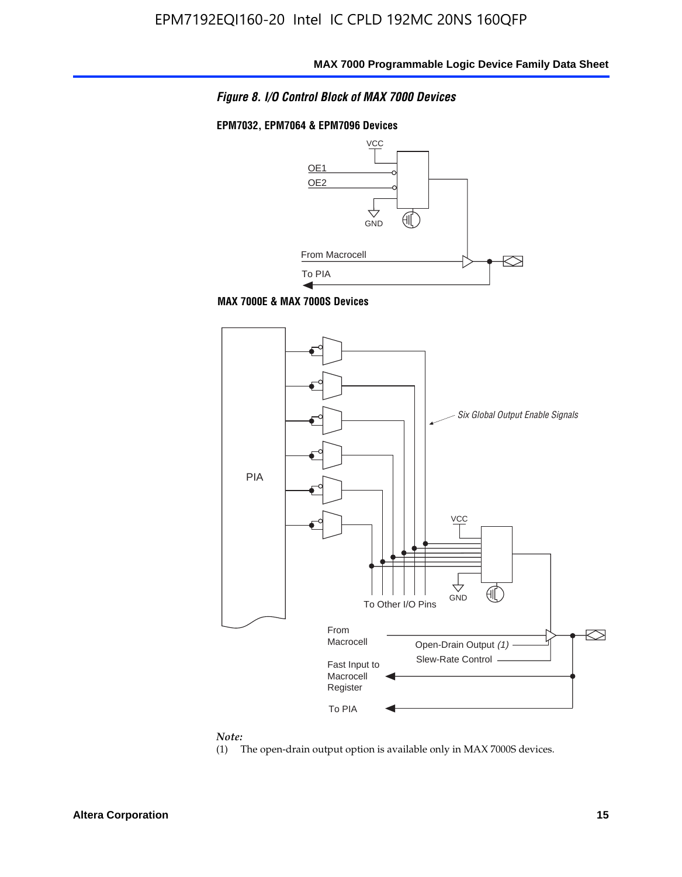

#### **EPM7032, EPM7064 & EPM7096 Devices**







#### *Note:*

(1) The open-drain output option is available only in MAX 7000S devices.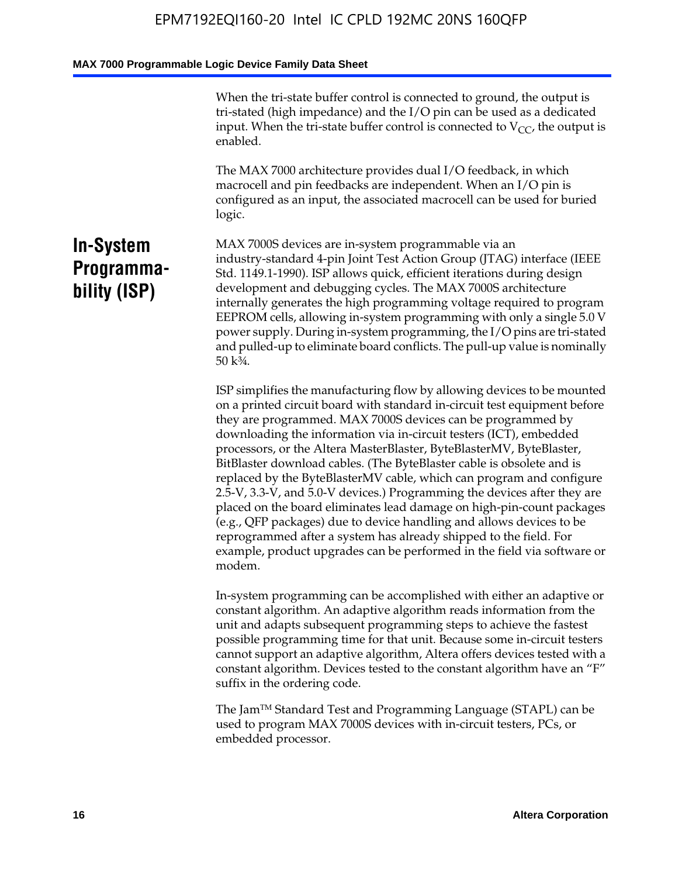When the tri-state buffer control is connected to ground, the output is tri-stated (high impedance) and the I/O pin can be used as a dedicated input. When the tri-state buffer control is connected to  $V_{CC}$ , the output is enabled.

The MAX 7000 architecture provides dual I/O feedback, in which macrocell and pin feedbacks are independent. When an I/O pin is configured as an input, the associated macrocell can be used for buried logic.

## **In-System Programmability (ISP)**

MAX 7000S devices are in-system programmable via an industry-standard 4-pin Joint Test Action Group (JTAG) interface (IEEE Std. 1149.1-1990). ISP allows quick, efficient iterations during design development and debugging cycles. The MAX 7000S architecture internally generates the high programming voltage required to program EEPROM cells, allowing in-system programming with only a single 5.0 V power supply. During in-system programming, the I/O pins are tri-stated and pulled-up to eliminate board conflicts. The pull-up value is nominally 50 k¾.

ISP simplifies the manufacturing flow by allowing devices to be mounted on a printed circuit board with standard in-circuit test equipment before they are programmed. MAX 7000S devices can be programmed by downloading the information via in-circuit testers (ICT), embedded processors, or the Altera MasterBlaster, ByteBlasterMV, ByteBlaster, BitBlaster download cables. (The ByteBlaster cable is obsolete and is replaced by the ByteBlasterMV cable, which can program and configure 2.5-V, 3.3-V, and 5.0-V devices.) Programming the devices after they are placed on the board eliminates lead damage on high-pin-count packages (e.g., QFP packages) due to device handling and allows devices to be reprogrammed after a system has already shipped to the field. For example, product upgrades can be performed in the field via software or modem.

In-system programming can be accomplished with either an adaptive or constant algorithm. An adaptive algorithm reads information from the unit and adapts subsequent programming steps to achieve the fastest possible programming time for that unit. Because some in-circuit testers cannot support an adaptive algorithm, Altera offers devices tested with a constant algorithm. Devices tested to the constant algorithm have an "F" suffix in the ordering code.

The Jam™ Standard Test and Programming Language (STAPL) can be used to program MAX 7000S devices with in-circuit testers, PCs, or embedded processor.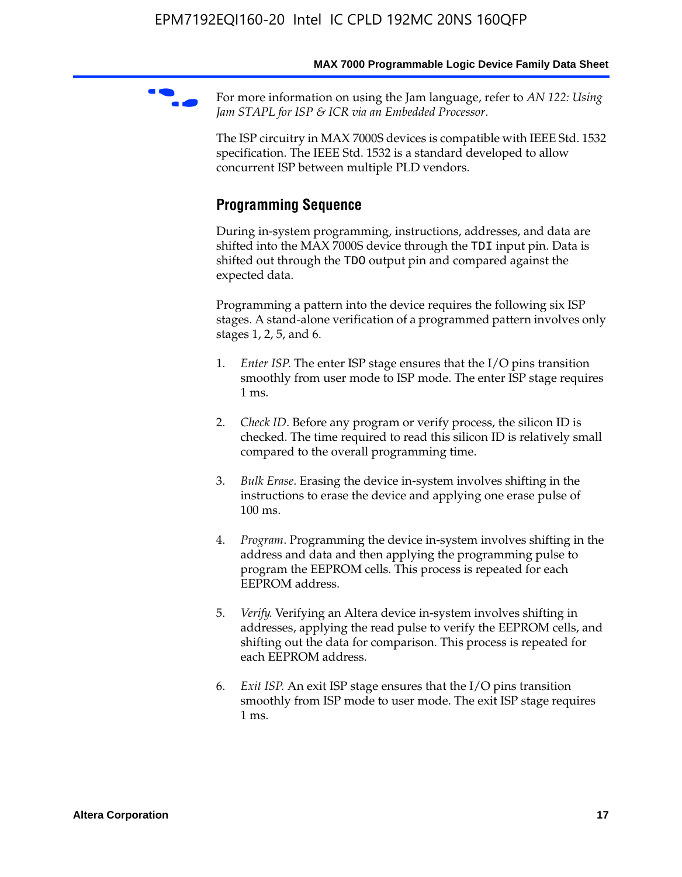For more information on using the Jam language, refer to *AN* 122: Using *Jam STAPL for ISP & ICR via an Embedded Processor*.

The ISP circuitry in MAX 7000S devices is compatible with IEEE Std. 1532 specification. The IEEE Std. 1532 is a standard developed to allow concurrent ISP between multiple PLD vendors.

## **Programming Sequence**

During in-system programming, instructions, addresses, and data are shifted into the MAX 7000S device through the TDI input pin. Data is shifted out through the TDO output pin and compared against the expected data.

Programming a pattern into the device requires the following six ISP stages. A stand-alone verification of a programmed pattern involves only stages 1, 2, 5, and 6.

- 1. *Enter ISP*. The enter ISP stage ensures that the I/O pins transition smoothly from user mode to ISP mode. The enter ISP stage requires 1 ms.
- 2. *Check ID*. Before any program or verify process, the silicon ID is checked. The time required to read this silicon ID is relatively small compared to the overall programming time.
- 3. *Bulk Erase*. Erasing the device in-system involves shifting in the instructions to erase the device and applying one erase pulse of 100 ms.
- 4. *Program*. Programming the device in-system involves shifting in the address and data and then applying the programming pulse to program the EEPROM cells. This process is repeated for each EEPROM address.
- 5. *Verify*. Verifying an Altera device in-system involves shifting in addresses, applying the read pulse to verify the EEPROM cells, and shifting out the data for comparison. This process is repeated for each EEPROM address.
- 6. *Exit ISP*. An exit ISP stage ensures that the I/O pins transition smoothly from ISP mode to user mode. The exit ISP stage requires 1 ms.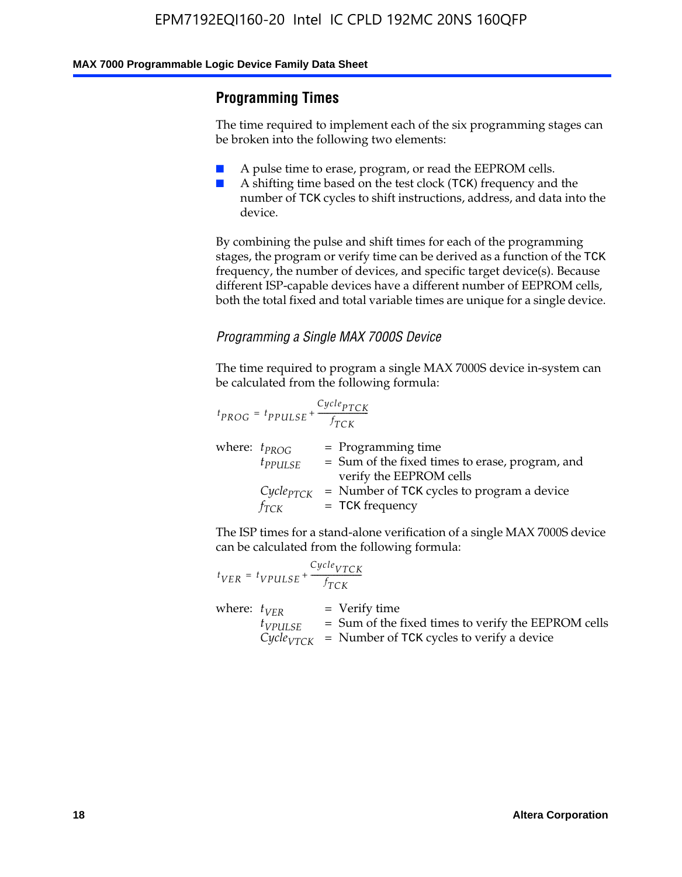## **Programming Times**

The time required to implement each of the six programming stages can be broken into the following two elements:

- A pulse time to erase, program, or read the EEPROM cells.
- A shifting time based on the test clock (TCK) frequency and the number of TCK cycles to shift instructions, address, and data into the device.

By combining the pulse and shift times for each of the programming stages, the program or verify time can be derived as a function of the TCK frequency, the number of devices, and specific target device(s). Because different ISP-capable devices have a different number of EEPROM cells, both the total fixed and total variable times are unique for a single device.

### *Programming a Single MAX 7000S Device*

The time required to program a single MAX 7000S device in-system can be calculated from the following formula:

$$
t_{PROG} = t_{PPULSE} + \frac{C_{ycle_{PTCK}}}{f_{TCK}}
$$
  
where:  $t_{PROG}$  = Programming time  
 $t_{PPULSE}$  = Sum of the fixed times to erase, program, and  
verify the EEPROM cells  
 $C_{ycle_{PTCK}}$  = Number of TCK cycles to program a device  
 $f_{TCK}$  = TCK frequency

The ISP times for a stand-alone verification of a single MAX 7000S device can be calculated from the following formula:

|                  | $t_{VER} = t_{VPULSE} + \frac{Cycle_{VTCK}}{f_{TCK}}$ |                                                                                                                                 |
|------------------|-------------------------------------------------------|---------------------------------------------------------------------------------------------------------------------------------|
| where: $t_{VFR}$ | $t_{VPULSE}$                                          | = Verify time<br>$=$ Sum of the fixed times to verify the EEPROM cells<br>$CycleVTCK$ = Number of TCK cycles to verify a device |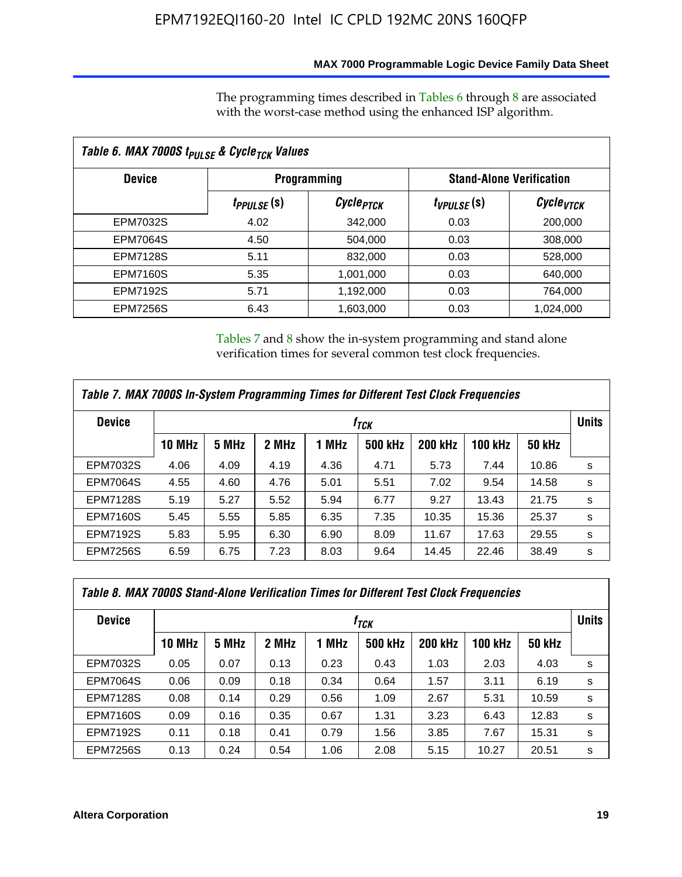### **MAX 7000 Programmable Logic Device Family Data Sheet**

The programming times described in Tables 6 through 8 are associated with the worst-case method using the enhanced ISP algorithm.

| Table 6. MAX 7000S t <sub>PULSE</sub> & Cycle <sub>TCK</sub> Values |                               |                       |                 |                                 |  |  |  |
|---------------------------------------------------------------------|-------------------------------|-----------------------|-----------------|---------------------------------|--|--|--|
| <b>Device</b>                                                       |                               | <b>Programming</b>    |                 | <b>Stand-Alone Verification</b> |  |  |  |
|                                                                     | <i>t<sub>PPULSE</sub></i> (S) | Cycle <sub>PTCK</sub> | $t_{VPULSE}(s)$ | Cycle <sub>VTCK</sub>           |  |  |  |
| EPM7032S                                                            | 4.02                          | 342,000               | 0.03            | 200,000                         |  |  |  |
| <b>EPM7064S</b>                                                     | 4.50                          | 504.000               | 0.03            | 308,000                         |  |  |  |
| <b>EPM7128S</b>                                                     | 5.11                          | 832,000               | 0.03            | 528,000                         |  |  |  |
| <b>EPM7160S</b>                                                     | 5.35                          | 1,001,000             | 0.03            | 640,000                         |  |  |  |
| <b>EPM7192S</b>                                                     | 5.71                          | 1,192,000             | 0.03            | 764,000                         |  |  |  |
| <b>EPM7256S</b>                                                     | 6.43                          | 1,603,000             | 0.03            | 1,024,000                       |  |  |  |

Tables 7 and 8 show the in-system programming and stand alone verification times for several common test clock frequencies.

| Table 7. MAX 7000S In-System Programming Times for Different Test Clock Frequencies |               |       |       |       |                    |                |                |               |              |
|-------------------------------------------------------------------------------------|---------------|-------|-------|-------|--------------------|----------------|----------------|---------------|--------------|
| <b>Device</b>                                                                       |               |       |       |       | $t_{\textit{TCK}}$ |                |                |               | <b>Units</b> |
|                                                                                     | <b>10 MHz</b> | 5 MHz | 2 MHz | 1 MHz | <b>500 kHz</b>     | <b>200 kHz</b> | <b>100 kHz</b> | <b>50 kHz</b> |              |
| <b>EPM7032S</b>                                                                     | 4.06          | 4.09  | 4.19  | 4.36  | 4.71               | 5.73           | 7.44           | 10.86         | s            |
| <b>EPM7064S</b>                                                                     | 4.55          | 4.60  | 4.76  | 5.01  | 5.51               | 7.02           | 9.54           | 14.58         | s            |
| <b>EPM7128S</b>                                                                     | 5.19          | 5.27  | 5.52  | 5.94  | 6.77               | 9.27           | 13.43          | 21.75         | s            |
| <b>EPM7160S</b>                                                                     | 5.45          | 5.55  | 5.85  | 6.35  | 7.35               | 10.35          | 15.36          | 25.37         | s            |
| <b>EPM7192S</b>                                                                     | 5.83          | 5.95  | 6.30  | 6.90  | 8.09               | 11.67          | 17.63          | 29.55         | s            |
| <b>EPM7256S</b>                                                                     | 6.59          | 6.75  | 7.23  | 8.03  | 9.64               | 14.45          | 22.46          | 38.49         | s            |

| Table 8. MAX 7000S Stand-Alone Verification Times for Different Test Clock Frequencies |               |       |       |       |                  |                |                |               |              |
|----------------------------------------------------------------------------------------|---------------|-------|-------|-------|------------------|----------------|----------------|---------------|--------------|
| <b>Device</b>                                                                          |               |       |       |       | † <sub>TCK</sub> |                |                |               | <b>Units</b> |
|                                                                                        | <b>10 MHz</b> | 5 MHz | 2 MHz | 1 MHz | <b>500 kHz</b>   | <b>200 kHz</b> | <b>100 kHz</b> | <b>50 kHz</b> |              |
| <b>EPM7032S</b>                                                                        | 0.05          | 0.07  | 0.13  | 0.23  | 0.43             | 1.03           | 2.03           | 4.03          | s            |
| <b>EPM7064S</b>                                                                        | 0.06          | 0.09  | 0.18  | 0.34  | 0.64             | 1.57           | 3.11           | 6.19          | s            |
| <b>EPM7128S</b>                                                                        | 0.08          | 0.14  | 0.29  | 0.56  | 1.09             | 2.67           | 5.31           | 10.59         | s            |
| <b>EPM7160S</b>                                                                        | 0.09          | 0.16  | 0.35  | 0.67  | 1.31             | 3.23           | 6.43           | 12.83         | s            |
| <b>EPM7192S</b>                                                                        | 0.11          | 0.18  | 0.41  | 0.79  | 1.56             | 3.85           | 7.67           | 15.31         | s            |
| <b>EPM7256S</b>                                                                        | 0.13          | 0.24  | 0.54  | 1.06  | 2.08             | 5.15           | 10.27          | 20.51         | s            |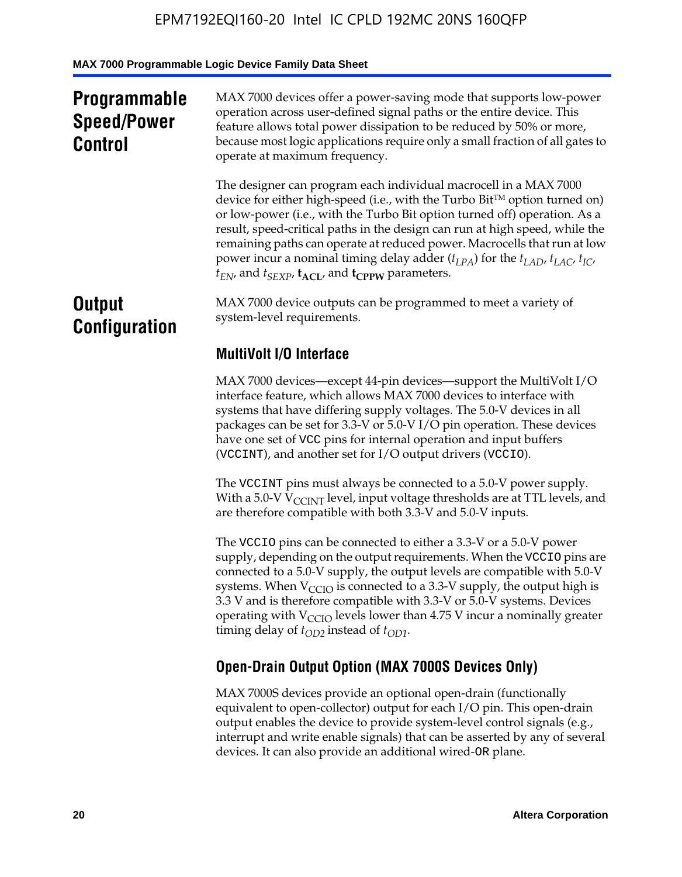## **Programmable Speed/Power Control**

MAX 7000 devices offer a power-saving mode that supports low-power operation across user-defined signal paths or the entire device. This feature allows total power dissipation to be reduced by 50% or more, because most logic applications require only a small fraction of all gates to operate at maximum frequency.

The designer can program each individual macrocell in a MAX 7000 device for either high-speed (i.e., with the Turbo  $Bit^{TM}$  option turned on) or low-power (i.e., with the Turbo Bit option turned off) operation. As a result, speed-critical paths in the design can run at high speed, while the remaining paths can operate at reduced power. Macrocells that run at low power incur a nominal timing delay adder  $(t_{LPA})$  for the  $t_{LAD}$ ,  $t_{LAC}$ ,  $t_{IC}$ ,  $t_{EN}$ , and  $t_{SEXP}$ ,  $t_{ACL}$ , and  $t_{CPPW}$  parameters.

## **Output Configuration**

MAX 7000 device outputs can be programmed to meet a variety of system-level requirements.

## **MultiVolt I/O Interface**

MAX 7000 devices—except 44-pin devices—support the MultiVolt I/O interface feature, which allows MAX 7000 devices to interface with systems that have differing supply voltages. The 5.0-V devices in all packages can be set for 3.3-V or 5.0-V I/O pin operation. These devices have one set of VCC pins for internal operation and input buffers (VCCINT), and another set for I/O output drivers (VCCIO).

The VCCINT pins must always be connected to a 5.0-V power supply. With a 5.0-V  $V_{\text{CCINT}}$  level, input voltage thresholds are at TTL levels, and are therefore compatible with both 3.3-V and 5.0-V inputs.

The VCCIO pins can be connected to either a 3.3-V or a 5.0-V power supply, depending on the output requirements. When the VCCIO pins are connected to a 5.0-V supply, the output levels are compatible with 5.0-V systems. When  $V_{\text{CGO}}$  is connected to a 3.3-V supply, the output high is 3.3 V and is therefore compatible with 3.3-V or 5.0-V systems. Devices operating with  $V_{\text{CCIO}}$  levels lower than 4.75 V incur a nominally greater timing delay of  $t_{OD2}$  instead of  $t_{OD1}$ .

## **Open-Drain Output Option (MAX 7000S Devices Only)**

MAX 7000S devices provide an optional open-drain (functionally equivalent to open-collector) output for each I/O pin. This open-drain output enables the device to provide system-level control signals (e.g., interrupt and write enable signals) that can be asserted by any of several devices. It can also provide an additional wired-OR plane.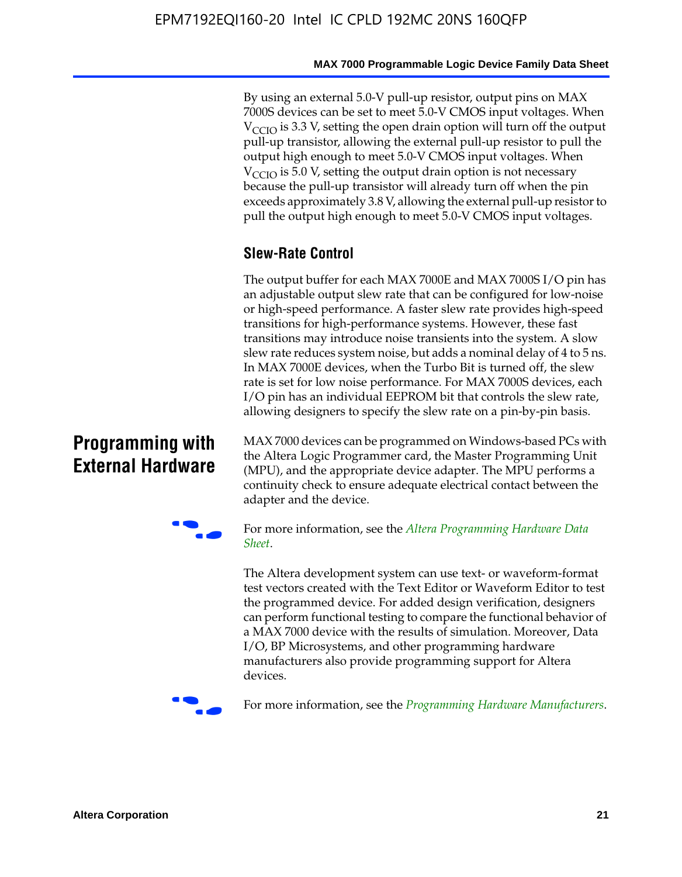By using an external 5.0-V pull-up resistor, output pins on MAX 7000S devices can be set to meet 5.0-V CMOS input voltages. When  $V_{\text{CCIO}}$  is 3.3 V, setting the open drain option will turn off the output pull-up transistor, allowing the external pull-up resistor to pull the output high enough to meet 5.0-V CMOS input voltages. When  $V_{\text{CCIO}}$  is 5.0 V, setting the output drain option is not necessary because the pull-up transistor will already turn off when the pin exceeds approximately 3.8 V, allowing the external pull-up resistor to pull the output high enough to meet 5.0-V CMOS input voltages.

## **Slew-Rate Control**

The output buffer for each MAX 7000E and MAX 7000S I/O pin has an adjustable output slew rate that can be configured for low-noise or high-speed performance. A faster slew rate provides high-speed transitions for high-performance systems. However, these fast transitions may introduce noise transients into the system. A slow slew rate reduces system noise, but adds a nominal delay of 4 to 5 ns. In MAX 7000E devices, when the Turbo Bit is turned off, the slew rate is set for low noise performance. For MAX 7000S devices, each I/O pin has an individual EEPROM bit that controls the slew rate, allowing designers to specify the slew rate on a pin-by-pin basis.

## **Programming with External Hardware**

[MAX](http://www.altera.com/literature/ds/dspghd.pdf) 7000 devices can be prog[rammed on Windows-based PCs with](http://www.altera.com/literature/ds/dspghd.pdf)  the Altera Logic Programmer card, the Master Programming Unit (MPU), and the appropriate device adapter. The MPU performs a continuity check to ensure adequate electrical contact between the adapter and the device.



For more information, see the *Altera Programming Hardware Data Sheet*.

The Altera development system can use text- or waveform-format test vectors created with the Text Editor or Waveform Editor to test the programmed device. For added design verification, designers can perform functional testing to compare the functional behavior of a MAX 7000 device with the results of simulation. Moreover, Data I/O, BP Microsystems, and other programming hardware manufacturers also provide programming support for Altera devices.



For more information, see the *Programming Hardware Manufacturers*.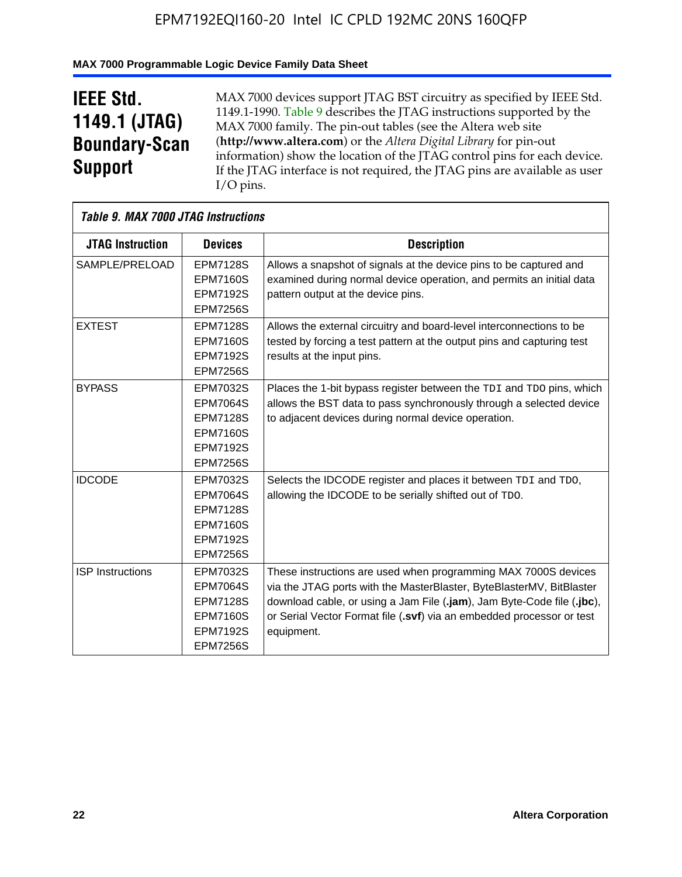## **MAX 7000 Programmable Logic Device Family Data Sheet**

## **IEEE Std. 1149.1 (JTAG) Boundary-Scan Support**

 $\mathsf{r}$ 

MAX 7000 devices support JTAG BST circuitry as specified by IEEE Std. 1149.1-1990. Table 9 describes the JTAG instructions supported by the MAX 7000 family. The pin-out tables (see the Altera web site (**http://www.altera.com**) or the *Altera Digital Library* for pin-out information) show the location of the JTAG control pins for each device. If the JTAG interface is not required, the JTAG pins are available as user I/O pins.

| Table 9. MAX 7000 JTAG Instructions |                                                                                                                |                                                                                                                                                                                                                                                                                                         |  |  |  |  |
|-------------------------------------|----------------------------------------------------------------------------------------------------------------|---------------------------------------------------------------------------------------------------------------------------------------------------------------------------------------------------------------------------------------------------------------------------------------------------------|--|--|--|--|
| <b>JTAG Instruction</b>             | <b>Devices</b>                                                                                                 | <b>Description</b>                                                                                                                                                                                                                                                                                      |  |  |  |  |
| SAMPLE/PRELOAD                      | <b>EPM7128S</b><br><b>EPM7160S</b><br><b>EPM7192S</b>                                                          | Allows a snapshot of signals at the device pins to be captured and<br>examined during normal device operation, and permits an initial data<br>pattern output at the device pins.                                                                                                                        |  |  |  |  |
|                                     | <b>EPM7256S</b>                                                                                                |                                                                                                                                                                                                                                                                                                         |  |  |  |  |
| <b>EXTEST</b>                       | <b>EPM7128S</b><br><b>EPM7160S</b><br><b>EPM7192S</b><br><b>EPM7256S</b>                                       | Allows the external circuitry and board-level interconnections to be<br>tested by forcing a test pattern at the output pins and capturing test<br>results at the input pins.                                                                                                                            |  |  |  |  |
| <b>BYPASS</b>                       | EPM7032S<br><b>EPM7064S</b><br><b>EPM7128S</b><br><b>EPM7160S</b><br><b>EPM7192S</b><br><b>EPM7256S</b>        | Places the 1-bit bypass register between the TDI and TDO pins, which<br>allows the BST data to pass synchronously through a selected device<br>to adjacent devices during normal device operation.                                                                                                      |  |  |  |  |
| <b>IDCODE</b>                       | EPM7032S<br><b>EPM7064S</b><br><b>EPM7128S</b><br><b>EPM7160S</b><br><b>EPM7192S</b><br><b>EPM7256S</b>        | Selects the IDCODE register and places it between TDI and TDO,<br>allowing the IDCODE to be serially shifted out of TDO.                                                                                                                                                                                |  |  |  |  |
| <b>ISP Instructions</b>             | <b>EPM7032S</b><br><b>EPM7064S</b><br><b>EPM7128S</b><br><b>EPM7160S</b><br><b>EPM7192S</b><br><b>EPM7256S</b> | These instructions are used when programming MAX 7000S devices<br>via the JTAG ports with the MasterBlaster, ByteBlasterMV, BitBlaster<br>download cable, or using a Jam File (.jam), Jam Byte-Code file (.jbc),<br>or Serial Vector Format file (.svf) via an embedded processor or test<br>equipment. |  |  |  |  |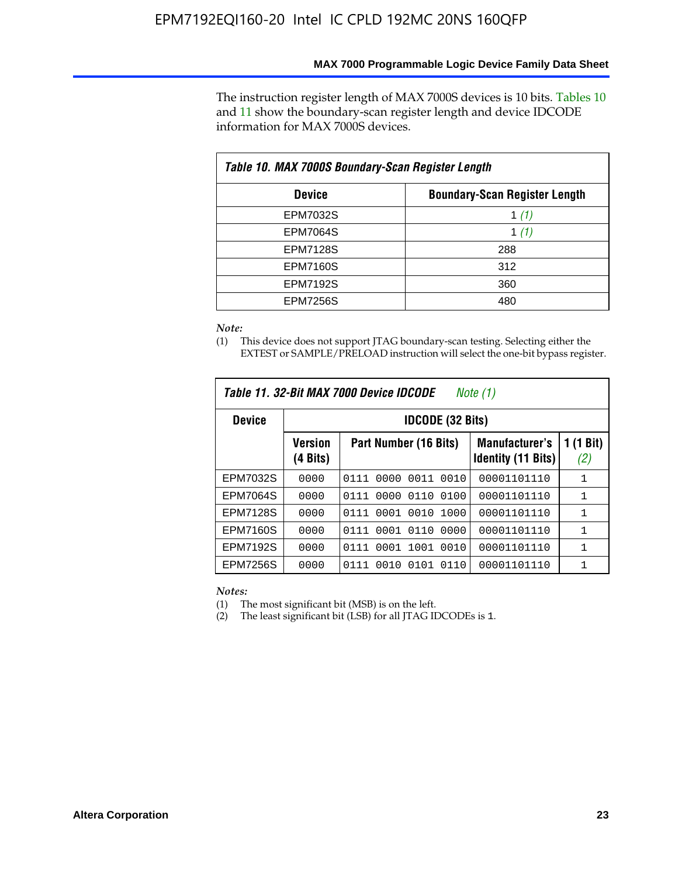The instruction register length of MAX 7000S devices is 10 bits. Tables 10 and 11 show the boundary-scan register length and device IDCODE information for MAX 7000S devices.

| Table 10. MAX 7000S Boundary-Scan Register Length |                                      |  |  |  |  |  |
|---------------------------------------------------|--------------------------------------|--|--|--|--|--|
| <b>Device</b>                                     | <b>Boundary-Scan Register Length</b> |  |  |  |  |  |
| <b>EPM7032S</b>                                   | 1 $(1)$                              |  |  |  |  |  |
| <b>EPM7064S</b>                                   | 1 $(1)$                              |  |  |  |  |  |
| <b>EPM7128S</b>                                   | 288                                  |  |  |  |  |  |
| <b>EPM7160S</b>                                   | 312                                  |  |  |  |  |  |
| <b>EPM7192S</b>                                   | 360                                  |  |  |  |  |  |
| <b>EPM7256S</b>                                   | 480                                  |  |  |  |  |  |

*Note:*

(1) This device does not support JTAG boundary-scan testing. Selecting either the EXTEST or SAMPLE/PRELOAD instruction will select the one-bit bypass register.

| Table 11, 32-Bit MAX 7000 Device IDCODE<br>Note (1) |                            |                              |                                                    |                  |  |  |
|-----------------------------------------------------|----------------------------|------------------------------|----------------------------------------------------|------------------|--|--|
| <b>Device</b>                                       |                            | <b>IDCODE (32 Bits)</b>      |                                                    |                  |  |  |
|                                                     | <b>Version</b><br>(4 Bits) | Part Number (16 Bits)        | <b>Manufacturer's</b><br><b>Identity (11 Bits)</b> | 1 (1 Bit)<br>(2) |  |  |
| EPM7032S                                            | 0000                       | 0011<br>0010<br>0111<br>0000 | 00001101110                                        | 1                |  |  |
| <b>EPM7064S</b>                                     | 0000                       | 0110<br>0100<br>0111<br>0000 | 00001101110                                        | $\mathbf{1}$     |  |  |
| <b>EPM7128S</b>                                     | 0000                       | 0001 0010 1000<br>0111       | 00001101110                                        | $\mathbf{1}$     |  |  |
| <b>EPM7160S</b>                                     | 0000                       | 0001<br>0110<br>0000<br>0111 | 00001101110                                        | $\mathbf{1}$     |  |  |
| <b>EPM7192S</b>                                     | 0000                       | 0111<br>1001<br>0010<br>0001 | 00001101110                                        | 1                |  |  |
| EPM7256S                                            | 0000                       | 0111<br>0010<br>0101<br>0110 | 00001101110                                        | 1                |  |  |

*Notes:*

(1) The most significant bit (MSB) is on the left.

(2) The least significant bit (LSB) for all JTAG IDCODEs is 1.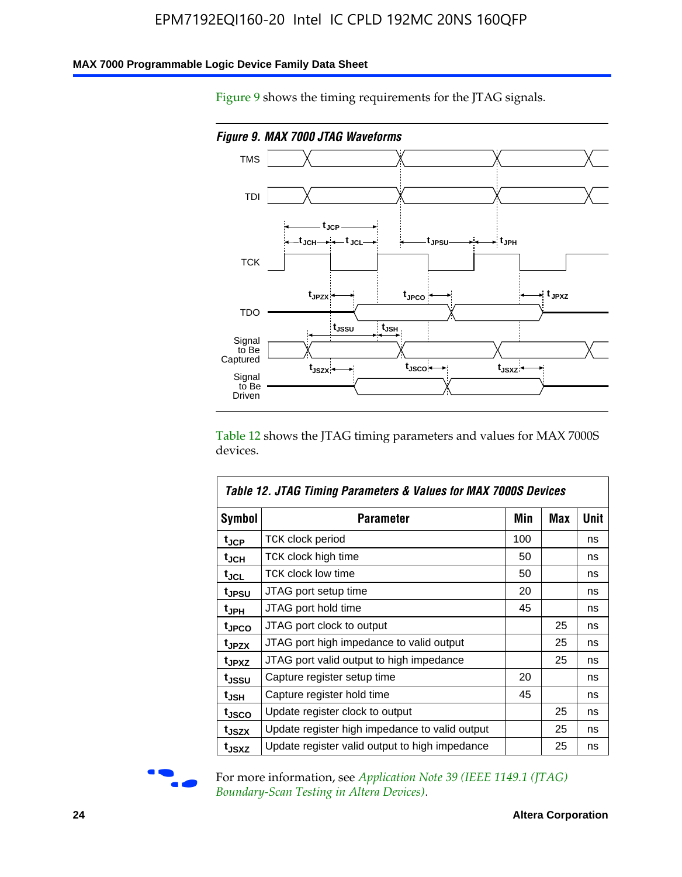### **MAX 7000 Programmable Logic Device Family Data Sheet**

Figure 9 shows the timing requirements for the JTAG signals.



Table 12 shows the JTAG timing parameters and values for MAX 7000S devices.

|                   | Table 12. JTAG Timing Parameters & Values for MAX 7000S Devices |     |            |      |
|-------------------|-----------------------------------------------------------------|-----|------------|------|
| <b>Symbol</b>     | Parameter                                                       | Min | <b>Max</b> | Unit |
| t <sub>JCP</sub>  | TCK clock period                                                | 100 |            | ns   |
| t <sub>JCH</sub>  | TCK clock high time                                             | 50  |            | ns   |
| t <sub>JCL</sub>  | <b>TCK clock low time</b>                                       | 50  |            | ns   |
| t <sub>JPSU</sub> | JTAG port setup time                                            | 20  |            | ns   |
| t <sub>JPH</sub>  | JTAG port hold time                                             | 45  |            | ns   |
| t <sub>JPCO</sub> | JTAG port clock to output                                       |     | 25         | ns   |
| t <sub>JPZX</sub> | JTAG port high impedance to valid output                        |     | 25         | ns   |
| t <sub>JPXZ</sub> | JTAG port valid output to high impedance                        |     | 25         | ns   |
| t <sub>JSSU</sub> | Capture register setup time                                     | 20  |            | ns   |
| t <sub>JSH</sub>  | Capture register hold time                                      | 45  |            | ns   |
| t <sub>JSCO</sub> | Update register clock to output                                 |     | 25         | ns   |
| t <sub>JSZX</sub> | Update register high impedance to valid output                  |     | 25         | ns   |
| t <sub>JSXZ</sub> | Update register valid output to high impedance                  |     | 25         | ns   |



For more information, see *Application Note 39 (IEEE 1149.1 (JTAG) Boundary-Scan Testing in Altera Devices)*.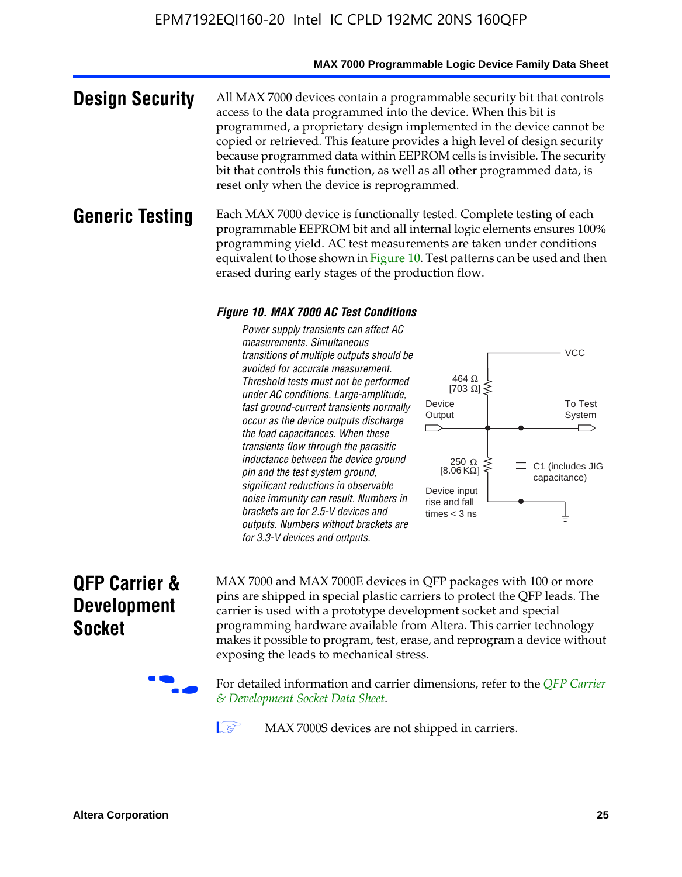#### **MAX 7000 Programmable Logic Device Family Data Sheet**

**Design Security** All MAX 7000 devices contain a programmable security bit that controls access to the data programmed into the device. When this bit is programmed, a proprietary design implemented in the device cannot be copied or retrieved. This feature provides a high level of design security because programmed data within EEPROM cells is invisible. The security bit that controls this function, as well as all other programmed data, is reset only when the device is reprogrammed.

### **Generic Testing** Each MAX 7000 device is functionally tested. Complete testing of each programmable EEPROM bit and all internal logic elements ensures 100% programming yield. AC test measurements are taken under conditions equivalent to those shown in Figure 10. Test patterns can be used and then erased during early stages of the production flow.

#### *Figure 10. MAX 7000 AC Test Conditions*

*Power supply transients can affect AC measurements. Simultaneous transitions of multiple outputs should be avoided for accurate measurement. Threshold tests must not be performed under AC conditions. Large-amplitude, fast ground-current transients normally occur as the device outputs discharge the load capacitances. When these transients flow through the parasitic inductance between the device ground pin and the test system ground, significant reductions in observable noise immunity can result. Numbers in brackets are for 2.5-V devices and outputs. Numbers without brackets are for 3.3-V devices and outputs.*



## **QFP Carrier & Development Socket**

MAX 7000 and MAX 7000E devices in QFP packages with 10[0 or more](http://www.altera.com/literature/ds/dsqfp.pdf)  [pins are shipped in special plas](http://www.altera.com/literature/ds/dsqfp.pdf)tic carriers to protect the QFP leads. The carrier is used with a prototype development socket and special programming hardware available from Altera. This carrier technology makes it possible to program, test, erase, and reprogram a device without exposing the leads to mechanical stress.

For detailed information and carrier dimensions, refer to the *QFP Carrier & Development Socket Data Sheet*.

MAX 7000S devices are not shipped in carriers.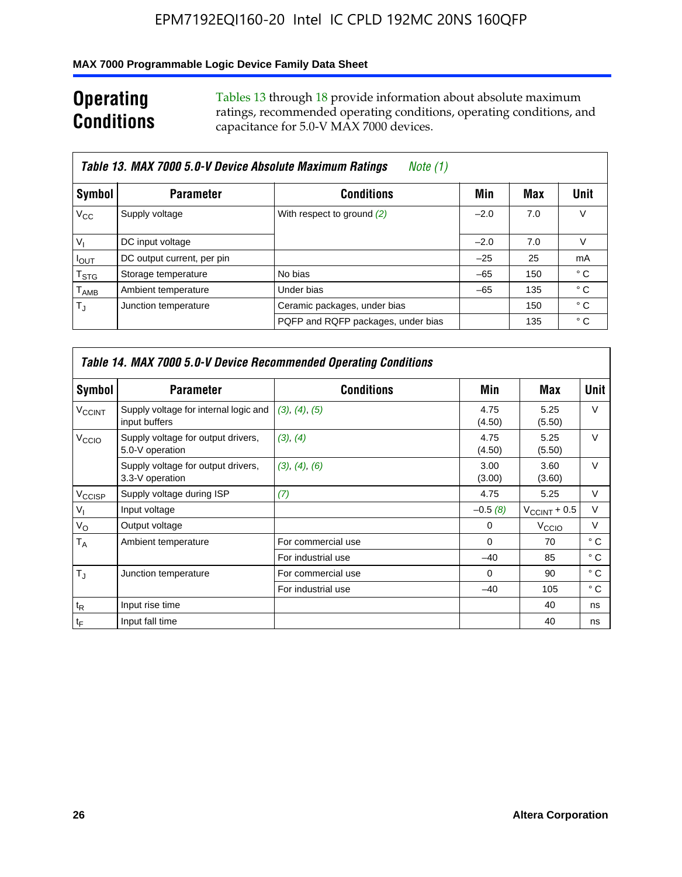### **MAX 7000 Programmable Logic Device Family Data Sheet**

## **Operating Conditions**

Tables 13 through 18 provide information about absolute maximum ratings, recommended operating conditions, operating conditions, and capacitance for 5.0-V MAX 7000 devices.

|                             | Table 13. MAX 7000 5.0-V Device Absolute Maximum Ratings | Note (1)                           |        |     |      |
|-----------------------------|----------------------------------------------------------|------------------------------------|--------|-----|------|
| Symbol                      | <b>Parameter</b>                                         | <b>Conditions</b>                  | Min    | Max | Unit |
| $V_{\rm CC}$                | Supply voltage                                           | With respect to ground (2)         | $-2.0$ | 7.0 | V    |
| $V_{1}$                     | DC input voltage                                         |                                    | $-2.0$ | 7.0 | V    |
| $I_{\text{OUT}}$            | DC output current, per pin                               |                                    | $-25$  | 25  | mA   |
| $\mathsf{T}_{\text{STG}}$   | Storage temperature                                      | No bias                            | $-65$  | 150 | ° C  |
| $\mathsf{T}_{\mathsf{AMB}}$ | Ambient temperature                                      | Under bias                         | $-65$  | 135 | ° C  |
| $T_{\rm J}$                 | Junction temperature                                     | Ceramic packages, under bias       |        | 150 | ° C  |
|                             |                                                          | PQFP and RQFP packages, under bias |        | 135 | ° C  |

|                          |                                                        | <b>Table 14. MAX 7000 5.0-V Device Recommended Operating Conditions</b> |                |                       |              |
|--------------------------|--------------------------------------------------------|-------------------------------------------------------------------------|----------------|-----------------------|--------------|
| Symbol                   | <b>Parameter</b>                                       | <b>Conditions</b>                                                       | Min            | Max                   | <b>Unit</b>  |
| <b>V<sub>CCINT</sub></b> | Supply voltage for internal logic and<br>input buffers | (3), (4), (5)                                                           | 4.75<br>(4.50) | 5.25<br>(5.50)        | $\vee$       |
| V <sub>CCIO</sub>        | Supply voltage for output drivers,<br>5.0-V operation  | (3), (4)                                                                | 4.75<br>(4.50) | 5.25<br>(5.50)        | $\vee$       |
|                          | Supply voltage for output drivers,<br>3.3-V operation  | (3), (4), (6)                                                           | 3.00<br>(3.00) | 3.60<br>(3.60)        | $\vee$       |
| V <sub>CCISP</sub>       | Supply voltage during ISP                              | (7)                                                                     | 4.75           | 5.25                  | V            |
| $V_{1}$                  | Input voltage                                          |                                                                         | $-0.5(8)$      | $V_{\rm CCINT}$ + 0.5 | V            |
| $V_{\rm O}$              | Output voltage                                         |                                                                         | 0              | V <sub>CCIO</sub>     | V            |
| T <sub>A</sub>           | Ambient temperature                                    | For commercial use                                                      | $\Omega$       | 70                    | $^{\circ}$ C |
|                          |                                                        | For industrial use                                                      | $-40$          | 85                    | $^{\circ}$ C |
| $T_{\rm J}$              | Junction temperature                                   | For commercial use                                                      | $\Omega$       | 90                    | ° C          |
|                          |                                                        | For industrial use                                                      | $-40$          | 105                   | ° C          |
| $t_{\mathsf{R}}$         | Input rise time                                        |                                                                         |                | 40                    | ns           |
| $t_F$                    | Input fall time                                        |                                                                         |                | 40                    | ns           |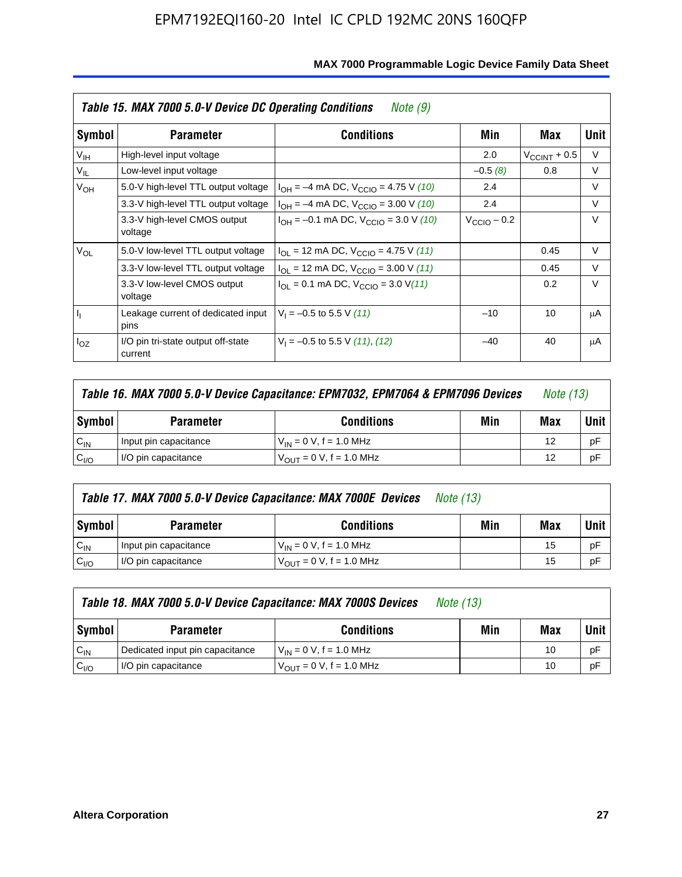|                 | Table 15. MAX 7000 5.0-V Device DC Operating Conditions<br>Note (9) |                                                                                                                                                                                                                                                                                                                                                                                                                                                                                                                            |  |                       |        |  |  |  |  |
|-----------------|---------------------------------------------------------------------|----------------------------------------------------------------------------------------------------------------------------------------------------------------------------------------------------------------------------------------------------------------------------------------------------------------------------------------------------------------------------------------------------------------------------------------------------------------------------------------------------------------------------|--|-----------------------|--------|--|--|--|--|
| Symbol          | <b>Parameter</b>                                                    | <b>Conditions</b><br>Min<br>2.0<br>$-0.5(8)$<br>2.4<br>$I_{OH} = -4$ mA DC, $V_{CClO} = 4.75$ V (10)<br>2.4<br>$I_{OH} = -4$ mA DC, $V_{CClO} = 3.00$ V (10)<br>$I_{OH} = -0.1$ mA DC, $V_{CClO} = 3.0$ V (10)<br>$V_{\text{CClO}}$ – 0.2<br>$I_{\text{OI}}$ = 12 mA DC, $V_{\text{CCIO}}$ = 4.75 V (11)<br>$I_{OL}$ = 12 mA DC, $V_{CClO}$ = 3.00 V (11)<br>$I_{\text{OI}} = 0.1 \text{ mA DC}, V_{\text{CCIO}} = 3.0 \text{ V} (11)$<br>$V_1 = -0.5$ to 5.5 V (11)<br>$-10$<br>$V_1 = -0.5$ to 5.5 V (11), (12)<br>$-40$ |  | Max                   | Unit   |  |  |  |  |
| V <sub>IH</sub> | High-level input voltage                                            |                                                                                                                                                                                                                                                                                                                                                                                                                                                                                                                            |  | $V_{\rm CCINT}$ + 0.5 | V      |  |  |  |  |
| $V_{IL}$        | Low-level input voltage                                             |                                                                                                                                                                                                                                                                                                                                                                                                                                                                                                                            |  | 0.8                   | V      |  |  |  |  |
| $V_{OH}$        | 5.0-V high-level TTL output voltage                                 |                                                                                                                                                                                                                                                                                                                                                                                                                                                                                                                            |  |                       | V      |  |  |  |  |
|                 | 3.3-V high-level TTL output voltage                                 |                                                                                                                                                                                                                                                                                                                                                                                                                                                                                                                            |  |                       | V      |  |  |  |  |
|                 | 3.3-V high-level CMOS output<br>voltage                             |                                                                                                                                                                                                                                                                                                                                                                                                                                                                                                                            |  |                       | $\vee$ |  |  |  |  |
| $V_{OL}$        | 5.0-V low-level TTL output voltage                                  |                                                                                                                                                                                                                                                                                                                                                                                                                                                                                                                            |  | 0.45                  | V      |  |  |  |  |
|                 | 3.3-V low-level TTL output voltage                                  |                                                                                                                                                                                                                                                                                                                                                                                                                                                                                                                            |  | 0.45                  | $\vee$ |  |  |  |  |
|                 | 3.3-V low-level CMOS output<br>voltage                              |                                                                                                                                                                                                                                                                                                                                                                                                                                                                                                                            |  | 0.2                   | $\vee$ |  |  |  |  |
| I <sub>I</sub>  | Leakage current of dedicated input<br>pins                          |                                                                                                                                                                                                                                                                                                                                                                                                                                                                                                                            |  | 10                    | μA     |  |  |  |  |
| $I_{OZ}$        | I/O pin tri-state output off-state<br>current                       |                                                                                                                                                                                                                                                                                                                                                                                                                                                                                                                            |  | 40                    | μA     |  |  |  |  |

|                  | Table 16. MAX 7000 5.0-V Device Capacitance: EPM7032, EPM7064 & EPM7096 Devices<br><i>Note (13)</i>   |                                     |     |             |    |
|------------------|-------------------------------------------------------------------------------------------------------|-------------------------------------|-----|-------------|----|
| Symbol           | Min<br><b>Conditions</b><br><b>Parameter</b><br>$V_{IN} = 0 V$ , f = 1.0 MHz<br>Input pin capacitance |                                     | Max | <b>Unit</b> |    |
| $C_{IN}$         |                                                                                                       |                                     |     | 12          | рF |
| C <sub>I/O</sub> | I/O pin capacitance                                                                                   | $V_{\text{OUT}} = 0$ V, f = 1.0 MHz |     | 12          | рF |

|                  | Table 17. MAX 7000 5.0-V Device Capacitance: MAX 7000E Devices | <i>Note (13)</i>               |     |     |        |
|------------------|----------------------------------------------------------------|--------------------------------|-----|-----|--------|
| Symbol           | <b>Parameter</b>                                               | <b>Conditions</b>              | Min | Max | Unit I |
| $C_{IN}$         | Input pin capacitance                                          | $V_{1N} = 0 V$ , f = 1.0 MHz   |     | 15  | pF     |
| C <sub>I/O</sub> | I/O pin capacitance                                            | $V_{OIII} = 0 V$ , f = 1.0 MHz |     | 15  | pF     |

|                  | Table 18. MAX 7000 5.0-V Device Capacitance: MAX 7000S Devices | <i>Note (13)</i>                    |     |     |        |
|------------------|----------------------------------------------------------------|-------------------------------------|-----|-----|--------|
| Symbol           | <b>Parameter</b>                                               | <b>Conditions</b>                   | Min | Max | Unit I |
| $C_{IN}$         | Dedicated input pin capacitance                                | $V_{IN} = 0 V$ , f = 1.0 MHz        |     | 10  | pF     |
| C <sub>I/O</sub> | I/O pin capacitance                                            | $V_{\text{OUT}} = 0$ V, f = 1.0 MHz |     | 10  | pF     |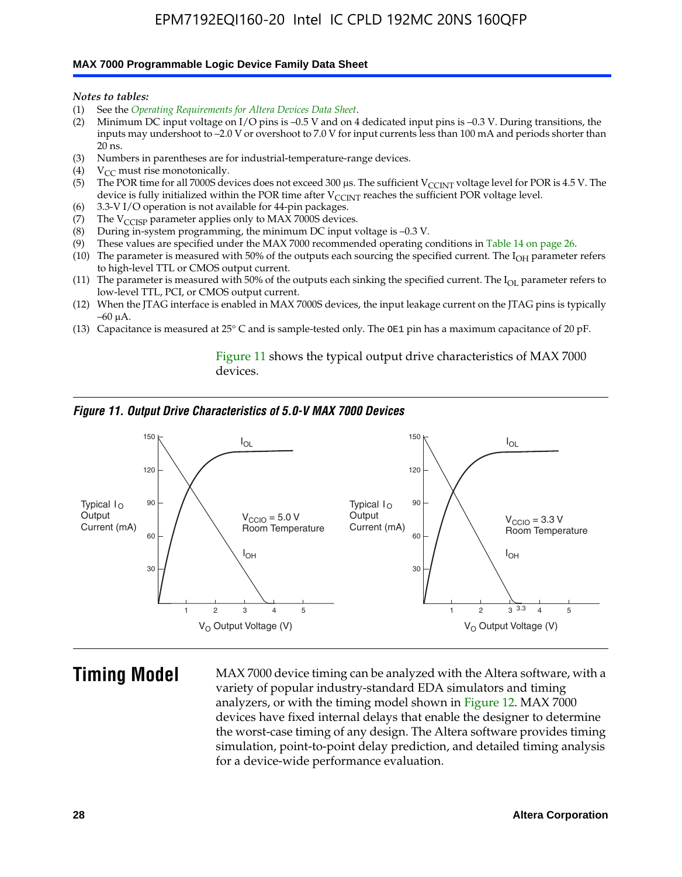#### **MAX 7000 Programmable Logic Device Family Data Sheet**

*Notes to tables:*

- (1) See the *Operating Requirements for Altera Devices Data Sheet*.
- (2) Minimum DC input voltage on I/O pins is –0.5 V and on 4 dedicated input pins is –0.3 V. During transitions, the inputs may undershoot to –2.0 V or overshoot to 7.0 V for input currents less than 100 mA and periods shorter than  $20$  ns.
- (3) Numbers in parentheses are for industrial-temperature-range devices.<br>(4)  $V_{CC}$  must rise monotonically.
- $V_{CC}$  must rise monotonically.
- (5) The POR time for all 7000S devices does not exceed 300 µs. The sufficient V<sub>CCINT</sub> voltage level for POR is 4.5 V. The device is fully initialized within the POR time after  $V_{\text{CCINT}}$  reaches the sufficient POR voltage level.
- (6) 3.3-V I/O operation is not available for 44-pin packages.
- (7) The  $V_{\text{CCISP}}$  parameter applies only to MAX 7000S devices.
- (8) During in-system programming, the minimum DC input voltage is –0.3 V.
- (9) These values are specified under the MAX 7000 recommended operating conditions in Table 14 on page 26.
- (10) The parameter is measured with 50% of the outputs each sourcing the specified current. The  $I_{OH}$  parameter refers to high-level TTL or CMOS output current.
- (11) The parameter is measured with 50% of the outputs each sinking the specified current. The  $I_{OL}$  parameter refers to low-level TTL, PCI, or CMOS output current.
- (12) When the JTAG interface is enabled in MAX 7000S devices, the input leakage current on the JTAG pins is typically –60 μA.
- (13) Capacitance is measured at 25° C and is sample-tested only. The OE1 pin has a maximum capacitance of 20 pF.

Figure 11 shows the typical output drive characteristics of MAX 7000 devices.

#### *Figure 11. Output Drive Characteristics of 5.0-V MAX 7000 Devices*



**Timing Model** MAX 7000 device timing can be analyzed with the Altera software, with a variety of popular industry-standard EDA simulators and timing analyzers, or with the timing model shown in Figure 12. MAX 7000 devices have fixed internal delays that enable the designer to determine the worst-case timing of any design. The Altera software provides timing simulation, point-to-point delay prediction, and detailed timing analysis for a device-wide performance evaluation.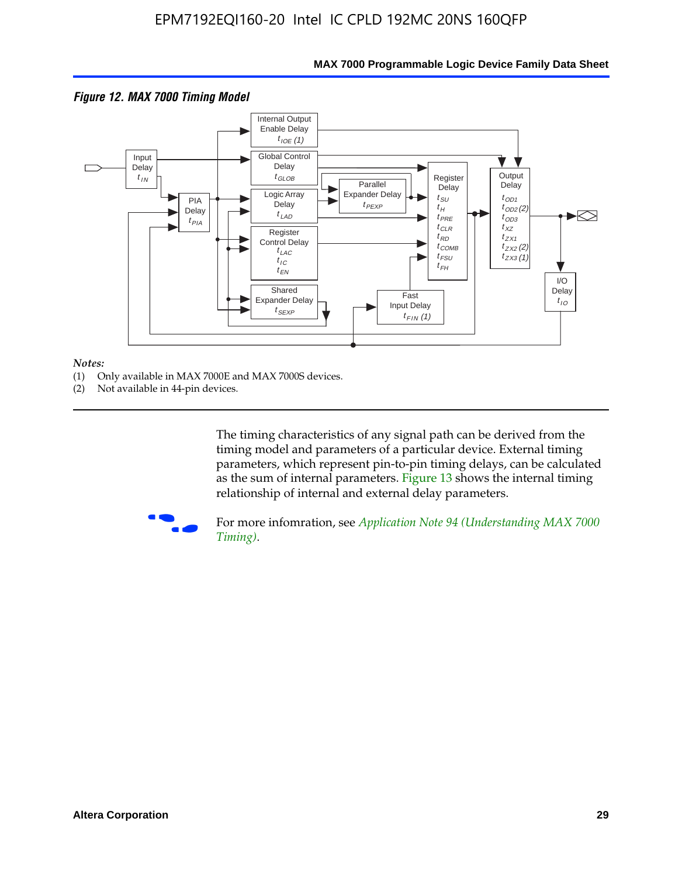

### **MAX 7000 Programmable Logic Device Family Data Sheet**

#### *Notes:*

- (1) Only available in MAX 7000E and MAX 7000S devices.
- (2) Not available in 44-pin devices.

[The tim](http://www.altera.com/literature/an/an094.pdf)ing characteristics [of any signal path can be derived from the](http://www.altera.com/literature/an/an094.pdf)  timing model and parameters of a particular device. External timing parameters, which represent pin-to-pin timing delays, can be calculated as the sum of internal parameters. Figure 13 shows the internal timing relationship of internal and external delay parameters.



For more infomration, see *Application Note 94 (Understanding MAX 7000 Timing)*.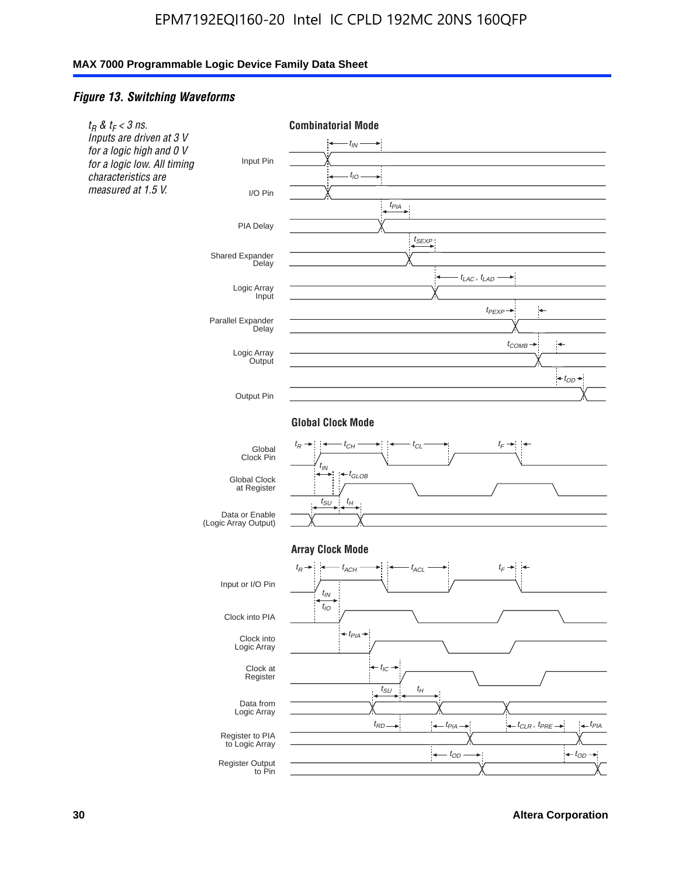### *Figure 13. Switching Waveforms*



**30 Altera Corporation**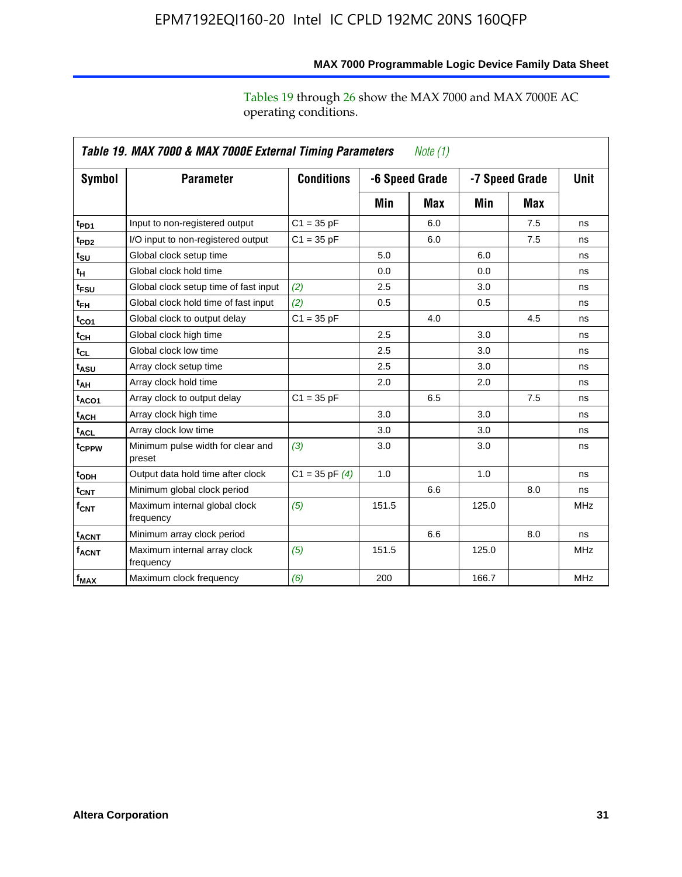|                         | Table 19. MAX 7000 & MAX 7000E External Timing Parameters<br>Note (1) |                    |       |                                  |       |             |            |  |
|-------------------------|-----------------------------------------------------------------------|--------------------|-------|----------------------------------|-------|-------------|------------|--|
| Symbol                  | <b>Parameter</b>                                                      | <b>Conditions</b>  |       | -6 Speed Grade<br>-7 Speed Grade |       | <b>Unit</b> |            |  |
|                         |                                                                       |                    | Min   | Max                              | Min   | Max         |            |  |
| t <sub>PD1</sub>        | Input to non-registered output                                        | $C1 = 35 pF$       |       | 6.0                              |       | 7.5         | ns         |  |
| $t_{PD2}$               | I/O input to non-registered output                                    | $C1 = 35 pF$       |       | 6.0                              |       | 7.5         | ns         |  |
| $t_{\text{SU}}$         | Global clock setup time                                               |                    | 5.0   |                                  | 6.0   |             | ns         |  |
| $t_H$                   | Global clock hold time                                                |                    | 0.0   |                                  | 0.0   |             | ns         |  |
| t <sub>FSU</sub>        | Global clock setup time of fast input                                 | (2)                | 2.5   |                                  | 3.0   |             | ns         |  |
| $t_{FH}$                | Global clock hold time of fast input                                  | (2)                | 0.5   |                                  | 0.5   |             | ns         |  |
| $t_{CO1}$               | Global clock to output delay                                          | $C1 = 35 pF$       |       | 4.0                              |       | 4.5         | ns         |  |
| $t_{CH}$                | Global clock high time                                                |                    | 2.5   |                                  | 3.0   |             | ns         |  |
| $t_{CL}$                | Global clock low time                                                 |                    | 2.5   |                                  | 3.0   |             | ns         |  |
| t <sub>ASU</sub>        | Array clock setup time                                                |                    | 2.5   |                                  | 3.0   |             | ns         |  |
| t <sub>АН</sub>         | Array clock hold time                                                 |                    | 2.0   |                                  | 2.0   |             | ns         |  |
| $t_{ACO1}$              | Array clock to output delay                                           | $C1 = 35 pF$       |       | 6.5                              |       | 7.5         | ns         |  |
| t <sub>ACH</sub>        | Array clock high time                                                 |                    | 3.0   |                                  | 3.0   |             | ns         |  |
| $t_{\sf ACL}$           | Array clock low time                                                  |                    | 3.0   |                                  | 3.0   |             | ns         |  |
| t <sub>CPPW</sub>       | Minimum pulse width for clear and<br>preset                           | (3)                | 3.0   |                                  | 3.0   |             | ns         |  |
| t <sub>ODH</sub>        | Output data hold time after clock                                     | $C1 = 35$ pF $(4)$ | 1.0   |                                  | 1.0   |             | ns         |  |
| $t_{\mathsf{CNT}}$      | Minimum global clock period                                           |                    |       | 6.6                              |       | 8.0         | ns         |  |
| $f_{\text{CNT}}$        | Maximum internal global clock<br>frequency                            | (5)                | 151.5 |                                  | 125.0 |             | <b>MHz</b> |  |
| <b>t<sub>ACNT</sub></b> | Minimum array clock period                                            |                    |       | 6.6                              |       | 8.0         | ns         |  |
| <b>f<sub>ACNT</sub></b> | Maximum internal array clock<br>frequency                             | (5)                | 151.5 |                                  | 125.0 |             | <b>MHz</b> |  |
| f <sub>MAX</sub>        | Maximum clock frequency                                               | (6)                | 200   |                                  | 166.7 |             | <b>MHz</b> |  |

## **MAX 7000 Programmable Logic Device Family Data Sheet**

Tables 19 through 26 show the MAX 7000 and MAX 7000E AC operating conditions.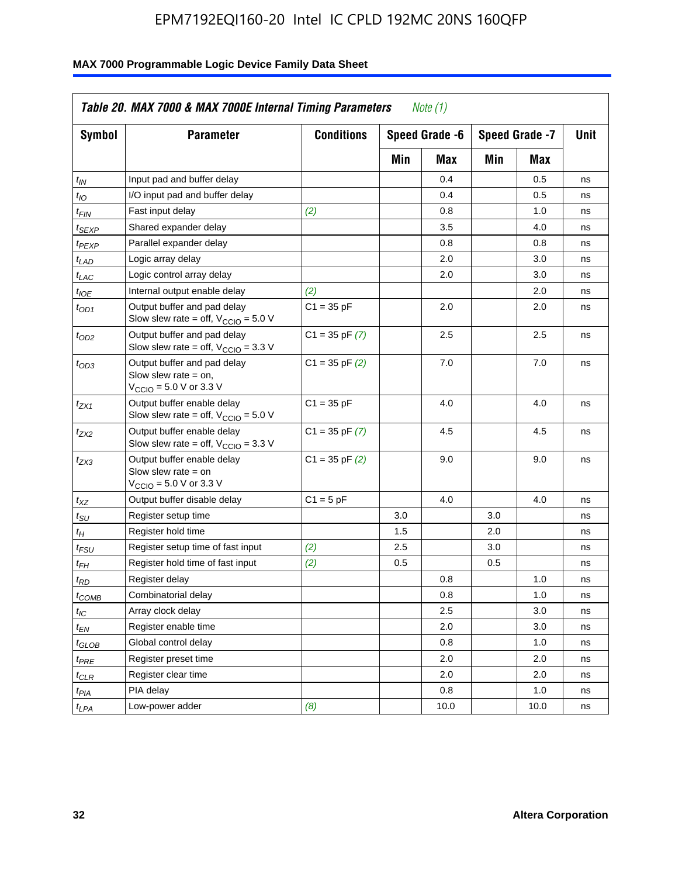| <b>Symbol</b>               | <b>Parameter</b>                                                                                             | <b>Conditions</b>  |     | Speed Grade -6 |     | Speed Grade -7 | Unit |
|-----------------------------|--------------------------------------------------------------------------------------------------------------|--------------------|-----|----------------|-----|----------------|------|
|                             |                                                                                                              |                    | Min | Max            | Min | Max            |      |
| $t_{IN}$                    | Input pad and buffer delay                                                                                   |                    |     | 0.4            |     | 0.5            | ns   |
| $t_{IO}$                    | I/O input pad and buffer delay                                                                               |                    |     | 0.4            |     | 0.5            | ns   |
| $t_{\sf FIN}$               | Fast input delay                                                                                             | (2)                |     | 0.8            |     | 1.0            | ns   |
| <sup>t</sup> SEXP           | Shared expander delay                                                                                        |                    |     | 3.5            |     | 4.0            | ns   |
| t <sub>PEXP</sub>           | Parallel expander delay                                                                                      |                    |     | 0.8            |     | 0.8            | ns   |
| t <sub>LAD</sub>            | Logic array delay                                                                                            |                    |     | 2.0            |     | 3.0            | ns   |
| $t_{LAC}$                   | Logic control array delay                                                                                    |                    |     | 2.0            |     | 3.0            | ns   |
| $t_{IOE}$                   | Internal output enable delay                                                                                 | (2)                |     |                |     | 2.0            | ns   |
| $t_{OD1}$                   | Output buffer and pad delay<br>Slow slew rate = off, $V_{\text{CCIO}} = 5.0 V$                               | $C1 = 35 pF$       |     | 2.0            |     | 2.0            | ns   |
| $t_{OD2}$                   | Output buffer and pad delay<br>Slow slew rate = off, $V_{\text{CCIO}} = 3.3$ V                               | $C1 = 35$ pF $(7)$ |     | 2.5            |     | 2.5            | ns   |
| $t_{OD3}$                   | Output buffer and pad delay<br>Slow slew rate $=$ on,<br>$V_{\text{CCIO}} = 5.0 \text{ V or } 3.3 \text{ V}$ | $C1 = 35$ pF $(2)$ |     | 7.0            |     | 7.0            | ns   |
| $t_{ZX1}$                   | Output buffer enable delay<br>Slow slew rate = off, $V_{\text{CCIO}} = 5.0 V$                                | $C1 = 35 pF$       |     | 4.0            |     | 4.0            | ns   |
| t <sub>ZX2</sub>            | Output buffer enable delay<br>Slow slew rate = off, $V_{\text{CCIO}} = 3.3 \text{ V}$                        | $C1 = 35$ pF $(7)$ |     | 4.5            |     | 4.5            | ns   |
| tzx3                        | Output buffer enable delay<br>Slow slew rate $=$ on<br>$V_{\text{CCIO}} = 5.0 \text{ V or } 3.3 \text{ V}$   | $C1 = 35$ pF $(2)$ |     | 9.0            |     | 9.0            | ns   |
| $t_{\mathsf{XZ}}$           | Output buffer disable delay                                                                                  | $C1 = 5pF$         |     | 4.0            |     | 4.0            | ns   |
| $t_{\scriptstyle\text{SU}}$ | Register setup time                                                                                          |                    | 3.0 |                | 3.0 |                | ns   |
| $t_H$                       | Register hold time                                                                                           |                    | 1.5 |                | 2.0 |                | ns   |
| t <sub>FSU</sub>            | Register setup time of fast input                                                                            | (2)                | 2.5 |                | 3.0 |                | ns   |
| $t_{FH}$                    | Register hold time of fast input                                                                             | (2)                | 0.5 |                | 0.5 |                | ns   |
| t <sub>RD</sub>             | Register delay                                                                                               |                    |     | 0.8            |     | 1.0            | ns   |
| $t_{\mathsf{COMB}}$         | Combinatorial delay                                                                                          |                    |     | 0.8            |     | 1.0            | ns   |
| $t_{IC}$                    | Array clock delay                                                                                            |                    |     | 2.5            |     | 3.0            | ns   |
| $t_{EN}$                    | Register enable time                                                                                         |                    |     | 2.0            |     | 3.0            | ns   |
| t <sub>GLOB</sub>           | Global control delay                                                                                         |                    |     | 0.8            |     | 1.0            | ns   |
| $t_{PRE}$                   | Register preset time                                                                                         |                    |     | 2.0            |     | 2.0            | ns   |
| $t_{\sf CLR}$               | Register clear time                                                                                          |                    |     | 2.0            |     | 2.0            | ns   |
| $t_{PIA}$                   | PIA delay                                                                                                    |                    |     | 0.8            |     | 1.0            | ns   |
| $t_{LPA}$                   | Low-power adder                                                                                              | (8)                |     | 10.0           |     | 10.0           | ns   |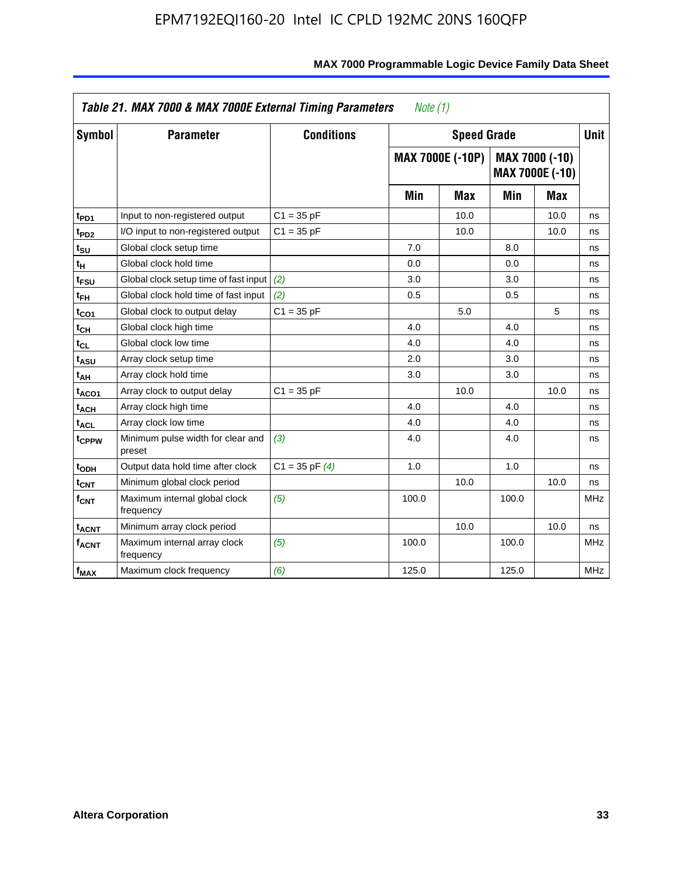|                             | Table 21. MAX 7000 & MAX 7000E External Timing Parameters |                    | Note $(1)$ |                         |       |                                          |             |
|-----------------------------|-----------------------------------------------------------|--------------------|------------|-------------------------|-------|------------------------------------------|-------------|
| Symbol                      | <b>Parameter</b>                                          | <b>Conditions</b>  |            | <b>Speed Grade</b>      |       |                                          | <b>Unit</b> |
|                             |                                                           |                    |            | <b>MAX 7000E (-10P)</b> |       | MAX 7000 (-10)<br><b>MAX 7000E (-10)</b> |             |
|                             |                                                           |                    | Min        | <b>Max</b>              | Min   | Max                                      |             |
| t <sub>PD1</sub>            | Input to non-registered output                            | $C1 = 35 pF$       |            | 10.0                    |       | 10.0                                     | ns          |
| t <sub>PD2</sub>            | I/O input to non-registered output                        | $C1 = 35 pF$       |            | 10.0                    |       | 10.0                                     | ns          |
| t <sub>SU</sub>             | Global clock setup time                                   |                    | 7.0        |                         | 8.0   |                                          | ns          |
| tн                          | Global clock hold time                                    |                    | 0.0        |                         | 0.0   |                                          | ns          |
| t <sub>FSU</sub>            | Global clock setup time of fast input                     | (2)                | 3.0        |                         | 3.0   |                                          | ns          |
| t <sub>FH</sub>             | Global clock hold time of fast input                      | (2)                | 0.5        |                         | 0.5   |                                          | ns          |
| t <sub>CO1</sub>            | Global clock to output delay                              | $C1 = 35 pF$       |            | 5.0                     |       | 5                                        | ns          |
| $t_{\mathsf{CH}}$           | Global clock high time                                    |                    | 4.0        |                         | 4.0   |                                          | ns          |
| $t_{CL}$                    | Global clock low time                                     |                    | 4.0        |                         | 4.0   |                                          | ns          |
| t <sub>ASU</sub>            | Array clock setup time                                    |                    | 2.0        |                         | 3.0   |                                          | ns          |
| t <sub>АН</sub>             | Array clock hold time                                     |                    | 3.0        |                         | 3.0   |                                          | ns          |
| t <sub>ACO1</sub>           | Array clock to output delay                               | $C1 = 35 pF$       |            | 10.0                    |       | 10.0                                     | ns          |
| t <sub>ACH</sub>            | Array clock high time                                     |                    | 4.0        |                         | 4.0   |                                          | ns          |
| $t_{\sf ACL}$               | Array clock low time                                      |                    | 4.0        |                         | 4.0   |                                          | ns          |
| t <sub>CPPW</sub>           | Minimum pulse width for clear and<br>preset               | (3)                | 4.0        |                         | 4.0   |                                          | ns          |
| t <sub>ODH</sub>            | Output data hold time after clock                         | $C1 = 35$ pF $(4)$ | 1.0        |                         | 1.0   |                                          | ns          |
| $t_{\mathsf{CNT}}$          | Minimum global clock period                               |                    |            | 10.0                    |       | 10.0                                     | ns          |
| $\mathsf{f}_{\mathsf{CNT}}$ | Maximum internal global clock<br>frequency                | (5)                | 100.0      |                         | 100.0 |                                          | <b>MHz</b>  |
| <b>t<sub>ACNT</sub></b>     | Minimum array clock period                                |                    |            | 10.0                    |       | 10.0                                     | ns          |
| $f_{ACNT}$                  | Maximum internal array clock<br>frequency                 | (5)                | 100.0      |                         | 100.0 |                                          | <b>MHz</b>  |
| $f_{MAX}$                   | Maximum clock frequency                                   | (6)                | 125.0      |                         | 125.0 |                                          | <b>MHz</b>  |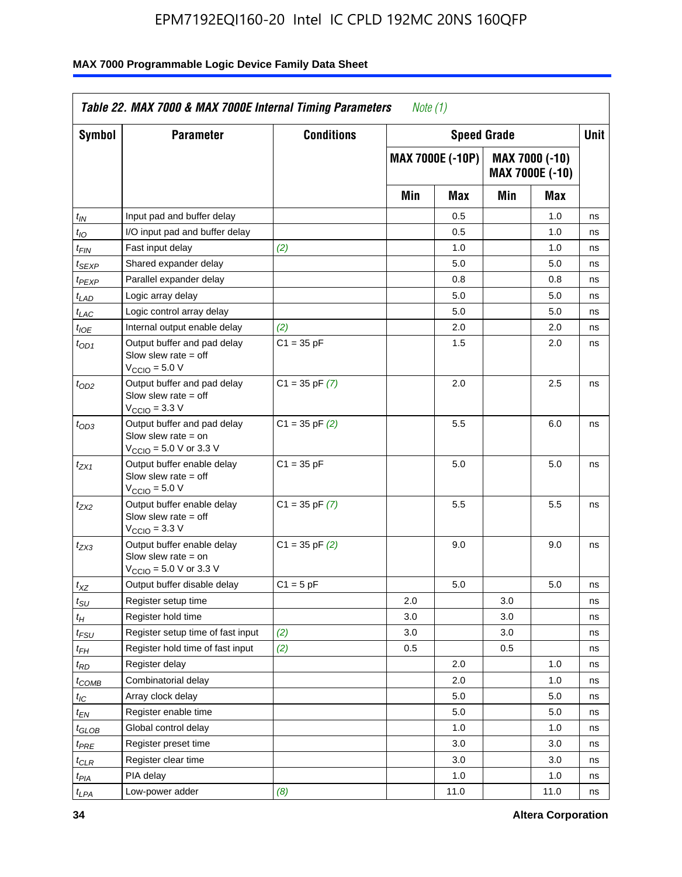| Symbol                      | <b>Parameter</b>                                                                                            | <b>Conditions</b>  |     | <b>Speed Grade</b>      |     |                                   | Unit |
|-----------------------------|-------------------------------------------------------------------------------------------------------------|--------------------|-----|-------------------------|-----|-----------------------------------|------|
|                             |                                                                                                             |                    |     | <b>MAX 7000E (-10P)</b> |     | MAX 7000 (-10)<br>MAX 7000E (-10) |      |
|                             |                                                                                                             |                    | Min | Max                     | Min | Max                               |      |
| $t_{IN}$                    | Input pad and buffer delay                                                                                  |                    |     | 0.5                     |     | 1.0                               | ns   |
| $t_{IO}$                    | I/O input pad and buffer delay                                                                              |                    |     | 0.5                     |     | 1.0                               | ns   |
| t <sub>FIN</sub>            | Fast input delay                                                                                            | (2)                |     | 1.0                     |     | 1.0                               | ns   |
| $t_{SEXP}$                  | Shared expander delay                                                                                       |                    |     | 5.0                     |     | 5.0                               | ns   |
| $t_{PEXP}$                  | Parallel expander delay                                                                                     |                    |     | 0.8                     |     | 0.8                               | ns   |
| t <sub>LAD</sub>            | Logic array delay                                                                                           |                    |     | 5.0                     |     | 5.0                               | ns   |
| $t_{LAC}$                   | Logic control array delay                                                                                   |                    |     | 5.0                     |     | 5.0                               | ns   |
| $t_{IOE}$                   | Internal output enable delay                                                                                | (2)                |     | 2.0                     |     | 2.0                               | ns   |
| $t_{OD1}$                   | Output buffer and pad delay<br>Slow slew rate $=$ off<br>V <sub>CCIO</sub> = 5.0 V                          | $C1 = 35 pF$       |     | 1.5                     |     | 2.0                               | ns   |
| $t_{OD2}$                   | Output buffer and pad delay<br>Slow slew rate $=$ off<br>$V_{\text{CCIO}} = 3.3 \text{ V}$                  | $C1 = 35$ pF $(7)$ |     | 2.0                     |     | 2.5                               | ns   |
| $t_{OD3}$                   | Output buffer and pad delay<br>Slow slew rate $=$ on<br>$V_{\text{CCIO}} = 5.0 \text{ V or } 3.3 \text{ V}$ | $C1 = 35$ pF $(2)$ |     | 5.5                     |     | 6.0                               | ns   |
| t <sub>ZX1</sub>            | Output buffer enable delay<br>Slow slew rate $=$ off<br>$VCCIO = 5.0 V$                                     | $C1 = 35 pF$       |     | 5.0                     |     | 5.0                               | ns   |
| t <sub>ZX2</sub>            | Output buffer enable delay<br>Slow slew rate $=$ off<br>$VCCIO = 3.3 V$                                     | $C1 = 35$ pF $(7)$ |     | 5.5                     |     | 5.5                               | ns   |
| t <sub>ZX3</sub>            | Output buffer enable delay<br>Slow slew rate $=$ on<br>$V_{\text{CCIO}} = 5.0 \text{ V or } 3.3 \text{ V}$  | $C1 = 35$ pF $(2)$ |     | 9.0                     |     | 9.0                               | ns   |
| $t_{XZ}$                    | Output buffer disable delay                                                                                 | $C1 = 5 pF$        |     | 5.0                     |     | 5.0                               | ns   |
| $t_{\scriptstyle\text{SU}}$ | Register setup time                                                                                         |                    | 2.0 |                         | 3.0 |                                   | ns   |
| $t_H$                       | Register hold time                                                                                          |                    | 3.0 |                         | 3.0 |                                   | ns   |
| $t_{\it FSU}$               | Register setup time of fast input                                                                           | (2)                | 3.0 |                         | 3.0 |                                   | ns   |
| $t_{FH}$                    | Register hold time of fast input                                                                            | (2)                | 0.5 |                         | 0.5 |                                   | ns   |
| t <sub>RD</sub>             | Register delay                                                                                              |                    |     | 2.0                     |     | 1.0                               | ns   |
| $t_{COMB}$                  | Combinatorial delay                                                                                         |                    |     | 2.0                     |     | 1.0                               | ns   |
| ЧC                          | Array clock delay                                                                                           |                    |     | 5.0                     |     | 5.0                               | ns   |
| $t_{EN}$                    | Register enable time                                                                                        |                    |     | 5.0                     |     | 5.0                               | ns   |
| $t_{GLOB}$                  | Global control delay                                                                                        |                    |     | 1.0                     |     | 1.0                               | ns   |
| $t_{PRE}$                   | Register preset time                                                                                        |                    |     | 3.0                     |     | 3.0                               | ns   |
| $t_{CLR}$                   | Register clear time                                                                                         |                    |     | 3.0                     |     | 3.0                               | ns   |
| t <sub>PIA</sub>            | PIA delay                                                                                                   |                    |     | 1.0                     |     | 1.0                               | ns   |
| $t_{LPA}$                   | Low-power adder                                                                                             | (8)                |     | 11.0                    |     | 11.0                              | ns   |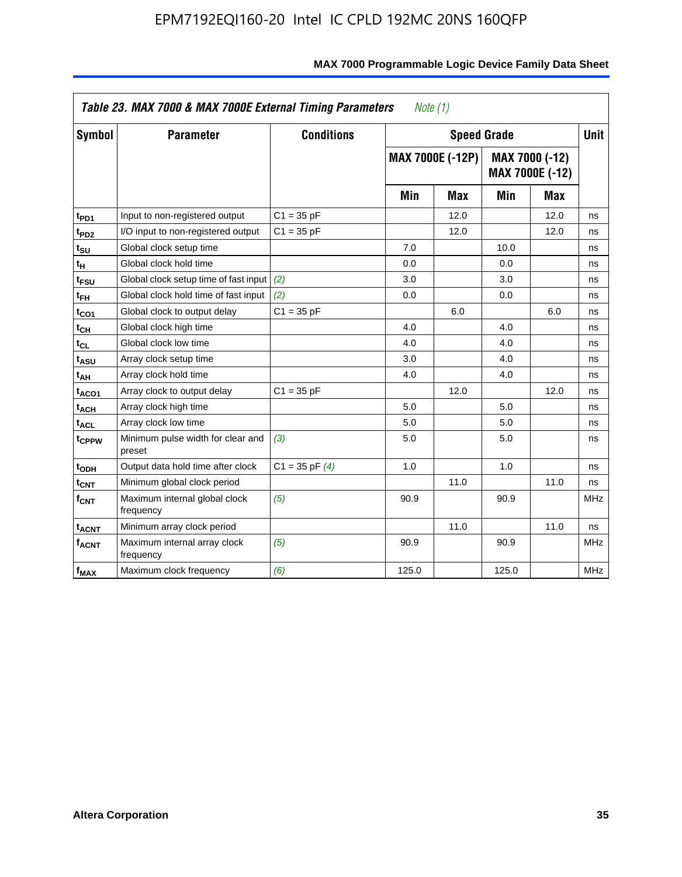| Symbol                      | <b>Parameter</b>                            | <b>Conditions</b>  |       | <b>Speed Grade</b>      |       |                                   | <b>Unit</b> |
|-----------------------------|---------------------------------------------|--------------------|-------|-------------------------|-------|-----------------------------------|-------------|
|                             |                                             |                    |       | <b>MAX 7000E (-12P)</b> |       | MAX 7000 (-12)<br>MAX 7000E (-12) |             |
|                             |                                             |                    | Min   | Max                     | Min   | <b>Max</b>                        |             |
| t <sub>PD1</sub>            | Input to non-registered output              | $C1 = 35 pF$       |       | 12.0                    |       | 12.0                              | ns          |
| t <sub>PD2</sub>            | I/O input to non-registered output          | $C1 = 35 pF$       |       | 12.0                    |       | 12.0                              | ns          |
| t <sub>su</sub>             | Global clock setup time                     |                    | 7.0   |                         | 10.0  |                                   | ns          |
| tμ                          | Global clock hold time                      |                    | 0.0   |                         | 0.0   |                                   | ns          |
| t <sub>FSU</sub>            | Global clock setup time of fast input       | (2)                | 3.0   |                         | 3.0   |                                   | ns          |
| t <sub>FH</sub>             | Global clock hold time of fast input        | (2)                | 0.0   |                         | 0.0   |                                   | ns          |
| t <sub>CO1</sub>            | Global clock to output delay                | $C1 = 35 pF$       |       | 6.0                     |       | 6.0                               | ns          |
| $t_{\mathsf{CH}}$           | Global clock high time                      |                    | 4.0   |                         | 4.0   |                                   | ns          |
| $t_{CL}$                    | Global clock low time                       |                    | 4.0   |                         | 4.0   |                                   | ns          |
| t <sub>ASU</sub>            | Array clock setup time                      |                    | 3.0   |                         | 4.0   |                                   | ns          |
| t <sub>АН</sub>             | Array clock hold time                       |                    | 4.0   |                         | 4.0   |                                   | ns          |
| t <sub>ACO1</sub>           | Array clock to output delay                 | $C1 = 35 pF$       |       | 12.0                    |       | 12.0                              | ns          |
| t <sub>ACH</sub>            | Array clock high time                       |                    | 5.0   |                         | 5.0   |                                   | ns          |
| $t_{\sf ACL}$               | Array clock low time                        |                    | 5.0   |                         | 5.0   |                                   | ns          |
| t <sub>CPPW</sub>           | Minimum pulse width for clear and<br>preset | (3)                | 5.0   |                         | 5.0   |                                   | ns          |
| t <sub>ODH</sub>            | Output data hold time after clock           | $C1 = 35$ pF $(4)$ | 1.0   |                         | 1.0   |                                   | ns          |
| $t_{\mathsf{CNT}}$          | Minimum global clock period                 |                    |       | 11.0                    |       | 11.0                              | ns          |
| $\mathsf{f}_{\mathsf{CNT}}$ | Maximum internal global clock<br>frequency  | (5)                | 90.9  |                         | 90.9  |                                   | <b>MHz</b>  |
| <b>t<sub>ACNT</sub></b>     | Minimum array clock period                  |                    |       | 11.0                    |       | 11.0                              | ns          |
| f <sub>ACNT</sub>           | Maximum internal array clock<br>frequency   | (5)                | 90.9  |                         | 90.9  |                                   | <b>MHz</b>  |
| $f_{MAX}$                   | Maximum clock frequency                     | (6)                | 125.0 |                         | 125.0 |                                   | MHz         |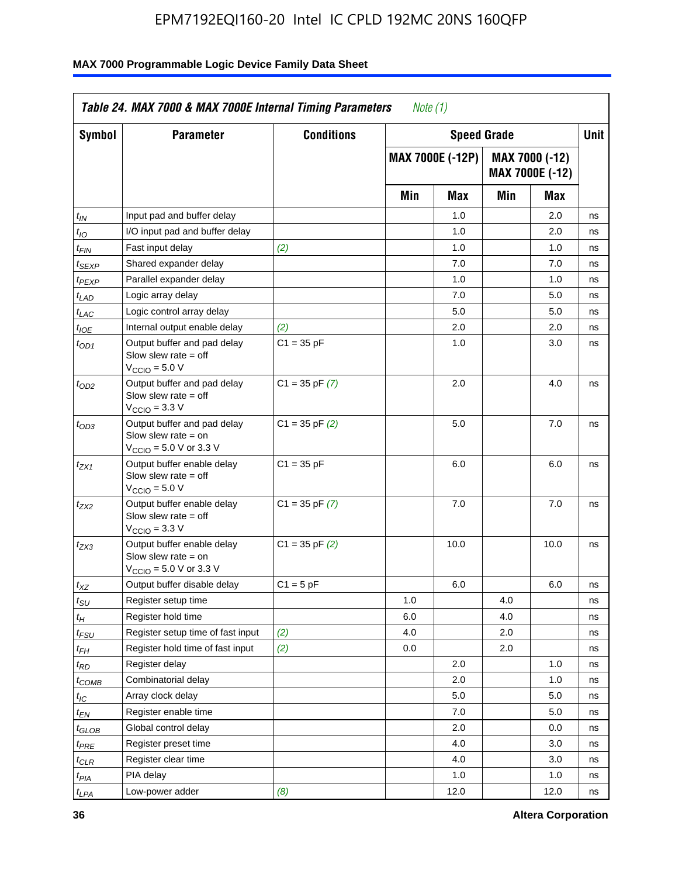| <b>Symbol</b>               | <b>Parameter</b>                                                                                           | <b>Conditions</b>  |     | <b>Speed Grade</b>      |     |                                          | <b>Unit</b> |
|-----------------------------|------------------------------------------------------------------------------------------------------------|--------------------|-----|-------------------------|-----|------------------------------------------|-------------|
|                             |                                                                                                            |                    |     | <b>MAX 7000E (-12P)</b> |     | MAX 7000 (-12)<br><b>MAX 7000E (-12)</b> |             |
|                             |                                                                                                            |                    | Min | Max                     | Min | Max                                      |             |
| $t_{\mathsf{IN}}$           | Input pad and buffer delay                                                                                 |                    |     | 1.0                     |     | 2.0                                      | ns          |
| $t_{IO}$                    | I/O input pad and buffer delay                                                                             |                    |     | 1.0                     |     | 2.0                                      | ns          |
| $t_{\sf FIN}$               | Fast input delay                                                                                           | (2)                |     | 1.0                     |     | 1.0                                      | ns          |
| t <sub>SEXP</sub>           | Shared expander delay                                                                                      |                    |     | 7.0                     |     | 7.0                                      | ns          |
| t <sub>PEXP</sub>           | Parallel expander delay                                                                                    |                    |     | 1.0                     |     | 1.0                                      | ns          |
| t <sub>LAD</sub>            | Logic array delay                                                                                          |                    |     | 7.0                     |     | 5.0                                      | ns          |
| $t_{LAC}$                   | Logic control array delay                                                                                  |                    |     | 5.0                     |     | 5.0                                      | ns          |
| $t_{IOE}$                   | Internal output enable delay                                                                               | (2)                |     | 2.0                     |     | 2.0                                      | ns          |
| $t_{OD1}$                   | Output buffer and pad delay<br>Slow slew rate $=$ off<br>$V_{\text{CCIO}} = 5.0 V$                         | $C1 = 35 pF$       |     | 1.0                     |     | 3.0                                      | ns          |
| $t_{OD2}$                   | Output buffer and pad delay<br>Slow slew rate $=$ off<br>V <sub>CCIO</sub> = 3.3 V                         | $C1 = 35$ pF $(7)$ |     | 2.0                     |     | 4.0                                      | ns          |
| $t_{OD3}$                   | Output buffer and pad delay<br>Slow slew rate = on<br>$V_{\text{CCIO}} = 5.0 \text{ V or } 3.3 \text{ V}$  | $C1 = 35$ pF $(2)$ |     | 5.0                     |     | 7.0                                      | ns          |
| $t_{ZX1}$                   | Output buffer enable delay<br>Slow slew rate $=$ off<br>$V_{\text{CCIO}} = 5.0 V$                          | $C1 = 35 pF$       |     | 6.0                     |     | 6.0                                      | ns          |
| t <sub>ZX2</sub>            | Output buffer enable delay<br>Slow slew rate $=$ off<br>$V_{\text{CCIO}} = 3.3 \text{ V}$                  | $C1 = 35$ pF $(7)$ |     | 7.0                     |     | 7.0                                      | ns          |
| $t_{ZX3}$                   | Output buffer enable delay<br>Slow slew rate $=$ on<br>$V_{\text{CCIO}} = 5.0 \text{ V or } 3.3 \text{ V}$ | $C1 = 35$ pF $(2)$ |     | 10.0                    |     | 10.0                                     | ns          |
| $t_{\mathsf{XZ}}$           | Output buffer disable delay                                                                                | $C1 = 5 pF$        |     | 6.0                     |     | 6.0                                      | ns          |
| $t_{\scriptstyle\text{SU}}$ | Register setup time                                                                                        |                    | 1.0 |                         | 4.0 |                                          | ns          |
| t <sub>Η</sub>              | Register hold time                                                                                         |                    | 6.0 |                         | 4.0 |                                          | ns          |
| $t_{\mathit{FSU}}$          | Register setup time of fast input                                                                          | (2)                | 4.0 |                         | 2.0 |                                          | ns          |
| t <sub>FН</sub>             | Register hold time of fast input                                                                           | (2)                | 0.0 |                         | 2.0 |                                          | ns          |
| $t_{RD}$                    | Register delay                                                                                             |                    |     | 2.0                     |     | 1.0                                      | ns          |
| $t_{COMB}$                  | Combinatorial delay                                                                                        |                    |     | 2.0                     |     | 1.0                                      | ns          |
| ЧC                          | Array clock delay                                                                                          |                    |     | $5.0\,$                 |     | 5.0                                      | 115         |
| $t_{EN}$                    | Register enable time                                                                                       |                    |     | 7.0                     |     | 5.0                                      | ns          |
| $t_{GLOB}$                  | Global control delay                                                                                       |                    |     | 2.0                     |     | 0.0                                      | ns          |
| t <sub>PRE</sub>            | Register preset time                                                                                       |                    |     | 4.0                     |     | 3.0                                      | ns          |
| $t_{CLR}$                   | Register clear time                                                                                        |                    |     | 4.0                     |     | 3.0                                      | ns          |
| t <sub>PIA</sub>            | PIA delay                                                                                                  |                    |     | 1.0                     |     | 1.0                                      | ns          |
| $t_{LPA}$                   | Low-power adder                                                                                            | (8)                |     | 12.0                    |     | 12.0                                     | ns          |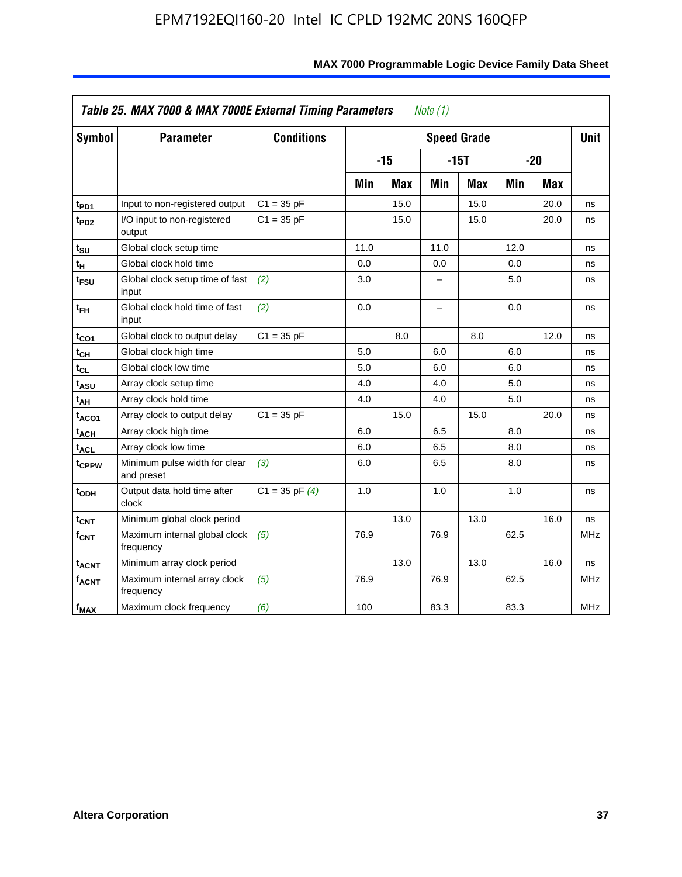| <b>Symbol</b>           | <b>Parameter</b>                            | <b>Conditions</b>  |      |            |      | <b>Speed Grade</b> |      |            | <b>Unit</b> |
|-------------------------|---------------------------------------------|--------------------|------|------------|------|--------------------|------|------------|-------------|
|                         |                                             |                    |      | $-15$      |      | $-15T$             |      | $-20$      |             |
|                         |                                             |                    | Min  | <b>Max</b> | Min  | <b>Max</b>         | Min  | <b>Max</b> |             |
| $t_{PD1}$               | Input to non-registered output              | $C1 = 35 pF$       |      | 15.0       |      | 15.0               |      | 20.0       | ns          |
| t <sub>PD2</sub>        | I/O input to non-registered<br>output       | $C1 = 35 pF$       |      | 15.0       |      | 15.0               |      | 20.0       | ns          |
| tsu                     | Global clock setup time                     |                    | 11.0 |            | 11.0 |                    | 12.0 |            | ns          |
| $t_H$                   | Global clock hold time                      |                    | 0.0  |            | 0.0  |                    | 0.0  |            | ns          |
| t <sub>FSU</sub>        | Global clock setup time of fast<br>input    | (2)                | 3.0  |            | -    |                    | 5.0  |            | ns          |
| $t_{FH}$                | Global clock hold time of fast<br>input     | (2)                | 0.0  |            | -    |                    | 0.0  |            | ns          |
| t <sub>CO1</sub>        | Global clock to output delay                | $C1 = 35 pF$       |      | 8.0        |      | 8.0                |      | 12.0       | ns          |
| $t_{\mathsf{CH}}$       | Global clock high time                      |                    | 5.0  |            | 6.0  |                    | 6.0  |            | ns          |
| $t_{CL}$                | Global clock low time                       |                    | 5.0  |            | 6.0  |                    | 6.0  |            | ns          |
| $t_{ASU}$               | Array clock setup time                      |                    | 4.0  |            | 4.0  |                    | 5.0  |            | ns          |
| t <sub>АН</sub>         | Array clock hold time                       |                    | 4.0  |            | 4.0  |                    | 5.0  |            | ns          |
| t <sub>ACO1</sub>       | Array clock to output delay                 | $C1 = 35 pF$       |      | 15.0       |      | 15.0               |      | 20.0       | ns          |
| $t_{\sf ACH}$           | Array clock high time                       |                    | 6.0  |            | 6.5  |                    | 8.0  |            | ns          |
| t <sub>ACL</sub>        | Array clock low time                        |                    | 6.0  |            | 6.5  |                    | 8.0  |            | ns          |
| t <sub>CPPW</sub>       | Minimum pulse width for clear<br>and preset | (3)                | 6.0  |            | 6.5  |                    | 8.0  |            | ns          |
| t <sub>ODH</sub>        | Output data hold time after<br>clock        | $C1 = 35$ pF $(4)$ | 1.0  |            | 1.0  |                    | 1.0  |            | ns          |
| $t_{\mathsf{CNT}}$      | Minimum global clock period                 |                    |      | 13.0       |      | 13.0               |      | 16.0       | ns          |
| $f_{\mathsf{CNT}}$      | Maximum internal global clock<br>frequency  | (5)                | 76.9 |            | 76.9 |                    | 62.5 |            | <b>MHz</b>  |
| <b>t<sub>ACNT</sub></b> | Minimum array clock period                  |                    |      | 13.0       |      | 13.0               |      | 16.0       | ns          |
| <b>fACNT</b>            | Maximum internal array clock<br>frequency   | (5)                | 76.9 |            | 76.9 |                    | 62.5 |            | <b>MHz</b>  |
| $f_{MAX}$               | Maximum clock frequency                     | (6)                | 100  |            | 83.3 |                    | 83.3 |            | MHz         |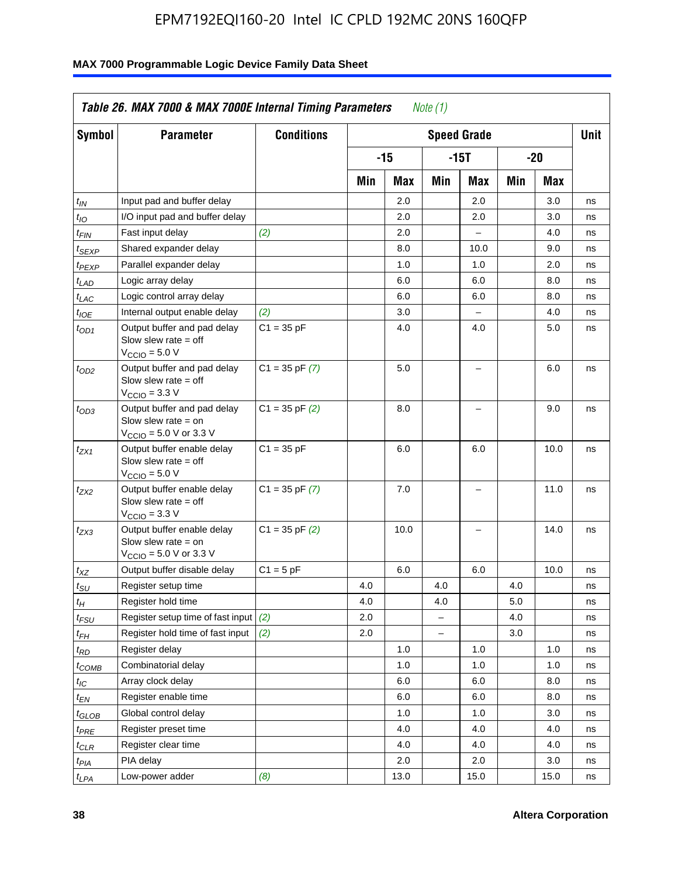| <b>Symbol</b>                 | <b>Parameter</b>                                                                                            | <b>Conditions</b>  |     |      |                          | <b>Speed Grade</b>       |     |      | <b>Unit</b> |
|-------------------------------|-------------------------------------------------------------------------------------------------------------|--------------------|-----|------|--------------------------|--------------------------|-----|------|-------------|
|                               |                                                                                                             |                    |     | -15  |                          | $-15T$                   |     | -20  |             |
|                               |                                                                                                             |                    | Min | Max  | Min                      | Max                      | Min | Max  |             |
| $t_{IN}$                      | Input pad and buffer delay                                                                                  |                    |     | 2.0  |                          | 2.0                      |     | 3.0  | ns          |
| $t_{IO}$                      | I/O input pad and buffer delay                                                                              |                    |     | 2.0  |                          | 2.0                      |     | 3.0  | ns          |
| $t_{\textit{FIN}}$            | Fast input delay                                                                                            | (2)                |     | 2.0  |                          | $\equiv$                 |     | 4.0  | ns          |
| $t_{SEXP}$                    | Shared expander delay                                                                                       |                    |     | 8.0  |                          | 10.0                     |     | 9.0  | ns          |
| t <sub>PEXP</sub>             | Parallel expander delay                                                                                     |                    |     | 1.0  |                          | 1.0                      |     | 2.0  | ns          |
| t <sub>LAD</sub>              | Logic array delay                                                                                           |                    |     | 6.0  |                          | 6.0                      |     | 8.0  | ns          |
| $t_{LAC}$                     | Logic control array delay                                                                                   |                    |     | 6.0  |                          | 6.0                      |     | 8.0  | ns          |
| $t_{IOE}$                     | Internal output enable delay                                                                                | (2)                |     | 3.0  |                          | $\overline{\phantom{0}}$ |     | 4.0  | ns          |
| $t_{OD1}$                     | Output buffer and pad delay<br>Slow slew rate $=$ off<br>$V_{\text{CCIO}} = 5.0 V$                          | $C1 = 35 pF$       |     | 4.0  |                          | 4.0                      |     | 5.0  | ns          |
| $t_{OD2}$                     | Output buffer and pad delay<br>Slow slew rate $=$ off<br>$V_{\text{CCIO}} = 3.3 \text{ V}$                  | $C1 = 35 pF(7)$    |     | 5.0  |                          | $\overline{\phantom{0}}$ |     | 6.0  | ns          |
| $t_{OD3}$                     | Output buffer and pad delay<br>Slow slew rate $=$ on<br>$V_{\text{CCIO}} = 5.0 \text{ V or } 3.3 \text{ V}$ | $C1 = 35$ pF $(2)$ |     | 8.0  |                          |                          |     | 9.0  | ns          |
| $t_{ZX1}$                     | Output buffer enable delay<br>Slow slew rate $=$ off<br>$V_{\text{CCIO}} = 5.0 V$                           | $C1 = 35 pF$       |     | 6.0  |                          | 6.0                      |     | 10.0 | ns          |
| t <sub>ZX2</sub>              | Output buffer enable delay<br>Slow slew rate $=$ off<br>$V_{\text{CCIO}} = 3.3 \text{ V}$                   | $C1 = 35$ pF $(7)$ |     | 7.0  |                          | L,                       |     | 11.0 | ns          |
| t <sub>ZX3</sub>              | Output buffer enable delay<br>Slow slew rate $=$ on<br>$V_{\text{CCIO}} = 5.0 \text{ V or } 3.3 \text{ V}$  | $C1 = 35$ pF $(2)$ |     | 10.0 |                          |                          |     | 14.0 | ns          |
| $t_{\mathsf{XZ}}$             | Output buffer disable delay                                                                                 | $C1 = 5pF$         |     | 6.0  |                          | 6.0                      |     | 10.0 | ns          |
| $t_{\scriptstyle\text{SU}}$   | Register setup time                                                                                         |                    | 4.0 |      | 4.0                      |                          | 4.0 |      | ns          |
| tμ                            | Register hold time                                                                                          |                    | 4.0 |      | 4.0                      |                          | 5.0 |      | ns          |
| t <sub>FSU</sub>              | Register setup time of fast input                                                                           | (2)                | 2.0 |      | $\overline{\phantom{0}}$ |                          | 4.0 |      | ns          |
| t <sub>FH</sub>               | Register hold time of fast input                                                                            | (2)                | 2.0 |      | L.                       |                          | 3.0 |      | ns          |
| $t_{RD}$                      | Register delay                                                                                              |                    |     | 1.0  |                          | 1.0                      |     | 1.0  | ns          |
| $t_{COMB}$                    | Combinatorial delay                                                                                         |                    |     | 1.0  |                          | 1.0                      |     | 1.0  | ns          |
| $t_{IC}$                      | Array clock delay                                                                                           |                    |     | 6.0  |                          | 6.0                      |     | 8.0  | ns          |
| $t_{EN}$                      | Register enable time                                                                                        |                    |     | 6.0  |                          | 6.0                      |     | 8.0  | ns          |
| $t_{\scriptstyle\text{GLOB}}$ | Global control delay                                                                                        |                    |     | 1.0  |                          | 1.0                      |     | 3.0  | ns          |
| $t_{PRE}$                     | Register preset time                                                                                        |                    |     | 4.0  |                          | 4.0                      |     | 4.0  | ns          |
| $t_{\sf CLR}$                 | Register clear time                                                                                         |                    |     | 4.0  |                          | 4.0                      |     | 4.0  | ns          |
| $t_{PIA}$                     | PIA delay                                                                                                   |                    |     | 2.0  |                          | 2.0                      |     | 3.0  | ns          |
| $t_{LPA}$                     | Low-power adder                                                                                             | (8)                |     | 13.0 |                          | 15.0                     |     | 15.0 | ns          |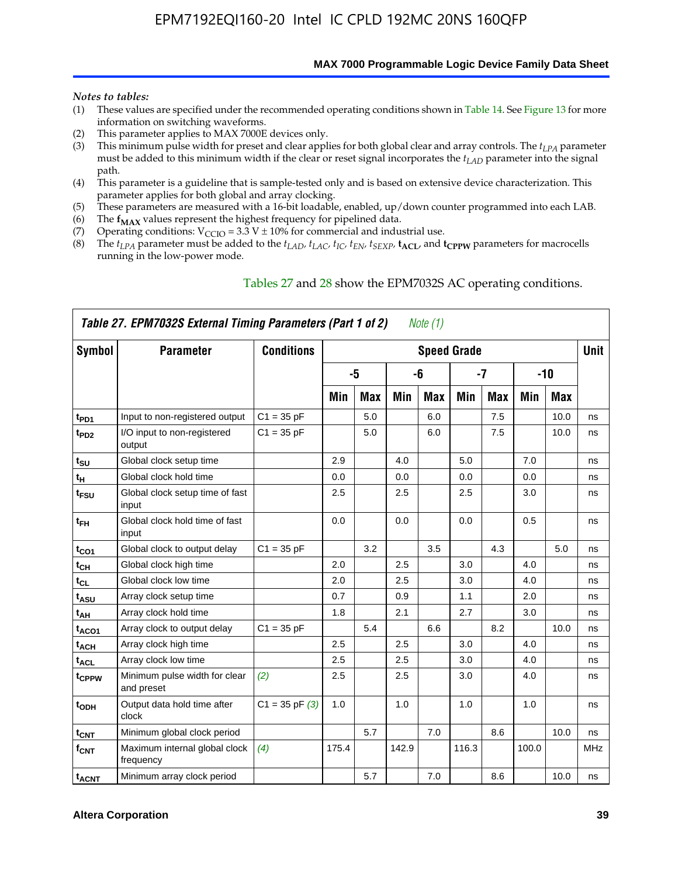**MAX 7000 Programmable Logic Device Family Data Sheet**

#### *Notes to tables:*

- (1) These values are specified under the recommended operating conditions shown in Table 14. See Figure 13 for more information on switching waveforms.
- (2) This parameter applies to MAX 7000E devices only.
- (3) This minimum pulse width for preset and clear applies for both global clear and array controls. The *tLPA* parameter must be added to this minimum width if the clear or reset signal incorporates the *tLAD* parameter into the signal path.
- (4) This parameter is a guideline that is sample-tested only and is based on extensive device characterization. This parameter applies for both global and array clocking.
- (5) These parameters are measured with a 16-bit loadable, enabled, up/down counter programmed into each LAB.
- (6) The  $f_{MAX}$  values represent the highest frequency for pipelined data.
- (7) Operating conditions:  $V_{\text{CCIO}} = 3.3 \text{ V} \pm 10\%$  for commercial and industrial use.
- (8) The  $t_{LPA}$  parameter must be added to the  $t_{LAD}$ ,  $t_{LAC}$ ,  $t_{IC}$ ,  $t_{EN}$ ,  $t_{SEXP}$ ,  $t_{ACL}$ , and  $t_{CPPW}$  parameters for macrocells running in the low-power mode.

|                    | Table 27. EPM7032S External Timing Parameters (Part 1 of 2) |                    |       |            |       | Note (1) |                    |            |       |            |             |
|--------------------|-------------------------------------------------------------|--------------------|-------|------------|-------|----------|--------------------|------------|-------|------------|-------------|
| Symbol             | <b>Parameter</b>                                            | <b>Conditions</b>  |       |            |       |          | <b>Speed Grade</b> |            |       |            | <b>Unit</b> |
|                    |                                                             |                    |       | -5         |       | -6       |                    | -7         |       | $-10$      |             |
|                    |                                                             |                    | Min   | <b>Max</b> | Min   | Max      | Min                | <b>Max</b> | Min   | <b>Max</b> |             |
| t <sub>PD1</sub>   | Input to non-registered output                              | $C1 = 35 pF$       |       | 5.0        |       | 6.0      |                    | 7.5        |       | 10.0       | ns          |
| $t_{PD2}$          | I/O input to non-registered<br>output                       | $C1 = 35 pF$       |       | 5.0        |       | 6.0      |                    | 7.5        |       | 10.0       | ns          |
| tsu                | Global clock setup time                                     |                    | 2.9   |            | 4.0   |          | 5.0                |            | 7.0   |            | ns          |
| t <sub>H</sub>     | Global clock hold time                                      |                    | 0.0   |            | 0.0   |          | 0.0                |            | 0.0   |            | ns          |
| $t_{\text{FSU}}$   | Global clock setup time of fast<br>input                    |                    | 2.5   |            | 2.5   |          | 2.5                |            | 3.0   |            | ns          |
| $t_{FH}$           | Global clock hold time of fast<br>input                     |                    | 0.0   |            | 0.0   |          | 0.0                |            | 0.5   |            | ns          |
| $t_{CO1}$          | Global clock to output delay                                | $C1 = 35 pF$       |       | 3.2        |       | 3.5      |                    | 4.3        |       | 5.0        | ns          |
| $t_{\mathsf{CH}}$  | Global clock high time                                      |                    | 2.0   |            | 2.5   |          | 3.0                |            | 4.0   |            | ns          |
| $t_{CL}$           | Global clock low time                                       |                    | 2.0   |            | 2.5   |          | 3.0                |            | 4.0   |            | ns          |
| t <sub>ASU</sub>   | Array clock setup time                                      |                    | 0.7   |            | 0.9   |          | 1.1                |            | 2.0   |            | ns          |
| t <sub>АН</sub>    | Array clock hold time                                       |                    | 1.8   |            | 2.1   |          | 2.7                |            | 3.0   |            | ns          |
| t <sub>ACO1</sub>  | Array clock to output delay                                 | $C1 = 35 pF$       |       | 5.4        |       | 6.6      |                    | 8.2        |       | 10.0       | ns          |
| t <sub>ACH</sub>   | Array clock high time                                       |                    | 2.5   |            | 2.5   |          | 3.0                |            | 4.0   |            | ns          |
| t <sub>ACL</sub>   | Array clock low time                                        |                    | 2.5   |            | 2.5   |          | 3.0                |            | 4.0   |            | ns          |
| t <sub>CPPW</sub>  | Minimum pulse width for clear<br>and preset                 | (2)                | 2.5   |            | 2.5   |          | 3.0                |            | 4.0   |            | ns          |
| t <sub>ODH</sub>   | Output data hold time after<br>clock                        | $C1 = 35$ pF $(3)$ | 1.0   |            | 1.0   |          | 1.0                |            | 1.0   |            | ns          |
| $t_{\mathsf{CNT}}$ | Minimum global clock period                                 |                    |       | 5.7        |       | 7.0      |                    | 8.6        |       | 10.0       | ns          |
| $f_{\mathsf{CNT}}$ | Maximum internal global clock<br>frequency                  | (4)                | 175.4 |            | 142.9 |          | 116.3              |            | 100.0 |            | <b>MHz</b>  |
| t <sub>ACNT</sub>  | Minimum array clock period                                  |                    |       | 5.7        |       | 7.0      |                    | 8.6        |       | 10.0       | ns          |

### Tables 27 and 28 show the EPM7032S AC operating conditions.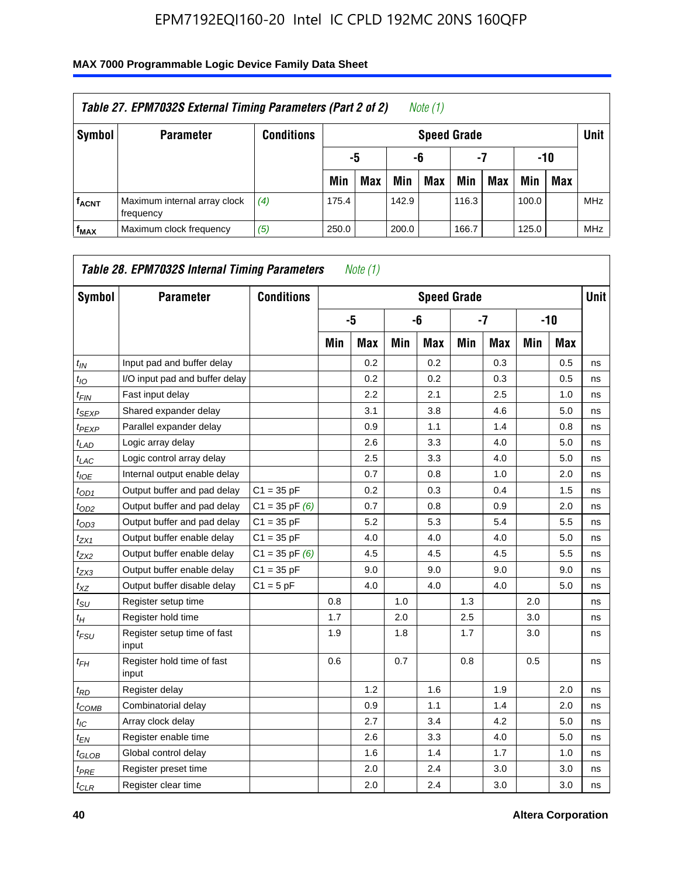| Table 27. EPM7032S External Timing Parameters (Part 2 of 2)<br>Note (1) |                                           |                   |       |                       |       |                    |       |     |       |            |            |  |  |
|-------------------------------------------------------------------------|-------------------------------------------|-------------------|-------|-----------------------|-------|--------------------|-------|-----|-------|------------|------------|--|--|
| Symbol                                                                  | <b>Parameter</b>                          | <b>Conditions</b> |       |                       |       | <b>Speed Grade</b> |       |     |       |            | Unit       |  |  |
|                                                                         |                                           |                   |       | -7<br>-10<br>-6<br>-5 |       |                    |       |     |       |            |            |  |  |
|                                                                         |                                           |                   | Min   | <b>Max</b>            | Min   | <b>Max</b>         | Min   | Max | Min   | <b>Max</b> |            |  |  |
| <b>fACNT</b>                                                            | Maximum internal array clock<br>frequency | (4)               | 175.4 |                       | 142.9 |                    | 116.3 |     | 100.0 |            | <b>MHz</b> |  |  |
| f <sub>MAX</sub>                                                        | Maximum clock frequency                   | (5)               | 250.0 |                       | 200.0 |                    | 166.7 |     | 125.0 |            | <b>MHz</b> |  |  |

| Symbol                        | <b>Parameter</b>                     | <b>Conditions</b>  |     |            |     | <b>Speed Grade</b> |     |            |     |       | <b>Unit</b> |
|-------------------------------|--------------------------------------|--------------------|-----|------------|-----|--------------------|-----|------------|-----|-------|-------------|
|                               |                                      |                    |     | -5         |     | -6                 |     | $-7$       |     | $-10$ |             |
|                               |                                      |                    | Min | <b>Max</b> | Min | <b>Max</b>         | Min | <b>Max</b> | Min | Max   |             |
| $t_{IN}$                      | Input pad and buffer delay           |                    |     | 0.2        |     | 0.2                |     | 0.3        |     | 0.5   | ns          |
| $t_{IO}$                      | I/O input pad and buffer delay       |                    |     | 0.2        |     | 0.2                |     | 0.3        |     | 0.5   | ns          |
| $t_{\sf FIN}$                 | Fast input delay                     |                    |     | 2.2        |     | 2.1                |     | 2.5        |     | 1.0   | ns          |
| t <sub>SEXP</sub>             | Shared expander delay                |                    |     | 3.1        |     | 3.8                |     | 4.6        |     | 5.0   | ns          |
| $t_{PEXP}$                    | Parallel expander delay              |                    |     | 0.9        |     | 1.1                |     | 1.4        |     | 0.8   | ns          |
| $t_{LAD}$                     | Logic array delay                    |                    |     | 2.6        |     | 3.3                |     | 4.0        |     | 5.0   | ns          |
| $t_{LAC}$                     | Logic control array delay            |                    |     | 2.5        |     | 3.3                |     | 4.0        |     | 5.0   | ns          |
| $t_{IOE}$                     | Internal output enable delay         |                    |     | 0.7        |     | 0.8                |     | 1.0        |     | 2.0   | ns          |
| $t_{OD1}$                     | Output buffer and pad delay          | $C1 = 35 pF$       |     | 0.2        |     | 0.3                |     | 0.4        |     | 1.5   | ns          |
| $t_{OD2}$                     | Output buffer and pad delay          | $C1 = 35$ pF $(6)$ |     | 0.7        |     | 0.8                |     | 0.9        |     | 2.0   | ns          |
| $t_{OD3}$                     | Output buffer and pad delay          | $C1 = 35 pF$       |     | 5.2        |     | 5.3                |     | 5.4        |     | 5.5   | ns          |
| $t_{ZX1}$                     | Output buffer enable delay           | $C1 = 35 pF$       |     | 4.0        |     | 4.0                |     | 4.0        |     | 5.0   | ns          |
| t <sub>ZX2</sub>              | Output buffer enable delay           | $C1 = 35$ pF $(6)$ |     | 4.5        |     | 4.5                |     | 4.5        |     | 5.5   | ns          |
| t <sub>ZX3</sub>              | Output buffer enable delay           | $C1 = 35 pF$       |     | 9.0        |     | 9.0                |     | 9.0        |     | 9.0   | ns          |
| $t_{XZ}$                      | Output buffer disable delay          | $C1 = 5pF$         |     | 4.0        |     | 4.0                |     | 4.0        |     | 5.0   | ns          |
| $t_{\text{SU}}$               | Register setup time                  |                    | 0.8 |            | 1.0 |                    | 1.3 |            | 2.0 |       | ns          |
| $t_H$                         | Register hold time                   |                    | 1.7 |            | 2.0 |                    | 2.5 |            | 3.0 |       | ns          |
| $t_{\mathit{FSU}}$            | Register setup time of fast<br>input |                    | 1.9 |            | 1.8 |                    | 1.7 |            | 3.0 |       | ns          |
| t <sub>FН</sub>               | Register hold time of fast<br>input  |                    | 0.6 |            | 0.7 |                    | 0.8 |            | 0.5 |       | ns          |
| $t_{RD}$                      | Register delay                       |                    |     | 1.2        |     | 1.6                |     | 1.9        |     | 2.0   | ns          |
| $t_{COMB}$                    | Combinatorial delay                  |                    |     | 0.9        |     | 1.1                |     | 1.4        |     | 2.0   | ns          |
| $t_{IC}$                      | Array clock delay                    |                    |     | 2.7        |     | 3.4                |     | 4.2        |     | 5.0   | ns          |
| $t_{EN}$                      | Register enable time                 |                    |     | 2.6        |     | 3.3                |     | 4.0        |     | 5.0   | ns          |
| $t_{\scriptstyle\text{GLOB}}$ | Global control delay                 |                    |     | 1.6        |     | 1.4                |     | 1.7        |     | 1.0   | ns          |
| $t_{PRE}$                     | Register preset time                 |                    |     | 2.0        |     | 2.4                |     | 3.0        |     | 3.0   | ns          |
| $t_{CLR}$                     | Register clear time                  |                    |     | 2.0        |     | 2.4                |     | 3.0        |     | 3.0   | ns          |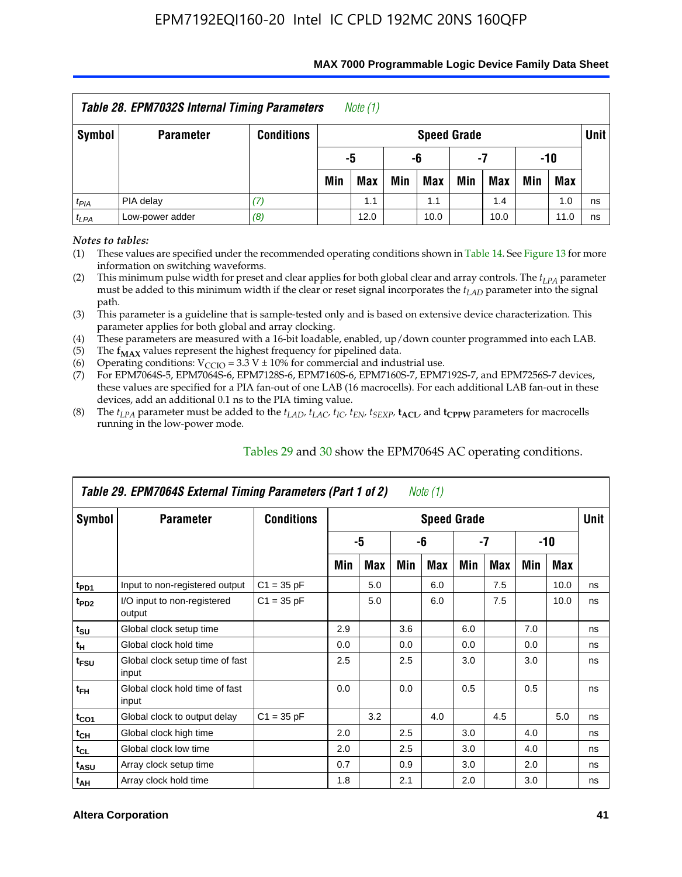| Table 28. EPM7032S Internal Timing Parameters<br>Note (1) |                                                              |                   |     |                       |     |                    |     |            |     |            |             |  |  |
|-----------------------------------------------------------|--------------------------------------------------------------|-------------------|-----|-----------------------|-----|--------------------|-----|------------|-----|------------|-------------|--|--|
| Symbol                                                    | <b>Parameter</b>                                             | <b>Conditions</b> |     |                       |     | <b>Speed Grade</b> |     |            |     |            | <b>Unit</b> |  |  |
|                                                           |                                                              |                   |     | -10<br>-5<br>-6<br>-7 |     |                    |     |            |     |            |             |  |  |
|                                                           |                                                              |                   | Min | <b>Max</b>            | Min | Max                | Min | <b>Max</b> | Min | <b>Max</b> |             |  |  |
| $t_{PIA}$                                                 | PIA delay                                                    |                   |     | 1.1                   |     | 1.1                |     | 1.4        |     | 1.0        | ns          |  |  |
| $t_{LPA}$                                                 | Low-power adder<br>(8)<br>12.0<br>10.0<br>10.0<br>11.0<br>ns |                   |     |                       |     |                    |     |            |     |            |             |  |  |

#### **MAX 7000 Programmable Logic Device Family Data Sheet**

*Notes to tables:*

(1) These values are specified under the recommended operating conditions shown in Table 14. See Figure 13 for more information on switching waveforms.

(2) This minimum pulse width for preset and clear applies for both global clear and array controls. The  $t_{LPA}$  parameter must be added to this minimum width if the clear or reset signal incorporates the *tLAD* parameter into the signal path.

(3) This parameter is a guideline that is sample-tested only and is based on extensive device characterization. This parameter applies for both global and array clocking.

(4) These parameters are measured with a 16-bit loadable, enabled, up/down counter programmed into each LAB.

(5) The  $f_{MAX}$  values represent the highest frequency for pipelined data.

(6) Operating conditions:  $V_{\text{CCIO}} = 3.3 \text{ V} \pm 10\%$  for commercial and industrial use.

(7) For EPM7064S-5, EPM7064S-6, EPM7128S-6, EPM7160S-6, EPM7160S-7, EPM7192S-7, and EPM7256S-7 devices, these values are specified for a PIA fan-out of one LAB (16 macrocells). For each additional LAB fan-out in these devices, add an additional 0.1 ns to the PIA timing value.

(8) The  $t_{LPA}$  parameter must be added to the  $t_{LAD}$ ,  $t_{LAC}$ ,  $t_{IC}$ ,  $t_{EN}$ ,  $t_{SEXP}$ ,  $t_{ACL}$ , and  $t_{CPPW}$  parameters for macrocells running in the low-power mode.

|                  | Table 29. EPM7064S External Timing Parameters (Part 1 of 2) |                   |     |     |     | Note (1)           |     |     |     |      |      |
|------------------|-------------------------------------------------------------|-------------------|-----|-----|-----|--------------------|-----|-----|-----|------|------|
| Symbol           | <b>Parameter</b>                                            | <b>Conditions</b> |     |     |     | <b>Speed Grade</b> |     |     |     |      | Unit |
|                  |                                                             |                   |     | -5  |     | -6                 |     | -7  |     | -10  |      |
|                  |                                                             |                   | Min | Max | Min | Max                | Min | Max | Min | Max  |      |
| t <sub>PD1</sub> | Input to non-registered output                              | $C1 = 35 pF$      |     | 5.0 |     | 6.0                |     | 7.5 |     | 10.0 | ns   |
| t <sub>PD2</sub> | I/O input to non-registered<br>output                       | $C1 = 35 pF$      |     | 5.0 |     | 6.0                |     | 7.5 |     | 10.0 | ns   |
| $t_{\text{SU}}$  | Global clock setup time                                     |                   | 2.9 |     | 3.6 |                    | 6.0 |     | 7.0 |      | ns   |
| $t_H$            | Global clock hold time                                      |                   | 0.0 |     | 0.0 |                    | 0.0 |     | 0.0 |      | ns   |
| t <sub>FSU</sub> | Global clock setup time of fast<br>input                    |                   | 2.5 |     | 2.5 |                    | 3.0 |     | 3.0 |      | ns   |
| $t_{FH}$         | Global clock hold time of fast<br>input                     |                   | 0.0 |     | 0.0 |                    | 0.5 |     | 0.5 |      | ns   |
| $t_{CO1}$        | Global clock to output delay                                | $C1 = 35 pF$      |     | 3.2 |     | 4.0                |     | 4.5 |     | 5.0  | ns   |
| $t_{CH}$         | Global clock high time                                      |                   | 2.0 |     | 2.5 |                    | 3.0 |     | 4.0 |      | ns   |
| $t_{CL}$         | Global clock low time                                       |                   | 2.0 |     | 2.5 |                    | 3.0 |     | 4.0 |      | ns   |
| $t_{ASU}$        | Array clock setup time                                      |                   | 0.7 |     | 0.9 |                    | 3.0 |     | 2.0 |      | ns   |
| $t_{AH}$         | Array clock hold time                                       |                   | 1.8 |     | 2.1 |                    | 2.0 |     | 3.0 |      | ns   |

Tables 29 and 30 show the EPM7064S AC operating conditions.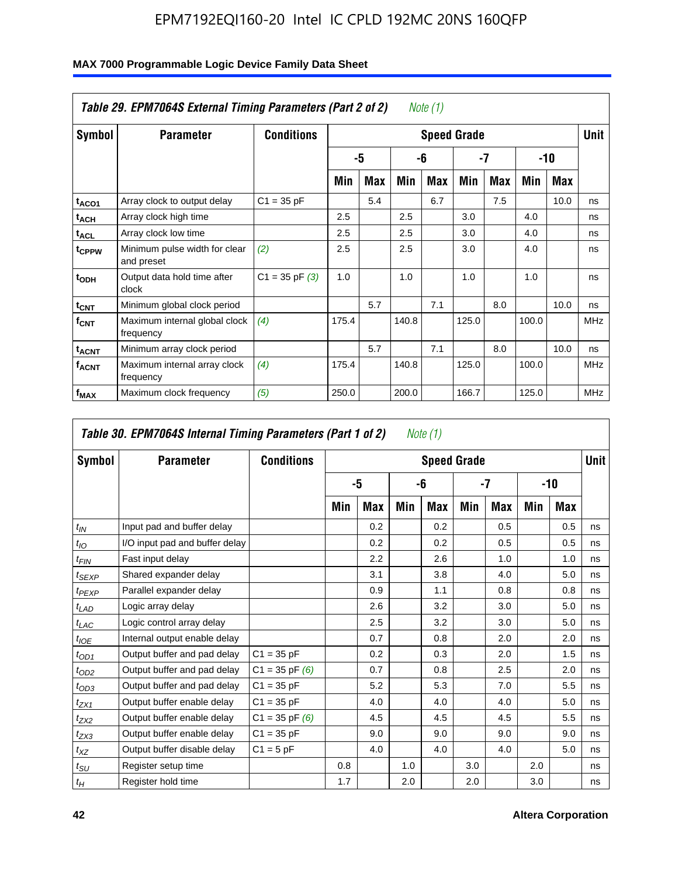| Symbol                  | <b>Parameter</b>                            | <b>Conditions</b>  |       |     |       |     | <b>Speed Grade</b> |     |       |      | <b>Unit</b> |
|-------------------------|---------------------------------------------|--------------------|-------|-----|-------|-----|--------------------|-----|-------|------|-------------|
|                         |                                             |                    |       | -5  |       | -6  |                    | -7  |       | -10  |             |
|                         |                                             |                    | Min   | Max | Min   | Max | Min                | Max | Min   | Max  |             |
| t <sub>ACO1</sub>       | Array clock to output delay                 | $C1 = 35 pF$       |       | 5.4 |       | 6.7 |                    | 7.5 |       | 10.0 | ns          |
| t <sub>ACH</sub>        | Array clock high time                       |                    | 2.5   |     | 2.5   |     | 3.0                |     | 4.0   |      | ns          |
| <sup>t</sup> ACL        | Array clock low time                        |                    | 2.5   |     | 2.5   |     | 3.0                |     | 4.0   |      | ns          |
| t <sub>CPPW</sub>       | Minimum pulse width for clear<br>and preset | (2)                | 2.5   |     | 2.5   |     | 3.0                |     | 4.0   |      | ns          |
| t <sub>ODH</sub>        | Output data hold time after<br>clock        | $C1 = 35$ pF $(3)$ | 1.0   |     | 1.0   |     | 1.0                |     | 1.0   |      | ns          |
| $t_{\text{CNT}}$        | Minimum global clock period                 |                    |       | 5.7 |       | 7.1 |                    | 8.0 |       | 10.0 | ns          |
| $f_{\text{CNT}}$        | Maximum internal global clock<br>frequency  | (4)                | 175.4 |     | 140.8 |     | 125.0              |     | 100.0 |      | <b>MHz</b>  |
| <b>t<sub>ACNT</sub></b> | Minimum array clock period                  |                    |       | 5.7 |       | 7.1 |                    | 8.0 |       | 10.0 | ns          |
| <sup>f</sup> ACNT       | Maximum internal array clock<br>frequency   | (4)                | 175.4 |     | 140.8 |     | 125.0              |     | 100.0 |      | <b>MHz</b>  |
| f <sub>MAX</sub>        | Maximum clock frequency                     | (5)                | 250.0 |     | 200.0 |     | 166.7              |     | 125.0 |      | <b>MHz</b>  |

|                 | Table 30. EPM7064S Internal Timing Parameters (Part 1 of 2) |                    |     |     |     | Note $(1)$         |     |     |     |       |             |
|-----------------|-------------------------------------------------------------|--------------------|-----|-----|-----|--------------------|-----|-----|-----|-------|-------------|
| Symbol          | <b>Parameter</b>                                            | <b>Conditions</b>  |     |     |     | <b>Speed Grade</b> |     |     |     |       | <b>Unit</b> |
|                 |                                                             |                    |     | -5  |     | -6                 |     | -7  |     | $-10$ |             |
|                 |                                                             |                    | Min | Max | Min | Max                | Min | Max | Min | Max   |             |
| $t_{IN}$        | Input pad and buffer delay                                  |                    |     | 0.2 |     | 0.2                |     | 0.5 |     | 0.5   | ns          |
| $t_{IO}$        | I/O input pad and buffer delay                              |                    |     | 0.2 |     | 0.2                |     | 0.5 |     | 0.5   | ns          |
| $t_{FIN}$       | Fast input delay                                            |                    |     | 2.2 |     | 2.6                |     | 1.0 |     | 1.0   | ns          |
| $t_{SEXP}$      | Shared expander delay                                       |                    |     | 3.1 |     | 3.8                |     | 4.0 |     | 5.0   | ns          |
| $t_{PEXP}$      | Parallel expander delay                                     |                    |     | 0.9 |     | 1.1                |     | 0.8 |     | 0.8   | ns          |
| $t_{LAD}$       | Logic array delay                                           |                    |     | 2.6 |     | 3.2                |     | 3.0 |     | 5.0   | ns          |
| $t_{LAC}$       | Logic control array delay                                   |                    |     | 2.5 |     | 3.2                |     | 3.0 |     | 5.0   | ns          |
| $t_{IOE}$       | Internal output enable delay                                |                    |     | 0.7 |     | 0.8                |     | 2.0 |     | 2.0   | ns          |
| $t_{OD1}$       | Output buffer and pad delay                                 | $C1 = 35 pF$       |     | 0.2 |     | 0.3                |     | 2.0 |     | 1.5   | ns          |
| $t_{OD2}$       | Output buffer and pad delay                                 | $C1 = 35$ pF $(6)$ |     | 0.7 |     | 0.8                |     | 2.5 |     | 2.0   | ns          |
| $t_{OD3}$       | Output buffer and pad delay                                 | $C1 = 35 pF$       |     | 5.2 |     | 5.3                |     | 7.0 |     | 5.5   | ns          |
| $t_{ZX1}$       | Output buffer enable delay                                  | $C1 = 35 pF$       |     | 4.0 |     | 4.0                |     | 4.0 |     | 5.0   | ns          |
| $t_{ZX2}$       | Output buffer enable delay                                  | $C1 = 35$ pF $(6)$ |     | 4.5 |     | 4.5                |     | 4.5 |     | 5.5   | ns          |
| $t_{ZX3}$       | Output buffer enable delay                                  | $C1 = 35 pF$       |     | 9.0 |     | 9.0                |     | 9.0 |     | 9.0   | ns          |
| $t_{XZ}$        | Output buffer disable delay                                 | $C1 = 5pF$         |     | 4.0 |     | 4.0                |     | 4.0 |     | 5.0   | ns          |
| $t_{\text{SU}}$ | Register setup time                                         |                    | 0.8 |     | 1.0 |                    | 3.0 |     | 2.0 |       | ns          |
| $t_H$           | Register hold time                                          |                    | 1.7 |     | 2.0 |                    | 2.0 |     | 3.0 |       | ns          |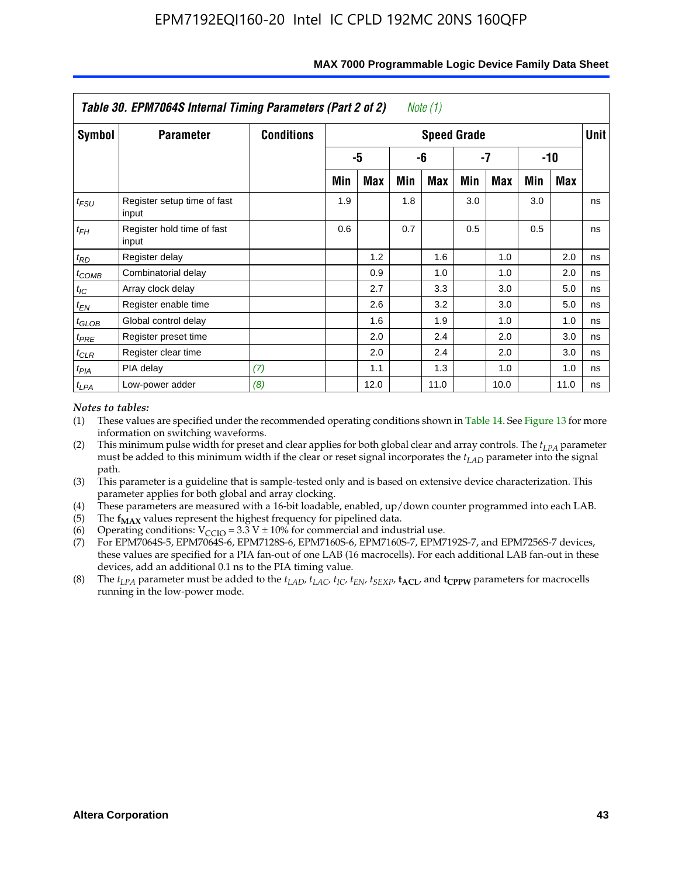|            | Table 30. EPM7064S Internal Timing Parameters (Part 2 of 2) |                   |     |      |     | Note (1)           |     |            |     |      |             |
|------------|-------------------------------------------------------------|-------------------|-----|------|-----|--------------------|-----|------------|-----|------|-------------|
| Symbol     | <b>Parameter</b>                                            | <b>Conditions</b> |     |      |     | <b>Speed Grade</b> |     |            |     |      | <b>Unit</b> |
|            |                                                             |                   |     | -5   |     | -6                 |     | -7         |     | -10  |             |
|            |                                                             |                   | Min | Max  | Min | Max                | Min | <b>Max</b> | Min | Max  |             |
| $t_{FSU}$  | Register setup time of fast<br>input                        |                   | 1.9 |      | 1.8 |                    | 3.0 |            | 3.0 |      | ns          |
| $t_{FH}$   | Register hold time of fast<br>input                         |                   | 0.6 |      | 0.7 |                    | 0.5 |            | 0.5 |      | ns          |
| $t_{RD}$   | Register delay                                              |                   |     | 1.2  |     | 1.6                |     | 1.0        |     | 2.0  | ns          |
| $t_{COMB}$ | Combinatorial delay                                         |                   |     | 0.9  |     | 1.0                |     | 1.0        |     | 2.0  | ns          |
| $t_{IC}$   | Array clock delay                                           |                   |     | 2.7  |     | 3.3                |     | 3.0        |     | 5.0  | ns          |
| $t_{EN}$   | Register enable time                                        |                   |     | 2.6  |     | 3.2                |     | 3.0        |     | 5.0  | ns          |
| $t_{GLOB}$ | Global control delay                                        |                   |     | 1.6  |     | 1.9                |     | 1.0        |     | 1.0  | ns          |
| $t_{PRE}$  | Register preset time                                        |                   |     | 2.0  |     | 2.4                |     | 2.0        |     | 3.0  | ns          |
| $t_{CLR}$  | Register clear time                                         |                   |     | 2.0  |     | 2.4                |     | 2.0        |     | 3.0  | ns          |
| $t_{PIA}$  | PIA delay                                                   | (7)               |     | 1.1  |     | 1.3                |     | 1.0        |     | 1.0  | ns          |
| $t_{LPA}$  | Low-power adder                                             | (8)               |     | 12.0 |     | 11.0               |     | 10.0       |     | 11.0 | ns          |

#### **MAX 7000 Programmable Logic Device Family Data Sheet**

#### *Notes to tables:*

- (1) These values are specified under the recommended operating conditions shown in Table 14. See Figure 13 for more information on switching waveforms.
- (2) This minimum pulse width for preset and clear applies for both global clear and array controls. The  $t_{LPA}$  parameter must be added to this minimum width if the clear or reset signal incorporates the *t<sub>LAD</sub>* parameter into the signal path.
- (3) This parameter is a guideline that is sample-tested only and is based on extensive device characterization. This parameter applies for both global and array clocking.
- (4) These parameters are measured with a 16-bit loadable, enabled, up/down counter programmed into each LAB.
- (5) The  $f_{MAX}$  values represent the highest frequency for pipelined data.
- (6) Operating conditions:  $V_{\text{CGO}} = 3.3 \text{ V} \pm 10\%$  for commercial and industrial use.
- (7) For EPM7064S-5, EPM7064S-6, EPM7128S-6, EPM7160S-6, EPM7160S-7, EPM7192S-7, and EPM7256S-7 devices, these values are specified for a PIA fan-out of one LAB (16 macrocells). For each additional LAB fan-out in these devices, add an additional 0.1 ns to the PIA timing value.
- (8) The  $t_{LPA}$  parameter must be added to the  $t_{LAD}$ ,  $t_{LAC}$ ,  $t_{IC}$ ,  $t_{EN}$ ,  $t_{SEXP}$ ,  $t_{ACL}$ , and  $t_{CPPW}$  parameters for macrocells running in the low-power mode.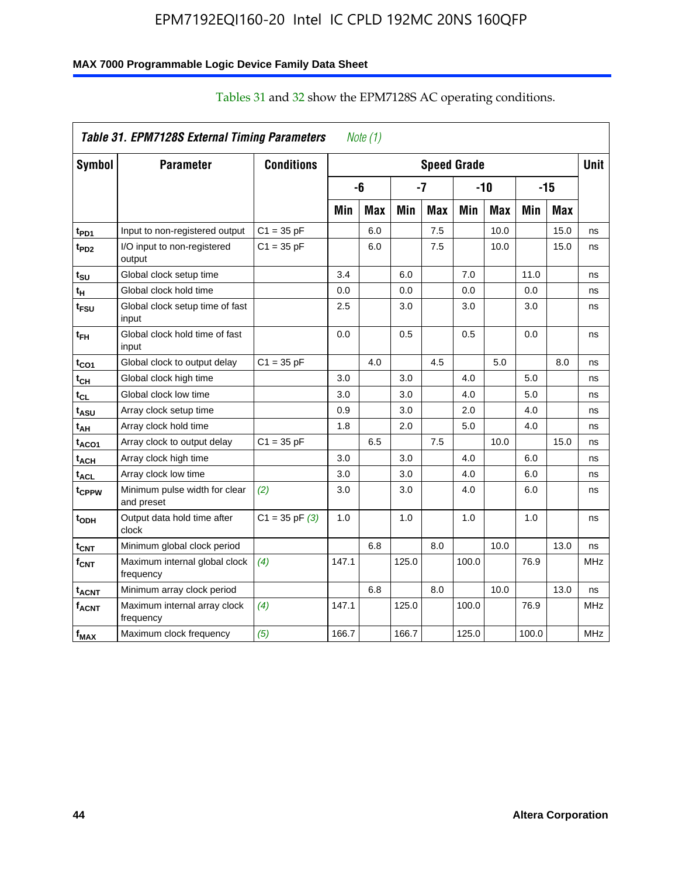## **MAX 7000 Programmable Logic Device Family Data Sheet**

|                   | Table 31. EPM7128S External Timing Parameters |                    |       | Note $(1)$ |       |            |                    |            |       |            |             |
|-------------------|-----------------------------------------------|--------------------|-------|------------|-------|------------|--------------------|------------|-------|------------|-------------|
| Symbol            | <b>Parameter</b>                              | <b>Conditions</b>  |       |            |       |            | <b>Speed Grade</b> |            |       |            | <b>Unit</b> |
|                   |                                               |                    |       | -6         |       | -7         |                    | $-10$      |       | $-15$      |             |
|                   |                                               |                    | Min   | <b>Max</b> | Min   | <b>Max</b> | Min                | <b>Max</b> | Min   | <b>Max</b> |             |
| t <sub>PD1</sub>  | Input to non-registered output                | $C1 = 35 pF$       |       | 6.0        |       | 7.5        |                    | 10.0       |       | 15.0       | ns          |
| t <sub>PD2</sub>  | I/O input to non-registered<br>output         | $C1 = 35 pF$       |       | 6.0        |       | 7.5        |                    | 10.0       |       | 15.0       | ns          |
| tsu               | Global clock setup time                       |                    | 3.4   |            | 6.0   |            | 7.0                |            | 11.0  |            | ns          |
| t <sub>H</sub>    | Global clock hold time                        |                    | 0.0   |            | 0.0   |            | 0.0                |            | 0.0   |            | ns          |
| t <sub>FSU</sub>  | Global clock setup time of fast<br>input      |                    | 2.5   |            | 3.0   |            | 3.0                |            | 3.0   |            | ns          |
| t <sub>FH</sub>   | Global clock hold time of fast<br>input       |                    | 0.0   |            | 0.5   |            | 0.5                |            | 0.0   |            | ns          |
| t <sub>CO1</sub>  | Global clock to output delay                  | $C1 = 35 pF$       |       | 4.0        |       | 4.5        |                    | 5.0        |       | 8.0        | ns          |
| $t_{CH}$          | Global clock high time                        |                    | 3.0   |            | 3.0   |            | 4.0                |            | 5.0   |            | ns          |
| tcL               | Global clock low time                         |                    | 3.0   |            | 3.0   |            | 4.0                |            | 5.0   |            | ns          |
| t <sub>ASU</sub>  | Array clock setup time                        |                    | 0.9   |            | 3.0   |            | 2.0                |            | 4.0   |            | ns          |
| t <sub>АН</sub>   | Array clock hold time                         |                    | 1.8   |            | 2.0   |            | 5.0                |            | 4.0   |            | ns          |
| t <sub>ACO1</sub> | Array clock to output delay                   | $C1 = 35 pF$       |       | 6.5        |       | 7.5        |                    | 10.0       |       | 15.0       | ns          |
| t <sub>АСН</sub>  | Array clock high time                         |                    | 3.0   |            | 3.0   |            | 4.0                |            | 6.0   |            | ns          |
| $t_{\sf ACL}$     | Array clock low time                          |                    | 3.0   |            | 3.0   |            | 4.0                |            | 6.0   |            | ns          |
| tcppw             | Minimum pulse width for clear<br>and preset   | (2)                | 3.0   |            | 3.0   |            | 4.0                |            | 6.0   |            | ns          |
| t <sub>орн</sub>  | Output data hold time after<br>clock          | $C1 = 35$ pF $(3)$ | 1.0   |            | 1.0   |            | 1.0                |            | 1.0   |            | ns          |
| $t_{\text{CNT}}$  | Minimum global clock period                   |                    |       | 6.8        |       | 8.0        |                    | 10.0       |       | 13.0       | ns          |
| $f_{\text{CNT}}$  | Maximum internal global clock<br>frequency    | (4)                | 147.1 |            | 125.0 |            | 100.0              |            | 76.9  |            | <b>MHz</b>  |
| t <sub>acnt</sub> | Minimum array clock period                    |                    |       | 6.8        |       | 8.0        |                    | 10.0       |       | 13.0       | ns          |
| <sup>f</sup> acnt | Maximum internal array clock<br>frequency     | (4)                | 147.1 |            | 125.0 |            | 100.0              |            | 76.9  |            | <b>MHz</b>  |
| f <sub>MAX</sub>  | Maximum clock frequency                       | (5)                | 166.7 |            | 166.7 |            | 125.0              |            | 100.0 |            | <b>MHz</b>  |

## Tables 31 and 32 show the EPM7128S AC operating conditions.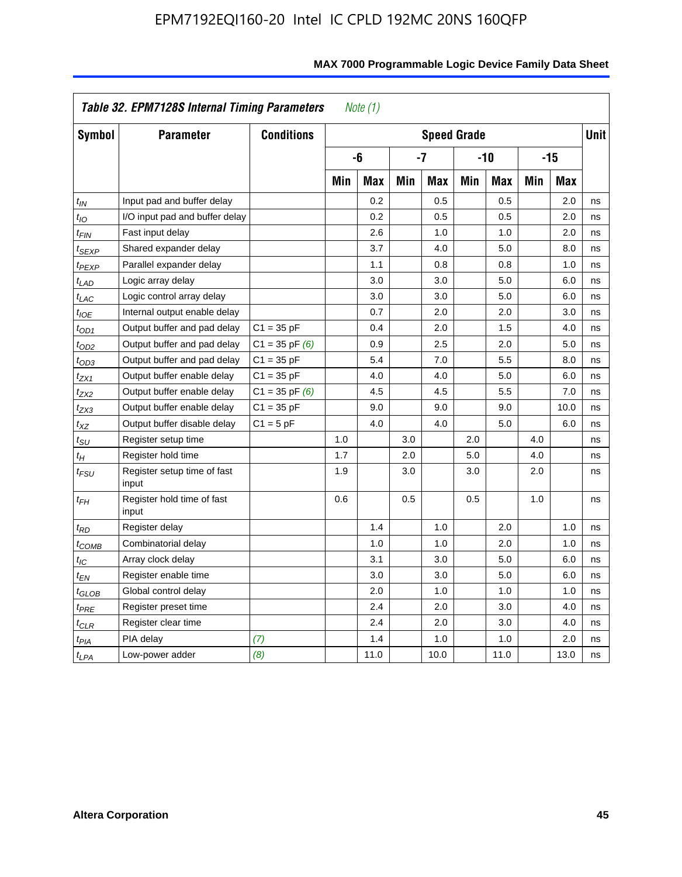|                            | Table 32. EPM7128S Internal Timing Parameters |                    |     | Note $(1)$ |     |                    |     |            |     |       |             |
|----------------------------|-----------------------------------------------|--------------------|-----|------------|-----|--------------------|-----|------------|-----|-------|-------------|
| Symbol                     | <b>Parameter</b>                              | <b>Conditions</b>  |     |            |     | <b>Speed Grade</b> |     |            |     |       | <b>Unit</b> |
|                            |                                               |                    |     | -6         |     | $-7$               |     | $-10$      |     | $-15$ |             |
|                            |                                               |                    | Min | <b>Max</b> | Min | <b>Max</b>         | Min | <b>Max</b> | Min | Max   |             |
| $t_{IN}$                   | Input pad and buffer delay                    |                    |     | 0.2        |     | 0.5                |     | 0.5        |     | 2.0   | ns          |
| t <sub>IΟ</sub>            | I/O input pad and buffer delay                |                    |     | 0.2        |     | 0.5                |     | 0.5        |     | 2.0   | ns          |
| t <sub>FIN</sub>           | Fast input delay                              |                    |     | 2.6        |     | 1.0                |     | 1.0        |     | 2.0   | ns          |
| t <sub>SEXP</sub>          | Shared expander delay                         |                    |     | 3.7        |     | 4.0                |     | 5.0        |     | 8.0   | ns          |
| t <sub>PEXP</sub>          | Parallel expander delay                       |                    |     | 1.1        |     | 0.8                |     | 0.8        |     | 1.0   | ns          |
| $t_{LAD}$                  | Logic array delay                             |                    |     | 3.0        |     | 3.0                |     | 5.0        |     | 6.0   | ns          |
| $t_{LAC}$                  | Logic control array delay                     |                    |     | 3.0        |     | 3.0                |     | 5.0        |     | 6.0   | ns          |
| $t_{IOE}$                  | Internal output enable delay                  |                    |     | 0.7        |     | 2.0                |     | 2.0        |     | 3.0   | ns          |
| $t_{OD1}$                  | Output buffer and pad delay                   | $C1 = 35 pF$       |     | 0.4        |     | 2.0                |     | 1.5        |     | 4.0   | ns          |
| $t_{OD2}$                  | Output buffer and pad delay                   | $C1 = 35$ pF $(6)$ |     | 0.9        |     | 2.5                |     | 2.0        |     | 5.0   | ns          |
| $t_{OD3}$                  | Output buffer and pad delay                   | $C1 = 35 pF$       |     | 5.4        |     | 7.0                |     | 5.5        |     | 8.0   | ns          |
| $t_{ZX1}$                  | Output buffer enable delay                    | $C1 = 35 pF$       |     | 4.0        |     | 4.0                |     | 5.0        |     | 6.0   | ns          |
| t <sub>ZX2</sub>           | Output buffer enable delay                    | $C1 = 35$ pF $(6)$ |     | 4.5        |     | 4.5                |     | 5.5        |     | 7.0   | ns          |
| tzx3                       | Output buffer enable delay                    | $C1 = 35 pF$       |     | 9.0        |     | 9.0                |     | 9.0        |     | 10.0  | ns          |
| $t_{\mathsf{XZ}}$          | Output buffer disable delay                   | $C1 = 5pF$         |     | 4.0        |     | 4.0                |     | 5.0        |     | 6.0   | ns          |
| $t_{\text{SU}}$            | Register setup time                           |                    | 1.0 |            | 3.0 |                    | 2.0 |            | 4.0 |       | ns          |
| $t_H$                      | Register hold time                            |                    | 1.7 |            | 2.0 |                    | 5.0 |            | 4.0 |       | ns          |
| $t_{\mathit{FSU}}$         | Register setup time of fast<br>input          |                    | 1.9 |            | 3.0 |                    | 3.0 |            | 2.0 |       | ns          |
| $t_{FH}$                   | Register hold time of fast<br>input           |                    | 0.6 |            | 0.5 |                    | 0.5 |            | 1.0 |       | ns          |
| $t_{RD}$                   | Register delay                                |                    |     | 1.4        |     | 1.0                |     | 2.0        |     | 1.0   | ns          |
| $t_{\sf COMB}$             | Combinatorial delay                           |                    |     | 1.0        |     | 1.0                |     | 2.0        |     | 1.0   | ns          |
| $t_{\mathcal{IC}}$         | Array clock delay                             |                    |     | 3.1        |     | 3.0                |     | 5.0        |     | 6.0   | ns          |
| t <sub>EN</sub>            | Register enable time                          |                    |     | 3.0        |     | 3.0                |     | 5.0        |     | 6.0   | ns          |
| $t_{\scriptstyle\rm GLOB}$ | Global control delay                          |                    |     | 2.0        |     | 1.0                |     | 1.0        |     | 1.0   | ns          |
| $t_{PRE}$                  | Register preset time                          |                    |     | 2.4        |     | 2.0                |     | 3.0        |     | 4.0   | ns          |
| $t_{CLR}$                  | Register clear time                           |                    |     | 2.4        |     | 2.0                |     | 3.0        |     | 4.0   | ns          |
| t <sub>PIA</sub>           | PIA delay                                     | (7)                |     | 1.4        |     | 1.0                |     | 1.0        |     | 2.0   | ns          |
| $t_{LPA}$                  | Low-power adder                               | (8)                |     | 11.0       |     | 10.0               |     | 11.0       |     | 13.0  | ns          |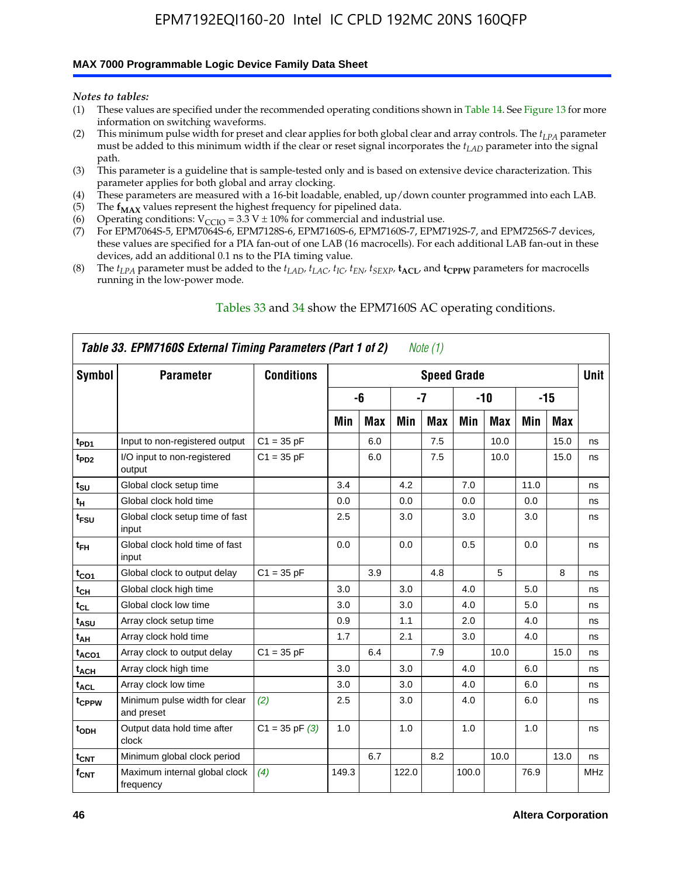#### **MAX 7000 Programmable Logic Device Family Data Sheet**

*Notes to tables:*

- (1) These values are specified under the recommended operating conditions shown in Table 14. See Figure 13 for more information on switching waveforms.
- (2) This minimum pulse width for preset and clear applies for both global clear and array controls. The  $t_{LPA}$  parameter must be added to this minimum width if the clear or reset signal incorporates the *tLAD* parameter into the signal path.
- (3) This parameter is a guideline that is sample-tested only and is based on extensive device characterization. This parameter applies for both global and array clocking.
- (4) These parameters are measured with a 16-bit loadable, enabled, up/down counter programmed into each LAB.
- (5) The  $f_{MAX}$  values represent the highest frequency for pipelined data.
- (6) Operating conditions:  $V_{\text{CCIO}} = 3.3 \text{ V} \pm 10\%$  for commercial and industrial use.
- (7) For EPM7064S-5, EPM7064S-6, EPM7128S-6, EPM7160S-6, EPM7160S-7, EPM7192S-7, and EPM7256S-7 devices, these values are specified for a PIA fan-out of one LAB (16 macrocells). For each additional LAB fan-out in these devices, add an additional 0.1 ns to the PIA timing value.
- (8) The  $t_{LPA}$  parameter must be added to the  $t_{LAD}$ ,  $t_{LAC}$ ,  $t_{IC}$ ,  $t_{EN}$ ,  $t_{SEXP}$ ,  $t_{ACL}$ , and  $t_{CPPW}$  parameters for macrocells running in the low-power mode.

|                    | Table 33. EPM7160S External Timing Parameters (Part 1 of 2) |                    |       |            |       | Note (1) |                    |            |      |      |            |
|--------------------|-------------------------------------------------------------|--------------------|-------|------------|-------|----------|--------------------|------------|------|------|------------|
| Symbol             | <b>Parameter</b>                                            | <b>Conditions</b>  |       |            |       |          | <b>Speed Grade</b> |            |      |      | Unit       |
|                    |                                                             |                    |       | -6         |       | $-7$     |                    | $-10$      |      | -15  |            |
|                    |                                                             |                    | Min   | <b>Max</b> | Min   | Max      | Min                | <b>Max</b> | Min  | Max  |            |
| t <sub>PD1</sub>   | Input to non-registered output                              | $C1 = 35 pF$       |       | 6.0        |       | 7.5      |                    | 10.0       |      | 15.0 | ns         |
| $t_{PD2}$          | I/O input to non-registered<br>output                       | $C1 = 35 pF$       |       | 6.0        |       | 7.5      |                    | 10.0       |      | 15.0 | ns         |
| $t_{\text{SU}}$    | Global clock setup time                                     |                    | 3.4   |            | 4.2   |          | 7.0                |            | 11.0 |      | ns         |
| $t_H$              | Global clock hold time                                      |                    | 0.0   |            | 0.0   |          | 0.0                |            | 0.0  |      | ns         |
| t <sub>FSU</sub>   | Global clock setup time of fast<br>input                    |                    | 2.5   |            | 3.0   |          | 3.0                |            | 3.0  |      | ns         |
| $t_{FH}$           | Global clock hold time of fast<br>input                     |                    | 0.0   |            | 0.0   |          | 0.5                |            | 0.0  |      | ns         |
| $t_{CO1}$          | Global clock to output delay                                | $C1 = 35 pF$       |       | 3.9        |       | 4.8      |                    | 5          |      | 8    | ns         |
| $t_{CH}$           | Global clock high time                                      |                    | 3.0   |            | 3.0   |          | 4.0                |            | 5.0  |      | ns         |
| $t_{CL}$           | Global clock low time                                       |                    | 3.0   |            | 3.0   |          | 4.0                |            | 5.0  |      | ns         |
| t <sub>ASU</sub>   | Array clock setup time                                      |                    | 0.9   |            | 1.1   |          | 2.0                |            | 4.0  |      | ns         |
| t <sub>AH</sub>    | Array clock hold time                                       |                    | 1.7   |            | 2.1   |          | 3.0                |            | 4.0  |      | ns         |
| t <sub>ACO1</sub>  | Array clock to output delay                                 | $C1 = 35 pF$       |       | 6.4        |       | 7.9      |                    | 10.0       |      | 15.0 | ns         |
| $t_{ACH}$          | Array clock high time                                       |                    | 3.0   |            | 3.0   |          | 4.0                |            | 6.0  |      | ns         |
| t <sub>ACL</sub>   | Array clock low time                                        |                    | 3.0   |            | 3.0   |          | 4.0                |            | 6.0  |      | ns         |
| tcppw              | Minimum pulse width for clear<br>and preset                 | (2)                | 2.5   |            | 3.0   |          | 4.0                |            | 6.0  |      | ns         |
| $t$ <sub>ODH</sub> | Output data hold time after<br>clock                        | $C1 = 35$ pF $(3)$ | 1.0   |            | 1.0   |          | 1.0                |            | 1.0  |      | ns         |
| $t_{\text{CNT}}$   | Minimum global clock period                                 |                    |       | 6.7        |       | 8.2      |                    | 10.0       |      | 13.0 | ns         |
| $f_{\text{CNT}}$   | Maximum internal global clock<br>frequency                  | (4)                | 149.3 |            | 122.0 |          | 100.0              |            | 76.9 |      | <b>MHz</b> |

### Tables 33 and 34 show the EPM7160S AC operating conditions.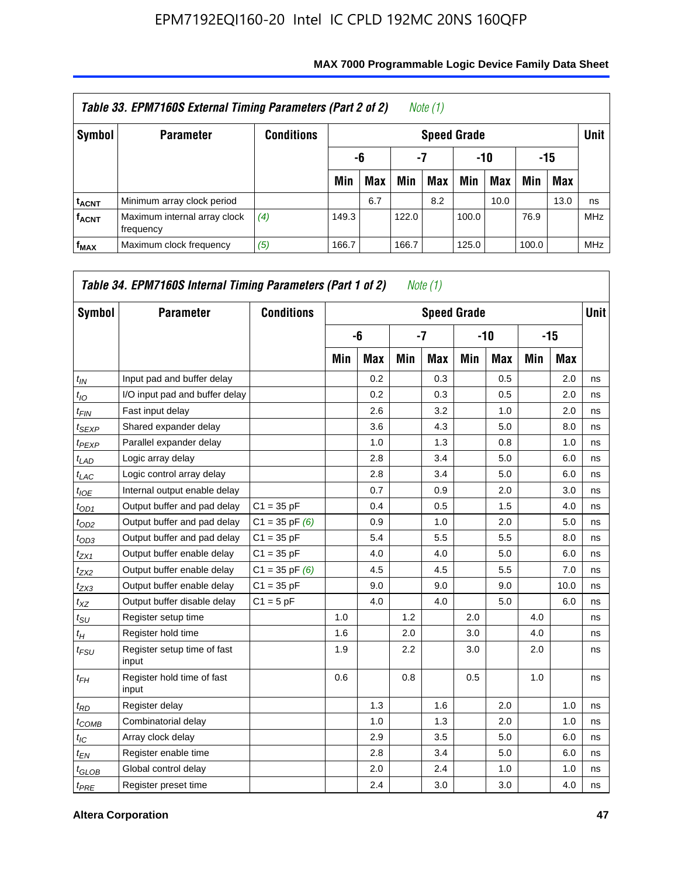|                         | Table 33. EPM7160S External Timing Parameters (Part 2 of 2) |                   |       |            |       | Note (1)           |       |      |       |            |            |
|-------------------------|-------------------------------------------------------------|-------------------|-------|------------|-------|--------------------|-------|------|-------|------------|------------|
| Symbol                  | <b>Parameter</b>                                            | <b>Conditions</b> |       |            |       | <b>Speed Grade</b> |       |      |       |            | Unit       |
|                         |                                                             |                   |       | -6         | -7    |                    | -10   |      |       | -15        |            |
|                         |                                                             |                   | Min   | <b>Max</b> | Min   | Max                | Min   | Max  | Min   | <b>Max</b> |            |
| <sup>t</sup> acnt       | Minimum array clock period                                  |                   |       | 6.7        |       | 8.2                |       | 10.0 |       | 13.0       | ns         |
| <b>f<sub>ACNT</sub></b> | Maximum internal array clock<br>frequency                   | (4)               | 149.3 |            | 122.0 |                    | 100.0 |      | 76.9  |            | <b>MHz</b> |
| f <sub>MAX</sub>        | Maximum clock frequency                                     | (5)               | 166.7 |            | 166.7 |                    | 125.0 |      | 100.0 |            | <b>MHz</b> |

| Symbol           | <b>Parameter</b>                     | <b>Conditions</b>  |     |            |     | <b>Speed Grade</b> |     |            |     |      | <b>Unit</b> |
|------------------|--------------------------------------|--------------------|-----|------------|-----|--------------------|-----|------------|-----|------|-------------|
|                  |                                      |                    |     | -6         |     | $-7$               |     | $-10$      |     | -15  |             |
|                  |                                      |                    | Min | <b>Max</b> | Min | <b>Max</b>         | Min | <b>Max</b> | Min | Max  |             |
| $t_{IN}$         | Input pad and buffer delay           |                    |     | 0.2        |     | 0.3                |     | 0.5        |     | 2.0  | ns          |
| $t_{IO}$         | I/O input pad and buffer delay       |                    |     | 0.2        |     | 0.3                |     | 0.5        |     | 2.0  | ns          |
| $t_{FIN}$        | Fast input delay                     |                    |     | 2.6        |     | 3.2                |     | 1.0        |     | 2.0  | ns          |
| $t_{SEXP}$       | Shared expander delay                |                    |     | 3.6        |     | 4.3                |     | 5.0        |     | 8.0  | ns          |
| $t_{PEXP}$       | Parallel expander delay              |                    |     | 1.0        |     | 1.3                |     | 0.8        |     | 1.0  | ns          |
| t <sub>LAD</sub> | Logic array delay                    |                    |     | 2.8        |     | 3.4                |     | 5.0        |     | 6.0  | ns          |
| $t_{LAC}$        | Logic control array delay            |                    |     | 2.8        |     | 3.4                |     | 5.0        |     | 6.0  | ns          |
| $t_{IOE}$        | Internal output enable delay         |                    |     | 0.7        |     | 0.9                |     | 2.0        |     | 3.0  | ns          |
| $t_{OD1}$        | Output buffer and pad delay          | $C1 = 35 pF$       |     | 0.4        |     | 0.5                |     | 1.5        |     | 4.0  | ns          |
| $t_{OD2}$        | Output buffer and pad delay          | $C1 = 35$ pF $(6)$ |     | 0.9        |     | 1.0                |     | 2.0        |     | 5.0  | ns          |
| $t_{OD3}$        | Output buffer and pad delay          | $C1 = 35 pF$       |     | 5.4        |     | 5.5                |     | 5.5        |     | 8.0  | ns          |
| $t_{ZX1}$        | Output buffer enable delay           | $C1 = 35 pF$       |     | 4.0        |     | 4.0                |     | 5.0        |     | 6.0  | ns          |
| $t_{ZX2}$        | Output buffer enable delay           | $C1 = 35$ pF $(6)$ |     | 4.5        |     | 4.5                |     | 5.5        |     | 7.0  | ns          |
| $t_{ZX3}$        | Output buffer enable delay           | $C1 = 35 pF$       |     | 9.0        |     | 9.0                |     | 9.0        |     | 10.0 | ns          |
| $t_{XZ}$         | Output buffer disable delay          | $C1 = 5pF$         |     | 4.0        |     | 4.0                |     | 5.0        |     | 6.0  | ns          |
| $t_{\rm SU}$     | Register setup time                  |                    | 1.0 |            | 1.2 |                    | 2.0 |            | 4.0 |      | ns          |
| $t_H$            | Register hold time                   |                    | 1.6 |            | 2.0 |                    | 3.0 |            | 4.0 |      | ns          |
| $t_{FSU}$        | Register setup time of fast<br>input |                    | 1.9 |            | 2.2 |                    | 3.0 |            | 2.0 |      | ns          |
| $t_{FH}$         | Register hold time of fast<br>input  |                    | 0.6 |            | 0.8 |                    | 0.5 |            | 1.0 |      | ns          |
| $t_{RD}$         | Register delay                       |                    |     | 1.3        |     | 1.6                |     | 2.0        |     | 1.0  | ns          |
| $t_{COMB}$       | Combinatorial delay                  |                    |     | 1.0        |     | 1.3                |     | 2.0        |     | 1.0  | ns          |
| $t_{IC}$         | Array clock delay                    |                    |     | 2.9        |     | 3.5                |     | 5.0        |     | 6.0  | ns          |
| $t_{EN}$         | Register enable time                 |                    |     | 2.8        |     | 3.4                |     | 5.0        |     | 6.0  | ns          |
| $t_{GLOB}$       | Global control delay                 |                    |     | 2.0        |     | 2.4                |     | 1.0        |     | 1.0  | ns          |
| $t_{PRE}$        | Register preset time                 |                    |     | 2.4        |     | 3.0                |     | 3.0        |     | 4.0  | ns          |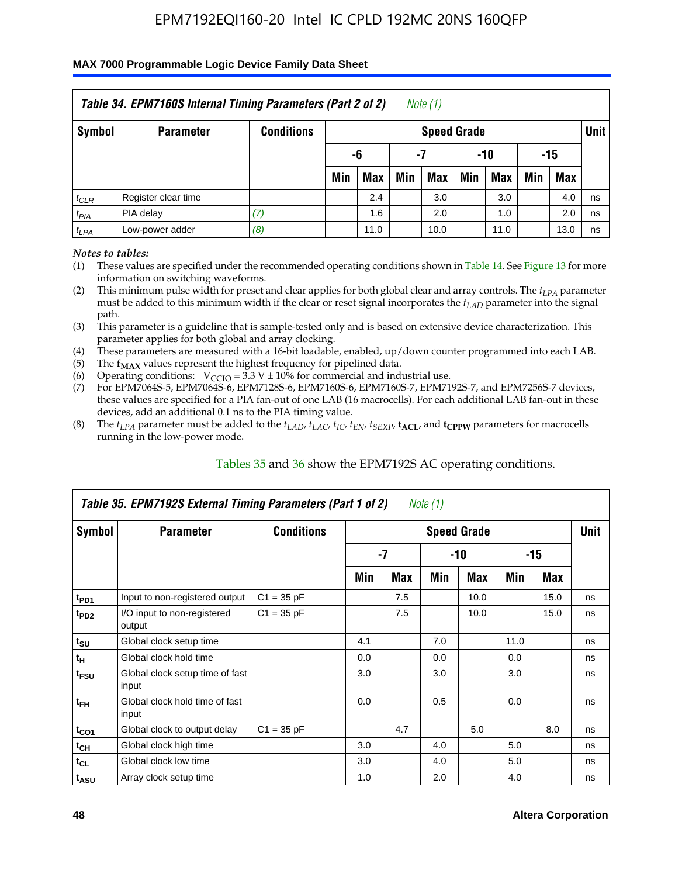### **MAX 7000 Programmable Logic Device Family Data Sheet**

|           | Table 34. EPM7160S Internal Timing Parameters (Part 2 of 2) |                   |     |      |     | Note (1)           |     |       |     |            |             |
|-----------|-------------------------------------------------------------|-------------------|-----|------|-----|--------------------|-----|-------|-----|------------|-------------|
| Symbol    | <b>Parameter</b>                                            | <b>Conditions</b> |     |      |     | <b>Speed Grade</b> |     |       |     |            | <b>Unit</b> |
|           |                                                             |                   |     | -6   |     | -7                 |     | $-10$ |     | -15        |             |
|           |                                                             |                   | Min | Max  | Min | Max                | Min | Max   | Min | <b>Max</b> |             |
| $t_{CLR}$ | Register clear time                                         |                   |     | 2.4  |     | 3.0                |     | 3.0   |     | 4.0        | ns          |
| $t_{PIA}$ | PIA delay                                                   | (7)               |     | 1.6  |     | 2.0                |     | 1.0   |     | 2.0        | ns          |
| $t_{LPA}$ | Low-power adder                                             | (8)               |     | 11.0 |     | 10.0               |     | 11.0  |     | 13.0       | ns          |

*Notes to tables:*

- (1) These values are specified under the recommended operating conditions shown in Table 14. See Figure 13 for more information on switching waveforms.
- (2) This minimum pulse width for preset and clear applies for both global clear and array controls. The  $t_{LPA}$  parameter must be added to this minimum width if the clear or reset signal incorporates the *t<sub>LAD</sub>* parameter into the signal path.
- (3) This parameter is a guideline that is sample-tested only and is based on extensive device characterization. This parameter applies for both global and array clocking.
- (4) These parameters are measured with a 16-bit loadable, enabled, up/down counter programmed into each LAB.
- (5) The  $f_{MAX}$  values represent the highest frequency for pipelined data.
- (6) Operating conditions:  $V_{\text{CCIO}} = 3.3 V \pm 10\%$  for commercial and industrial use.
- (7) For EPM7064S-5, EPM7064S-6, EPM7128S-6, EPM7160S-6, EPM7160S-7, EPM7192S-7, and EPM7256S-7 devices, these values are specified for a PIA fan-out of one LAB (16 macrocells). For each additional LAB fan-out in these devices, add an additional 0.1 ns to the PIA timing value.
- (8) The  $t_{LPA}$  parameter must be added to the  $t_{LAP}$ ,  $t_{LAC}$ ,  $t_{IC}$ ,  $t_{EN}$ ,  $t_{SEXP}$ ,  $t_{ACL}$ , and  $t_{CPPW}$  parameters for macrocells running in the low-power mode.

|                             | Table 35. EPM7192S External Timing Parameters (Part 1 of 2) |                   |     |      | Note $(1)$ |                    |      |       |             |
|-----------------------------|-------------------------------------------------------------|-------------------|-----|------|------------|--------------------|------|-------|-------------|
| Symbol                      | <b>Parameter</b>                                            | <b>Conditions</b> |     |      |            | <b>Speed Grade</b> |      |       | <b>Unit</b> |
|                             |                                                             |                   |     | $-7$ |            | -10                |      | $-15$ |             |
|                             |                                                             |                   | Min | Max  | Min        | <b>Max</b>         | Min  | Max   |             |
| t <sub>PD1</sub>            | Input to non-registered output                              | $C1 = 35 pF$      |     | 7.5  |            | 10.0               |      | 15.0  | ns          |
| $t_{PD2}$                   | I/O input to non-registered<br>output                       | $C1 = 35 pF$      |     | 7.5  |            | 10.0               |      | 15.0  | ns          |
| $t_{\scriptstyle\text{SU}}$ | Global clock setup time                                     |                   | 4.1 |      | 7.0        |                    | 11.0 |       | ns          |
| $t_H$                       | Global clock hold time                                      |                   | 0.0 |      | 0.0        |                    | 0.0  |       | ns          |
| t <sub>FSU</sub>            | Global clock setup time of fast<br>input                    |                   | 3.0 |      | 3.0        |                    | 3.0  |       | ns          |
| $t_{FH}$                    | Global clock hold time of fast<br>input                     |                   | 0.0 |      | 0.5        |                    | 0.0  |       | ns          |
| $t_{CO1}$                   | Global clock to output delay                                | $C1 = 35 pF$      |     | 4.7  |            | 5.0                |      | 8.0   | ns          |
| $t_{CH}$                    | Global clock high time                                      |                   | 3.0 |      | 4.0        |                    | 5.0  |       | ns          |
| $t_{CL}$                    | Global clock low time                                       |                   | 3.0 |      | 4.0        |                    | 5.0  |       | ns          |
| t <sub>ASU</sub>            | Array clock setup time                                      |                   | 1.0 |      | 2.0        |                    | 4.0  |       | ns          |

### Tables 35 and 36 show the EPM7192S AC operating conditions.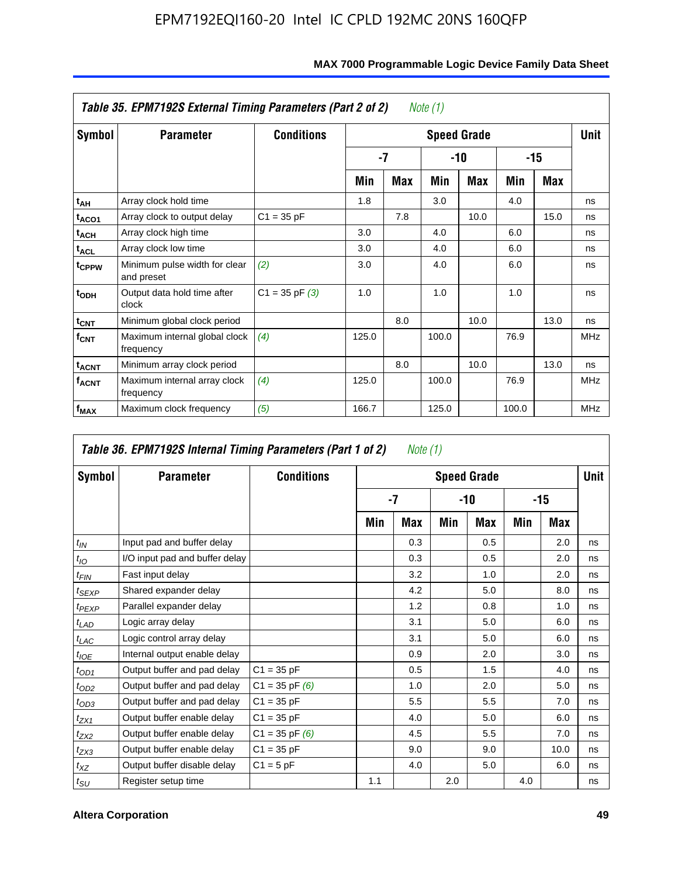|                         | Table 35. EPM7192S External Timing Parameters (Part 2 of 2) |                    |       |            | Note (1) |                    |       |      |            |
|-------------------------|-------------------------------------------------------------|--------------------|-------|------------|----------|--------------------|-------|------|------------|
| Symbol                  | <b>Parameter</b>                                            | <b>Conditions</b>  |       |            |          | <b>Speed Grade</b> |       |      | Unit       |
|                         |                                                             |                    |       | -7         |          | -10                |       | -15  |            |
|                         |                                                             |                    | Min   | <b>Max</b> | Min      | <b>Max</b>         | Min   | Max  |            |
| t <sub>AH</sub>         | Array clock hold time                                       |                    | 1.8   |            | 3.0      |                    | 4.0   |      | ns         |
| t <sub>ACO1</sub>       | Array clock to output delay                                 | $C1 = 35 pF$       |       | 7.8        |          | 10.0               |       | 15.0 | ns         |
| $t_{\sf ACH}$           | Array clock high time                                       |                    | 3.0   |            | 4.0      |                    | 6.0   |      | ns         |
| $t_{\sf ACL}$           | Array clock low time                                        |                    | 3.0   |            | 4.0      |                    | 6.0   |      | ns         |
| t <sub>CPPW</sub>       | Minimum pulse width for clear<br>and preset                 | (2)                | 3.0   |            | 4.0      |                    | 6.0   |      | ns         |
| $t_{ODH}$               | Output data hold time after<br>clock                        | $C1 = 35$ pF $(3)$ | 1.0   |            | 1.0      |                    | 1.0   |      | ns         |
| $t_{\mathsf{CNT}}$      | Minimum global clock period                                 |                    |       | 8.0        |          | 10.0               |       | 13.0 | ns         |
| $f_{\text{CNT}}$        | Maximum internal global clock<br>frequency                  | (4)                | 125.0 |            | 100.0    |                    | 76.9  |      | <b>MHz</b> |
| $t_{ACNT}$              | Minimum array clock period                                  |                    |       | 8.0        |          | 10.0               |       | 13.0 | ns         |
| <b>f<sub>ACNT</sub></b> | Maximum internal array clock<br>frequency                   | (4)                | 125.0 |            | 100.0    |                    | 76.9  |      | <b>MHz</b> |
| f <sub>MAX</sub>        | Maximum clock frequency                                     | (5)                | 166.7 |            | 125.0    |                    | 100.0 |      | <b>MHz</b> |

|                             | Table 36. EPM7192S Internal Timing Parameters (Part 1 of 2) |                    |     | Note (1) |     |                    |     |       |      |
|-----------------------------|-------------------------------------------------------------|--------------------|-----|----------|-----|--------------------|-----|-------|------|
| Symbol                      | <b>Parameter</b>                                            | <b>Conditions</b>  |     |          |     | <b>Speed Grade</b> |     |       | Unit |
|                             |                                                             |                    |     | -7       |     | $-10$              |     | $-15$ |      |
|                             |                                                             |                    | Min | Max      | Min | Max                | Min | Max   |      |
| $t_{IN}$                    | Input pad and buffer delay                                  |                    |     | 0.3      |     | 0.5                |     | 2.0   | ns   |
| $t_{IO}$                    | I/O input pad and buffer delay                              |                    |     | 0.3      |     | 0.5                |     | 2.0   | ns   |
| $t_{FIN}$                   | Fast input delay                                            |                    |     | 3.2      |     | 1.0                |     | 2.0   | ns   |
| $t_{SEXP}$                  | Shared expander delay                                       |                    |     | 4.2      |     | 5.0                |     | 8.0   | ns   |
| $t_{PEXP}$                  | Parallel expander delay                                     |                    |     | 1.2      |     | 0.8                |     | 1.0   | ns   |
| $t_{LAD}$                   | Logic array delay                                           |                    |     | 3.1      |     | 5.0                |     | 6.0   | ns   |
| $t_{LAC}$                   | Logic control array delay                                   |                    |     | 3.1      |     | 5.0                |     | 6.0   | ns   |
| $t_{IOE}$                   | Internal output enable delay                                |                    |     | 0.9      |     | 2.0                |     | 3.0   | ns   |
| $t_{OD1}$                   | Output buffer and pad delay                                 | $C1 = 35 pF$       |     | 0.5      |     | 1.5                |     | 4.0   | ns   |
| $t_{OD2}$                   | Output buffer and pad delay                                 | $C1 = 35$ pF $(6)$ |     | 1.0      |     | 2.0                |     | 5.0   | ns   |
| $t_{OD3}$                   | Output buffer and pad delay                                 | $C1 = 35 pF$       |     | 5.5      |     | 5.5                |     | 7.0   | ns   |
| $t_{ZX1}$                   | Output buffer enable delay                                  | $C1 = 35 pF$       |     | 4.0      |     | 5.0                |     | 6.0   | ns   |
| $t_{ZX2}$                   | Output buffer enable delay                                  | $C1 = 35$ pF $(6)$ |     | 4.5      |     | 5.5                |     | 7.0   | ns   |
| $t_{ZX3}$                   | Output buffer enable delay                                  | $C1 = 35 pF$       |     | 9.0      |     | 9.0                |     | 10.0  | ns   |
| $t_{XZ}$                    | Output buffer disable delay                                 | $C1 = 5pF$         |     | 4.0      |     | 5.0                |     | 6.0   | ns   |
| $t_{\scriptstyle\text{SU}}$ | Register setup time                                         |                    | 1.1 |          | 2.0 |                    | 4.0 |       | ns   |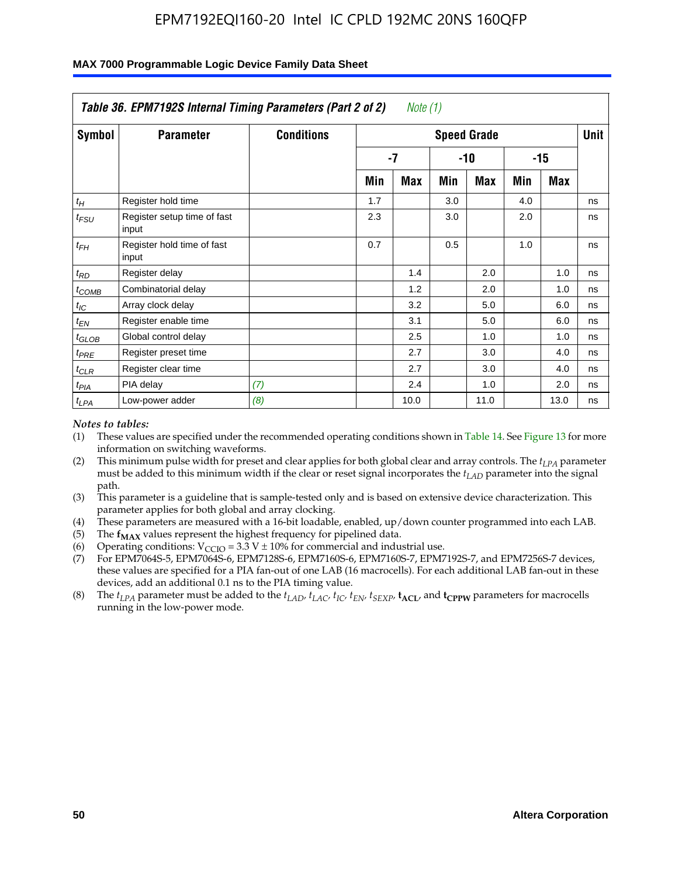|                    | Table 36. EPM7192S Internal Timing Parameters (Part 2 of 2) |                   |     | Note (1) |     |                    |     |       |      |
|--------------------|-------------------------------------------------------------|-------------------|-----|----------|-----|--------------------|-----|-------|------|
| Symbol             | <b>Parameter</b>                                            | <b>Conditions</b> |     |          |     | <b>Speed Grade</b> |     |       | Unit |
|                    |                                                             |                   |     | -7       |     | -10                |     | $-15$ |      |
|                    |                                                             |                   | Min | Max      | Min | Max                | Min | Max   |      |
| $t_H$              | Register hold time                                          |                   | 1.7 |          | 3.0 |                    | 4.0 |       | ns   |
| $t_{\mathit{FSU}}$ | Register setup time of fast<br>input                        |                   | 2.3 |          | 3.0 |                    | 2.0 |       | ns   |
| $t_{FH}$           | Register hold time of fast<br>input                         |                   | 0.7 |          | 0.5 |                    | 1.0 |       | ns   |
| $t_{RD}$           | Register delay                                              |                   |     | 1.4      |     | 2.0                |     | 1.0   | ns   |
| $t_{COMB}$         | Combinatorial delay                                         |                   |     | 1.2      |     | 2.0                |     | 1.0   | ns   |
| $t_{IC}$           | Array clock delay                                           |                   |     | 3.2      |     | 5.0                |     | 6.0   | ns   |
| $t_{EN}$           | Register enable time                                        |                   |     | 3.1      |     | 5.0                |     | 6.0   | ns   |
| $t_{GLOB}$         | Global control delay                                        |                   |     | 2.5      |     | 1.0                |     | 1.0   | ns   |
| $t_{PRE}$          | Register preset time                                        |                   |     | 2.7      |     | 3.0                |     | 4.0   | ns   |
| $t_{CLR}$          | Register clear time                                         |                   |     | 2.7      |     | 3.0                |     | 4.0   | ns   |
| t <sub>PIA</sub>   | PIA delay                                                   | (7)               |     | 2.4      |     | 1.0                |     | 2.0   | ns   |
| $t_{LPA}$          | Low-power adder                                             | (8)               |     | 10.0     |     | 11.0               |     | 13.0  | ns   |

#### **MAX 7000 Programmable Logic Device Family Data Sheet**

#### *Notes to tables:*

- (1) These values are specified under the recommended operating conditions shown in Table 14. See Figure 13 for more information on switching waveforms.
- (2) This minimum pulse width for preset and clear applies for both global clear and array controls. The *tLPA* parameter must be added to this minimum width if the clear or reset signal incorporates the *t<sub>LAD</sub>* parameter into the signal path.
- (3) This parameter is a guideline that is sample-tested only and is based on extensive device characterization. This parameter applies for both global and array clocking.
- (4) These parameters are measured with a 16-bit loadable, enabled, up/down counter programmed into each LAB.
- (5) The  $f_{MAX}$  values represent the highest frequency for pipelined data.
- (6) Operating conditions:  $V_{\text{CCIO}} = 3.3 \text{ V} \pm 10\%$  for commercial and industrial use.
- (7) For EPM7064S-5, EPM7064S-6, EPM7128S-6, EPM7160S-6, EPM7160S-7, EPM7192S-7, and EPM7256S-7 devices, these values are specified for a PIA fan-out of one LAB (16 macrocells). For each additional LAB fan-out in these devices, add an additional 0.1 ns to the PIA timing value.
- (8) The  $t_{LPA}$  parameter must be added to the  $t_{LAD}$ ,  $t_{LAC}$ ,  $t_{IC}$ ,  $t_{EN}$ ,  $t_{SIX}$ ,  $t_{ACL}$ , and  $t_{CPW}$  parameters for macrocells running in the low-power mode.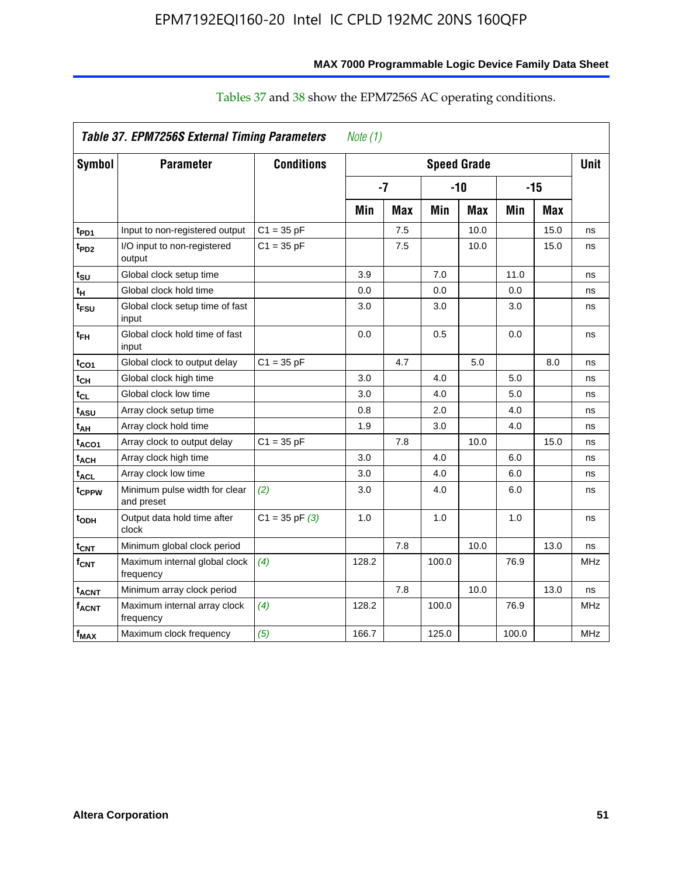|                   | Table 37. EPM7256S External Timing Parameters |                    | Note $(1)$ |            |       |                    |       |            |            |
|-------------------|-----------------------------------------------|--------------------|------------|------------|-------|--------------------|-------|------------|------------|
| Symbol            | <b>Parameter</b>                              | <b>Conditions</b>  |            |            |       | <b>Speed Grade</b> |       |            | Unit       |
|                   |                                               |                    |            | $-7$       |       | $-10$              |       | -15        |            |
|                   |                                               |                    | Min        | <b>Max</b> | Min   | <b>Max</b>         | Min   | <b>Max</b> |            |
| t <sub>PD1</sub>  | Input to non-registered output                | $C1 = 35 pF$       |            | 7.5        |       | 10.0               |       | 15.0       | ns         |
| t <sub>PD2</sub>  | I/O input to non-registered<br>output         | $C1 = 35 pF$       |            | 7.5        |       | 10.0               |       | 15.0       | ns         |
| t <sub>su</sub>   | Global clock setup time                       |                    | 3.9        |            | 7.0   |                    | 11.0  |            | ns         |
| $t_H$             | Global clock hold time                        |                    | 0.0        |            | 0.0   |                    | 0.0   |            | ns         |
| t <sub>FSU</sub>  | Global clock setup time of fast<br>input      |                    | 3.0        |            | 3.0   |                    | 3.0   |            | ns         |
| $t_{FH}$          | Global clock hold time of fast<br>input       |                    | 0.0        |            | 0.5   |                    | 0.0   |            | ns         |
| t <sub>CO1</sub>  | Global clock to output delay                  | $C1 = 35 pF$       |            | 4.7        |       | 5.0                |       | 8.0        | ns         |
| $t_{\mathsf{CH}}$ | Global clock high time                        |                    | 3.0        |            | 4.0   |                    | 5.0   |            | ns         |
| $t_{CL}$          | Global clock low time                         |                    | 3.0        |            | 4.0   |                    | 5.0   |            | ns         |
| t <sub>ASU</sub>  | Array clock setup time                        |                    | 0.8        |            | 2.0   |                    | 4.0   |            | ns         |
| t <sub>АН</sub>   | Array clock hold time                         |                    | 1.9        |            | 3.0   |                    | 4.0   |            | ns         |
| t <sub>ACO1</sub> | Array clock to output delay                   | $C1 = 35 pF$       |            | 7.8        |       | 10.0               |       | 15.0       | ns         |
| $t_{ACH}$         | Array clock high time                         |                    | 3.0        |            | 4.0   |                    | 6.0   |            | ns         |
| $t_{\sf ACL}$     | Array clock low time                          |                    | 3.0        |            | 4.0   |                    | 6.0   |            | ns         |
| t <sub>CPPW</sub> | Minimum pulse width for clear<br>and preset   | (2)                | 3.0        |            | 4.0   |                    | 6.0   |            | ns         |
| t <sub>ODH</sub>  | Output data hold time after<br>clock          | $C1 = 35$ pF $(3)$ | 1.0        |            | 1.0   |                    | 1.0   |            | ns         |
| $t_{\text{CNT}}$  | Minimum global clock period                   |                    |            | 7.8        |       | 10.0               |       | 13.0       | ns         |
| $f_{CNT}$         | Maximum internal global clock<br>frequency    | (4)                | 128.2      |            | 100.0 |                    | 76.9  |            | <b>MHz</b> |
| t <sub>ACNT</sub> | Minimum array clock period                    |                    |            | 7.8        |       | 10.0               |       | 13.0       | ns         |
| $f_{ACNT}$        | Maximum internal array clock<br>frequency     | (4)                | 128.2      |            | 100.0 |                    | 76.9  |            | MHz        |
| $f_{MAX}$         | Maximum clock frequency                       | (5)                | 166.7      |            | 125.0 |                    | 100.0 |            | <b>MHz</b> |

## Tables 37 and 38 show the EPM7256S AC operating conditions.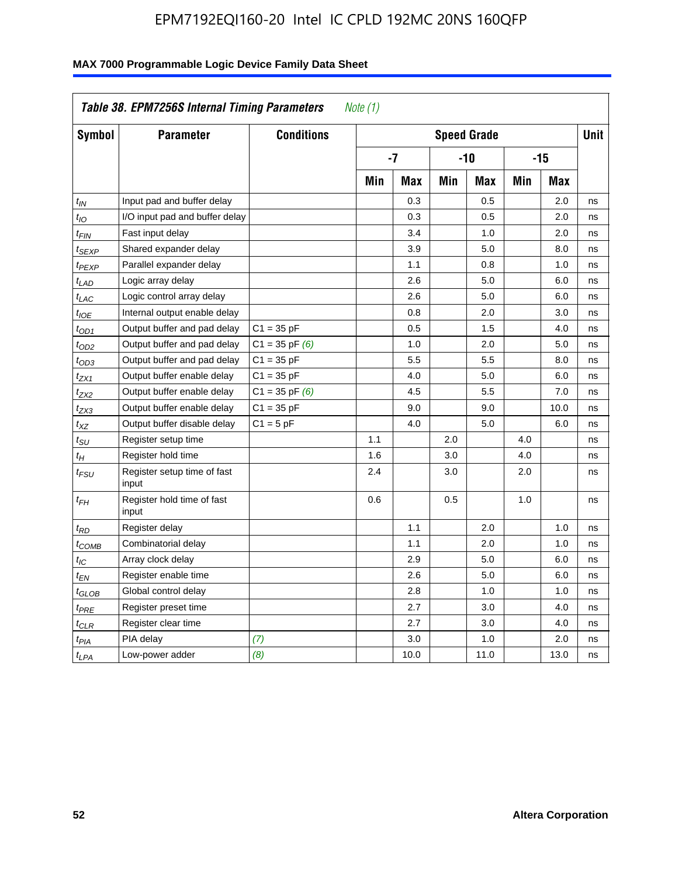|                   | Table 38. EPM7256S Internal Timing Parameters |                    | Note (1) |      |     |                    |     |       |      |
|-------------------|-----------------------------------------------|--------------------|----------|------|-----|--------------------|-----|-------|------|
| Symbol            | <b>Parameter</b>                              | <b>Conditions</b>  |          |      |     | <b>Speed Grade</b> |     |       | Unit |
|                   |                                               |                    |          | $-7$ |     | $-10$              |     | $-15$ |      |
|                   |                                               |                    | Min      | Max  | Min | Max                | Min | Max   |      |
| $t_{IN}$          | Input pad and buffer delay                    |                    |          | 0.3  |     | 0.5                |     | 2.0   | ns   |
| $t_{IO}$          | I/O input pad and buffer delay                |                    |          | 0.3  |     | 0.5                |     | 2.0   | ns   |
| $t_{\text{FIN}}$  | Fast input delay                              |                    |          | 3.4  |     | 1.0                |     | 2.0   | ns   |
| t <sub>SEXP</sub> | Shared expander delay                         |                    |          | 3.9  |     | 5.0                |     | 8.0   | ns   |
| t <sub>PEXP</sub> | Parallel expander delay                       |                    |          | 1.1  |     | 0.8                |     | 1.0   | ns   |
| $t_{LAD}$         | Logic array delay                             |                    |          | 2.6  |     | 5.0                |     | 6.0   | ns   |
| $t_{LAC}$         | Logic control array delay                     |                    |          | 2.6  |     | 5.0                |     | 6.0   | ns   |
| $t_{IOE}$         | Internal output enable delay                  |                    |          | 0.8  |     | 2.0                |     | 3.0   | ns   |
| $t_{OD1}$         | Output buffer and pad delay                   | $C1 = 35 pF$       |          | 0.5  |     | 1.5                |     | 4.0   | ns   |
| t <sub>OD2</sub>  | Output buffer and pad delay                   | $C1 = 35$ pF $(6)$ |          | 1.0  |     | 2.0                |     | 5.0   | ns   |
| $t_{OD3}$         | Output buffer and pad delay                   | $C1 = 35 pF$       |          | 5.5  |     | 5.5                |     | 8.0   | ns   |
| $t_{ZX1}$         | Output buffer enable delay                    | $C1 = 35 pF$       |          | 4.0  |     | 5.0                |     | 6.0   | ns   |
| t <sub>ZX2</sub>  | Output buffer enable delay                    | $C1 = 35$ pF $(6)$ |          | 4.5  |     | 5.5                |     | 7.0   | ns   |
| $t_{ZX3}$         | Output buffer enable delay                    | $C1 = 35 pF$       |          | 9.0  |     | 9.0                |     | 10.0  | ns   |
| $t_{XZ}$          | Output buffer disable delay                   | $C1 = 5pF$         |          | 4.0  |     | 5.0                |     | 6.0   | ns   |
| $t_{\rm SU}$      | Register setup time                           |                    | 1.1      |      | 2.0 |                    | 4.0 |       | ns   |
| $t_H$             | Register hold time                            |                    | 1.6      |      | 3.0 |                    | 4.0 |       | ns   |
| $t_{\it FSU}$     | Register setup time of fast<br>input          |                    | 2.4      |      | 3.0 |                    | 2.0 |       | ns   |
| $t_{FH}$          | Register hold time of fast<br>input           |                    | 0.6      |      | 0.5 |                    | 1.0 |       | ns   |
| $t_{RD}$          | Register delay                                |                    |          | 1.1  |     | 2.0                |     | 1.0   | ns   |
| $t_{COMB}$        | Combinatorial delay                           |                    |          | 1.1  |     | 2.0                |     | 1.0   | ns   |
| $t_{IC}$          | Array clock delay                             |                    |          | 2.9  |     | 5.0                |     | 6.0   | ns   |
| $t_{EN}$          | Register enable time                          |                    |          | 2.6  |     | 5.0                |     | 6.0   | ns   |
| $t_{GLOB}$        | Global control delay                          |                    |          | 2.8  |     | 1.0                |     | 1.0   | ns   |
| $t_{PRE}$         | Register preset time                          |                    |          | 2.7  |     | 3.0                |     | 4.0   | ns   |
| $t_{\text{CLR}}$  | Register clear time                           |                    |          | 2.7  |     | 3.0                |     | 4.0   | ns   |
| t <sub>PIA</sub>  | PIA delay                                     | (7)                |          | 3.0  |     | 1.0                |     | 2.0   | ns   |
| $t_{LPA}$         | Low-power adder                               | (8)                |          | 10.0 |     | 11.0               |     | 13.0  | ns   |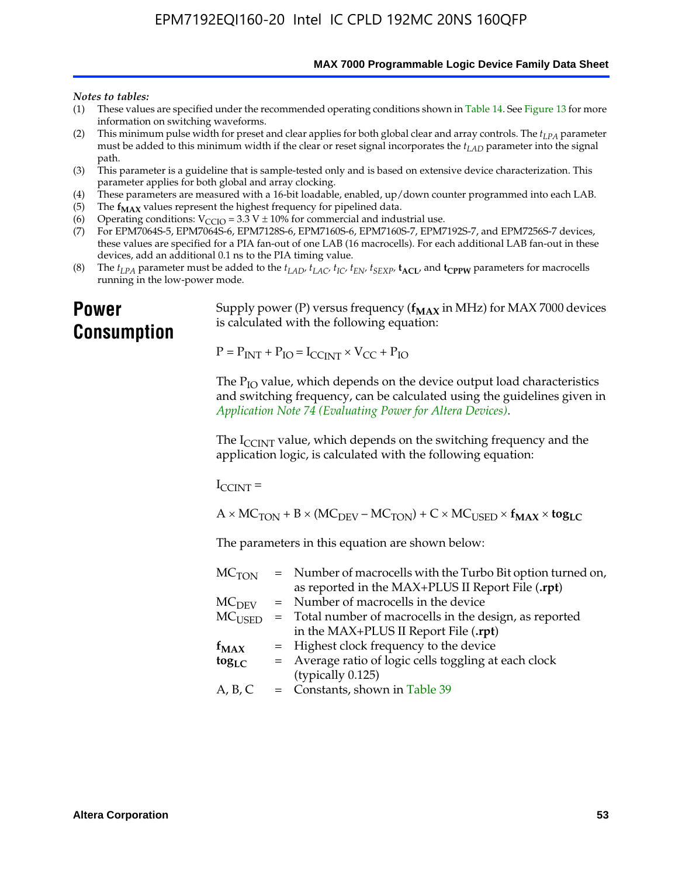**MAX 7000 Programmable Logic Device Family Data Sheet**

#### *Notes to tables:*

- (1) These values are specified under the recommended operating conditions shown in Table 14. See Figure 13 for more information on switching waveforms.
- (2) This minimum pulse width for preset and clear applies for both global clear and array controls. The  $t_{LPA}$  parameter must be added to this minimum width if the clear or reset signal incorporates the *tLAD* parameter into the signal path.
- (3) This parameter is a guideline that is sample-tested only and is based on extensive device characterization. This parameter applies for both global and array clocking.
- (4) These parameters are measured with a 16-bit loadable, enabled, up/down counter programmed into each LAB.
- (5) The  $f_{MAX}$  values represent the highest frequency for pipelined data.
- (6) Operating conditions:  $V_{\text{CCIO}} = 3.3 \text{ V} \pm 10\%$  for commercial and industrial use.
- (7) For EPM7064S-5, EPM7064S-6, EPM7128S-6, EPM7160S-6, EPM7160S-7, EPM7192S-7, and EPM7256S-7 devices, these values are specified for a PIA fan-out of one LAB (16 macrocells). For each additional LAB fan-out in these devices, add an additional 0.1 ns to the PIA timing value.
- (8) The  $t_{LPA}$  parameter must be added to the  $t_{LAD}$ ,  $t_{LAC}$ ,  $t_{IC}$ ,  $t_{EN}$ ,  $t_{SEXP}$ ,  $t_{ACL}$ , and  $t_{CPPW}$  parameters for macrocells running in the low-power mode.

## **Power Consumption**

[Supply power \(P\) versus frequency \(](http://www.altera.com/literature/an/an074.pdf) $f_{MAX}$  in MHz) for MAX 7000 devices is calculated with the following equation:

 $P = P_{INT} + P_{IO} = I_{CCLNT} \times V_{CC} + P_{IO}$ 

The  $P_{IO}$  value, which depends on the device output load characteristics and switching frequency, can be calculated using the guidelines given in *Application Note 74 (Evaluating Power for Altera Devices)*.

The  $I_{\text{CCINT}}$  value, which depends on the switching frequency and the application logic, is calculated with the following equation:

 $I_{\text{CCTNT}} =$ 

 $A \times MC_{TON} + B \times (MC_{DEFU} - MC_{TON}) + C \times MC_{LISED} \times f_{MAX} \times \text{tog}_{LC}$ 

The parameters in this equation are shown below:

| $MC$ <sub>TON</sub> | = Number of macrocells with the Turbo Bit option turned on, |
|---------------------|-------------------------------------------------------------|
|                     | as reported in the MAX+PLUS II Report File (.rpt)           |
| MC <sub>DFV</sub>   | = Number of macrocells in the device                        |
| $MC_{\rm{LISED}}$   | = Total number of macrocells in the design, as reported     |
|                     | in the MAX+PLUS II Report File (.rpt)                       |
| $f_{MAX}$           | = Highest clock frequency to the device                     |
| $tog_{LC}$          | = Average ratio of logic cells toggling at each clock       |
|                     | (typically 0.125)                                           |
| A, B, C             | $=$ Constants, shown in Table 39                            |
|                     |                                                             |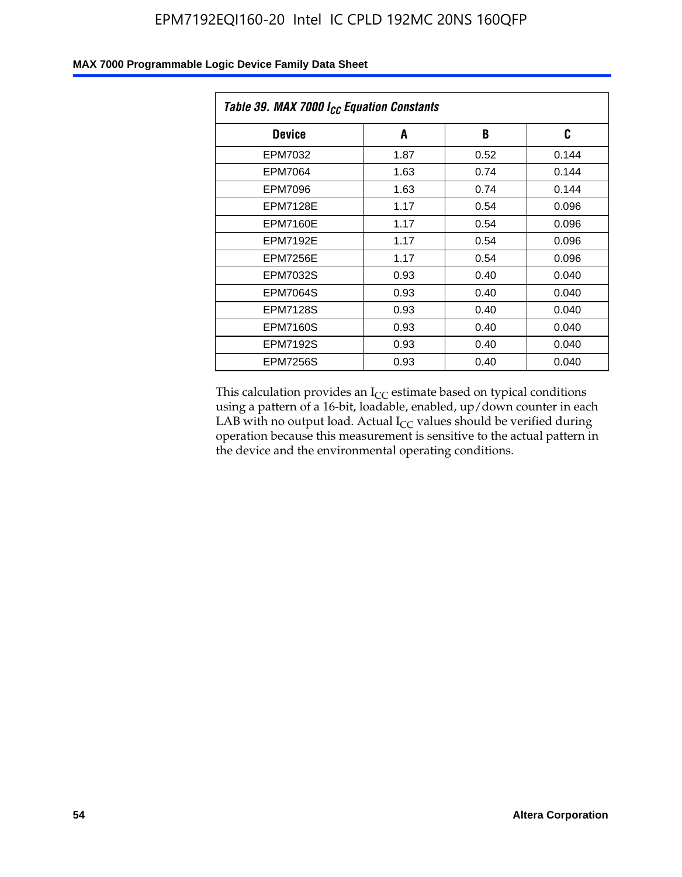| Table 39. MAX 7000 I <sub>CC</sub> Equation Constants |      |      |       |  |  |
|-------------------------------------------------------|------|------|-------|--|--|
| <b>Device</b>                                         | A    | B    | C     |  |  |
| EPM7032                                               | 1.87 | 0.52 | 0.144 |  |  |
| EPM7064                                               | 1.63 | 0.74 | 0.144 |  |  |
| EPM7096                                               | 1.63 | 0.74 | 0.144 |  |  |
| <b>EPM7128E</b>                                       | 1.17 | 0.54 | 0.096 |  |  |
| <b>EPM7160E</b>                                       | 1.17 | 0.54 | 0.096 |  |  |
| <b>EPM7192E</b>                                       | 1.17 | 0.54 | 0.096 |  |  |
| <b>EPM7256E</b>                                       | 1.17 | 0.54 | 0.096 |  |  |
| <b>EPM7032S</b>                                       | 0.93 | 0.40 | 0.040 |  |  |
| <b>EPM7064S</b>                                       | 0.93 | 0.40 | 0.040 |  |  |
| <b>EPM7128S</b>                                       | 0.93 | 0.40 | 0.040 |  |  |
| <b>EPM7160S</b>                                       | 0.93 | 0.40 | 0.040 |  |  |
| <b>EPM7192S</b>                                       | 0.93 | 0.40 | 0.040 |  |  |
| <b>EPM7256S</b>                                       | 0.93 | 0.40 | 0.040 |  |  |

This calculation provides an  $I_{CC}$  estimate based on typical conditions using a pattern of a 16-bit, loadable, enabled, up/down counter in each LAB with no output load. Actual  $I_{CC}$  values should be verified during operation because this measurement is sensitive to the actual pattern in the device and the environmental operating conditions.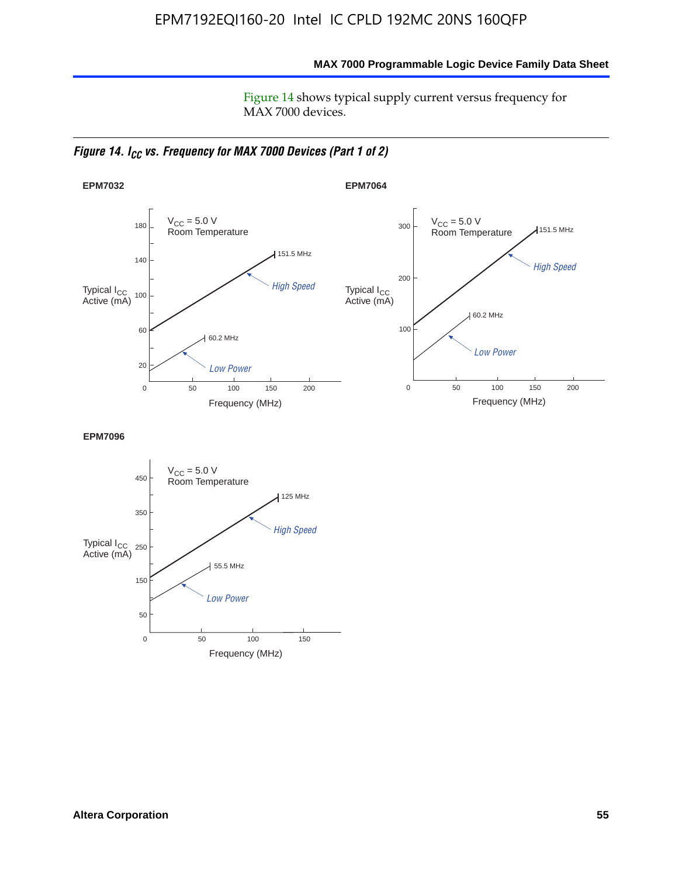**MAX 7000 Programmable Logic Device Family Data Sheet**

Figure 14 shows typical supply current versus frequency for MAX 7000 devices.

*Figure 14. I<sub>CC</sub> vs. Frequency for MAX 7000 Devices (Part 1 of 2)* 



**EPM7096**

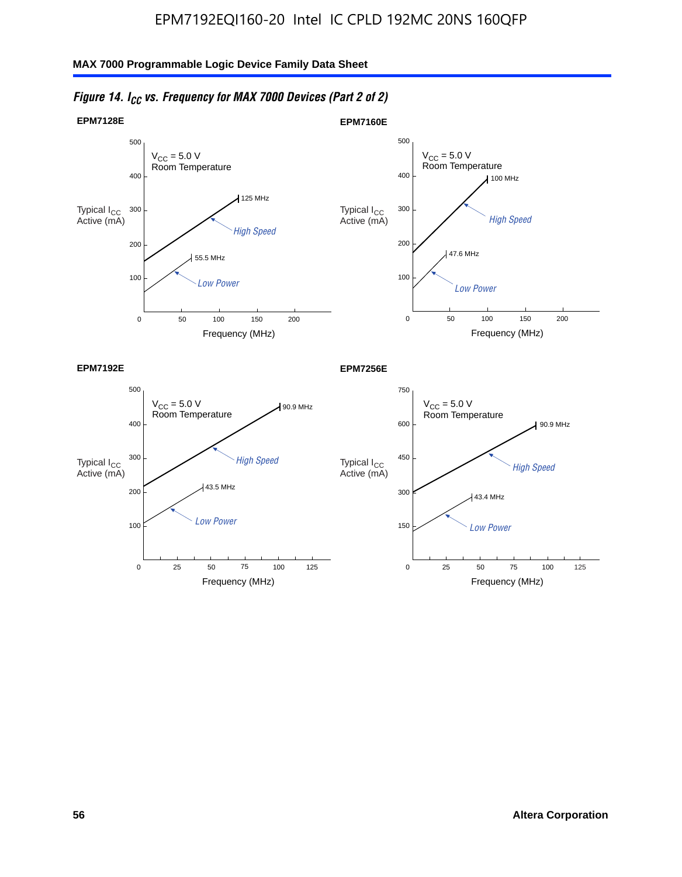

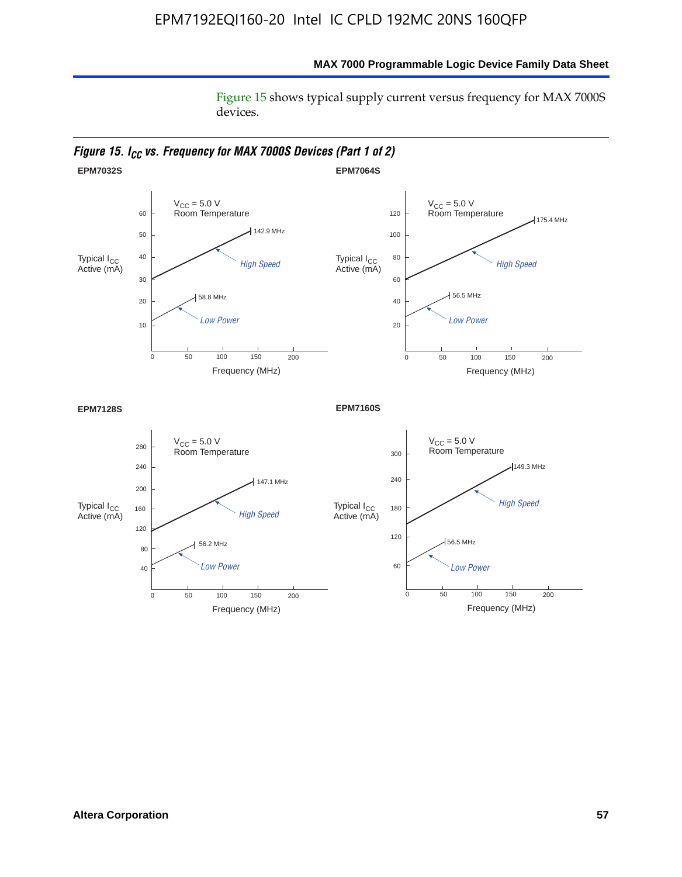Figure 15 shows typical supply current versus frequency for MAX 7000S devices.



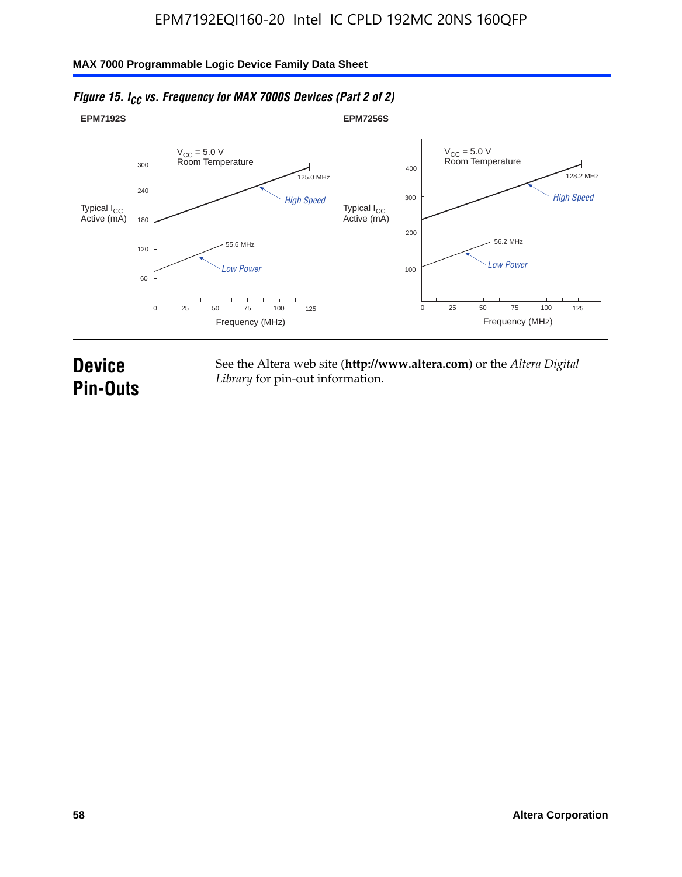#### **EPM7192S** V<sub>CC</sub> = 5.0 V<br>Room Temperature 0 Frequency (MHz) High Speed Low Power 25 100 125 125.0 MHz 55.6 MHz 60 120 180 240 300 50 75 **EPM7256S** V<sub>CC</sub> = 5.0 V<br>Room Temperature 0 Frequency (MHz) High Speed Low Power 25 100 125 128.2 MHz 56.2 MHz 100 200 300 400 50 75 Typical I<sub>CC</sub><br>Active (mA) Typical I<sub>CC</sub> Typical I<sub>CC</sub> Typical I<sub>C</sub> Typical I<sub>C</sub> Typical I<sub>C</sub> Typical I<sub>C</sub> Typical I<sub>C</sub> Typical I<sub>C</sub> Typical I<sub>C</sub> Typical I<sub>C</sub> Typical I<sub>C</sub> Typical I<sub>C</sub> Typical I<sub>C</sub> Typical I<sub>C</sub> Typical I<sub>C</sub> Typical I<sub>C</sub> Typical I<sub>C</sub> Typical I<sub>CC</sub><br>Active (mA)

## *Figure 15. I<sub>CC</sub> vs. Frequency for MAX 7000S Devices (Part 2 of 2)*

## **Device Pin-Outs**

See the Altera web site (**http://www.altera.com**) or the *Altera Digital Library* for pin-out information.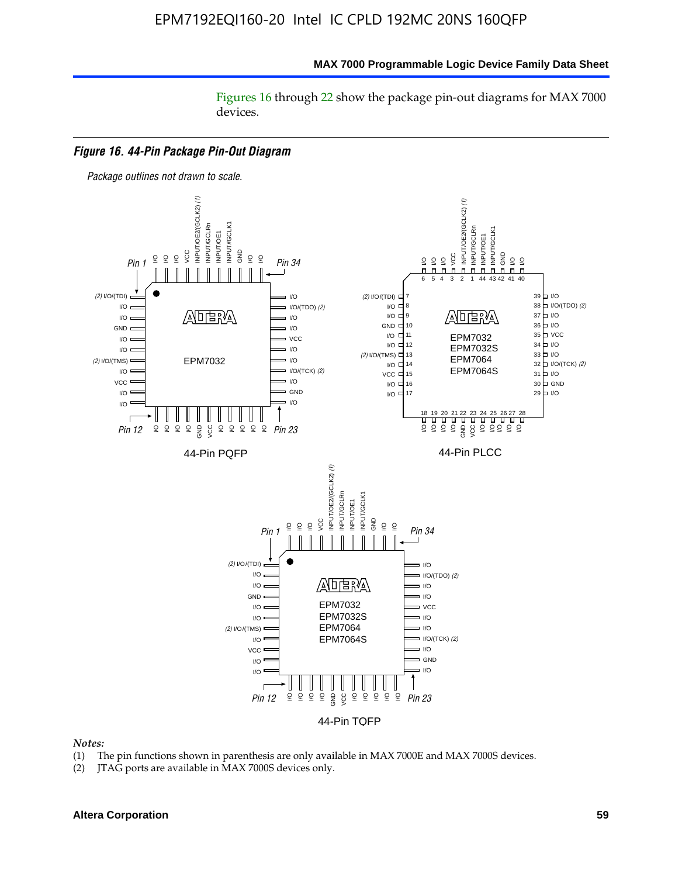Figures 16 through 22 show the package pin-out diagrams for MAX 7000 devices.



#### *Notes:*

- (1) The pin functions shown in parenthesis are only available in MAX 7000E and MAX 7000S devices.
- (2) JTAG ports are available in MAX 7000S devices only.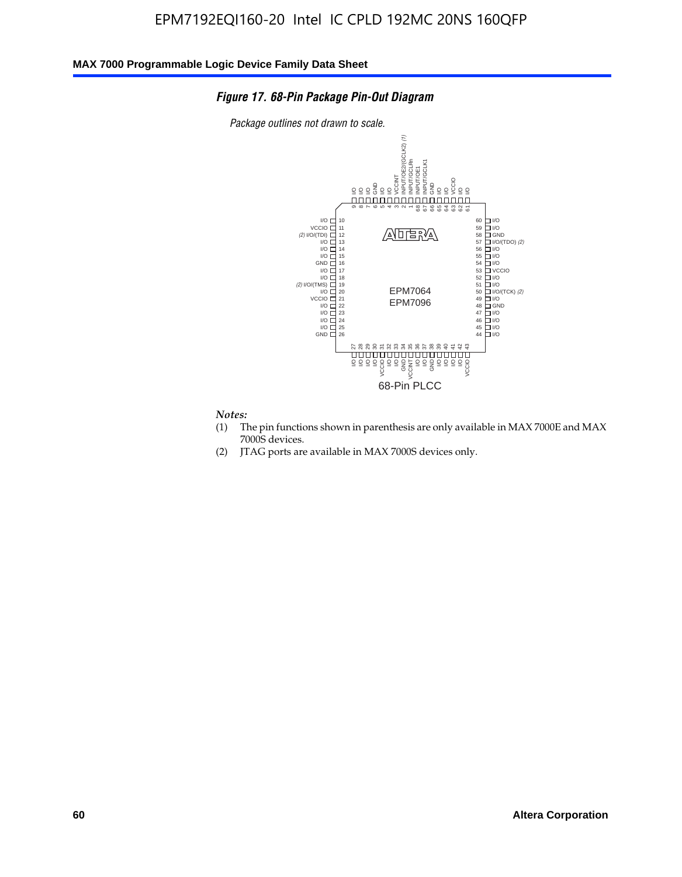### *Figure 17. 68-Pin Package Pin-Out Diagram*

*Package outlines not drawn to scale.*



## *Notes:*<br>(1) T

- The pin functions shown in parenthesis are only available in MAX 7000E and MAX 7000S devices.
- (2) JTAG ports are available in MAX 7000S devices only.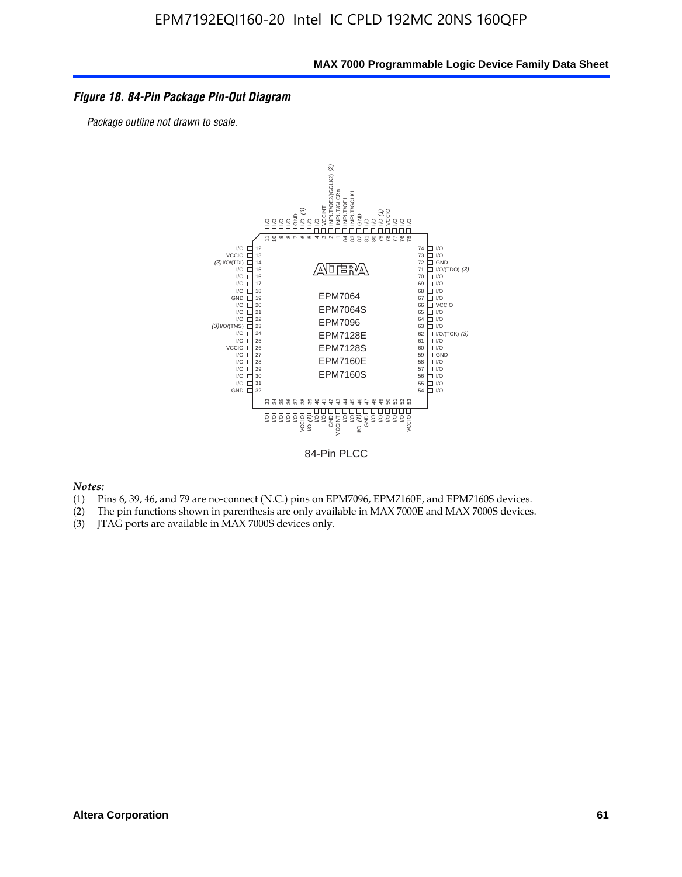### *Figure 18. 84-Pin Package Pin-Out Diagram*

*Package outline not drawn to scale.*



84-Pin PLCC

*Notes:*

- (1) Pins 6, 39, 46, and 79 are no-connect (N.C.) pins on EPM7096, EPM7160E, and EPM7160S devices.
- (2) The pin functions shown in parenthesis are only available in MAX 7000E and MAX 7000S devices.
-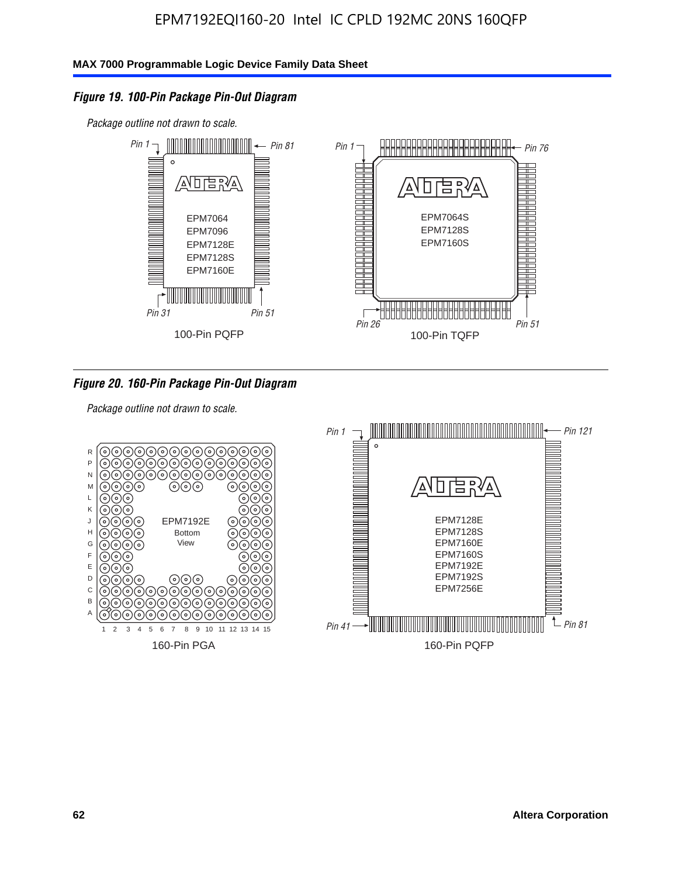## *Figure 19. 100-Pin Package Pin-Out Diagram*

*Package outline not drawn to scale.*



### *Figure 20. 160-Pin Package Pin-Out Diagram*

*Package outline not drawn to scale.*

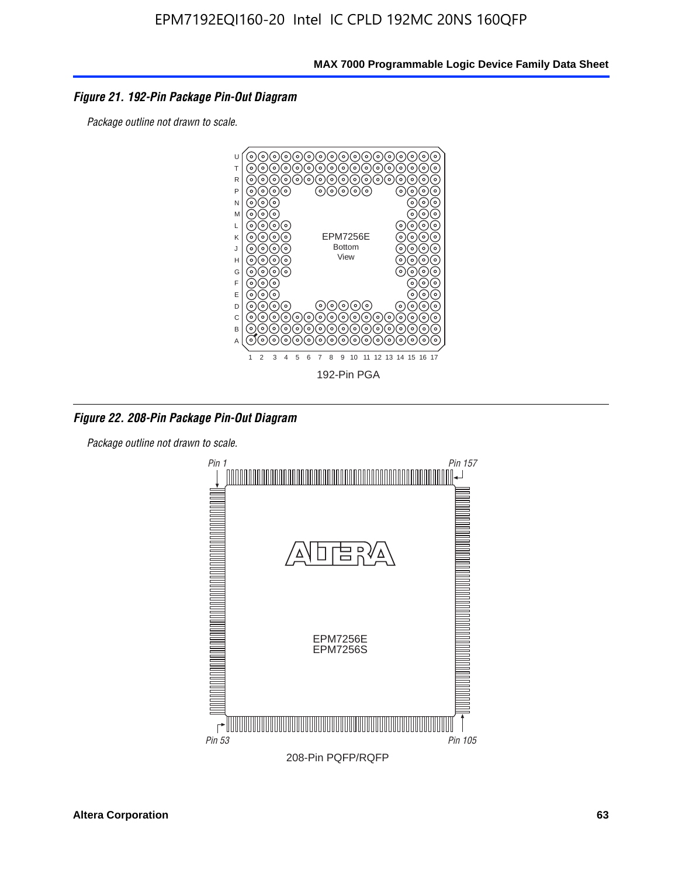### *Figure 21. 192-Pin Package Pin-Out Diagram*

*Package outline not drawn to scale.*



*Figure 22. 208-Pin Package Pin-Out Diagram*

*Package outline not drawn to scale.*

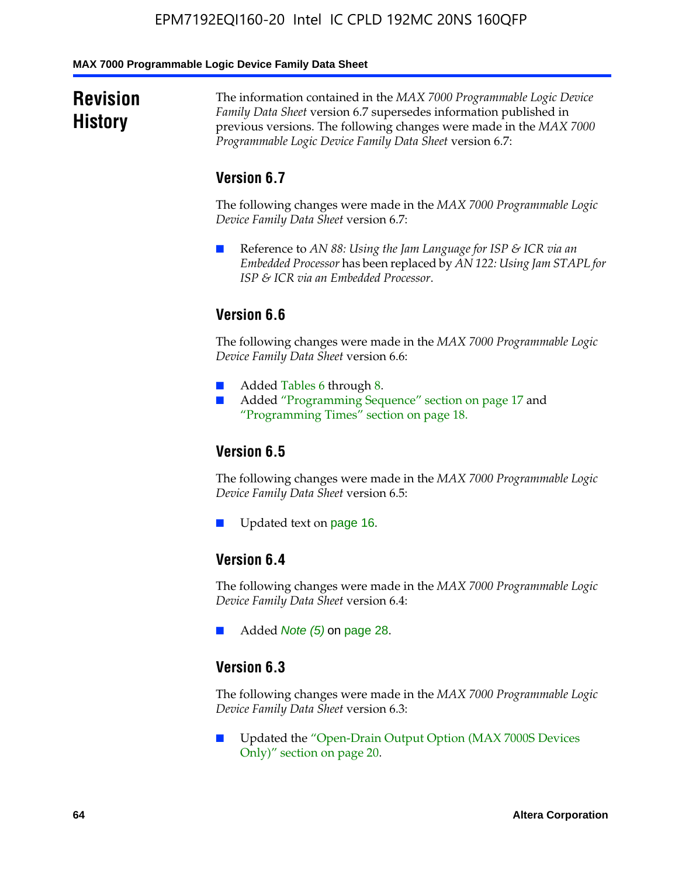#### **MAX 7000 Programmable Logic Device Family Data Sheet**

## **Revision History**

The information contained in the *MAX 7000 Programmable Logic Device Family Data Sheet* version 6.7 supersedes information published in previous versions. The following changes were made in the *MAX 7000 Programmable Logic Device Family Data Sheet* version 6.7:

## **Version 6.7**

The following changes were made in the *MAX 7000 Programmable Logic Device Family Data Sheet* version 6.7:

■ Reference to *AN 88: Using the Jam Language for ISP & ICR via an Embedded Processor* has been replaced by *AN 122: Using Jam STAPL for ISP & ICR via an Embedded Processor*.

## **Version 6.6**

The following changes were made in the *MAX 7000 Programmable Logic Device Family Data Sheet* version 6.6:

- Added Tables 6 through 8.
- Added "Programming Sequence" section on page 17 and "Programming Times" section on page 18.

## **Version 6.5**

The following changes were made in the *MAX 7000 Programmable Logic Device Family Data Sheet* version 6.5:

Updated text on page 16.

## **Version 6.4**

The following changes were made in the *MAX 7000 Programmable Logic Device Family Data Sheet* version 6.4:

■ Added *Note (5)* on page 28.

### **Version 6.3**

The following changes were made in the *MAX 7000 Programmable Logic Device Family Data Sheet* version 6.3:

■ Updated the "Open-Drain Output Option (MAX 7000S Devices Only)" section on page 20.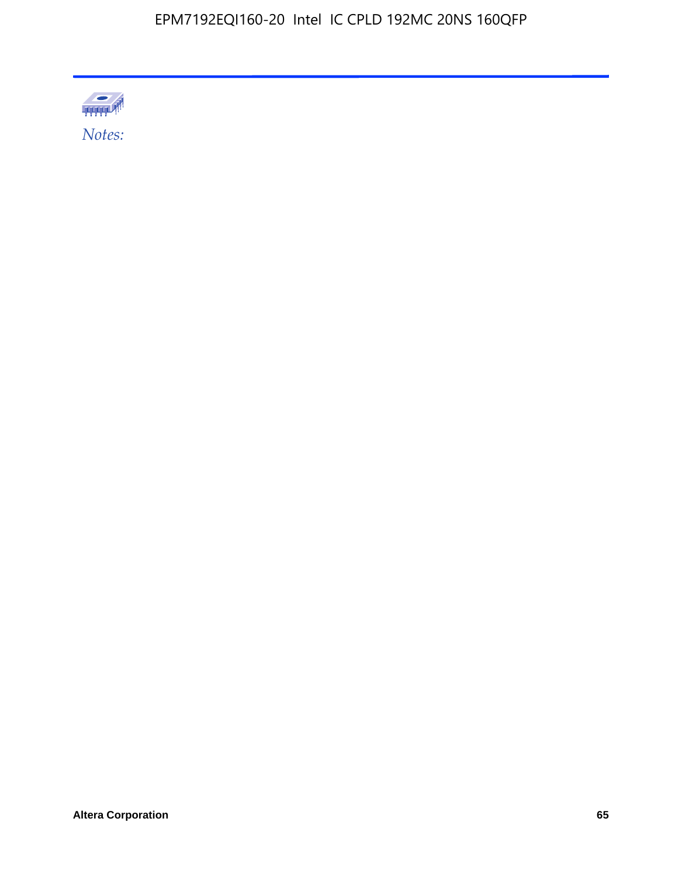

Altera Corporation 65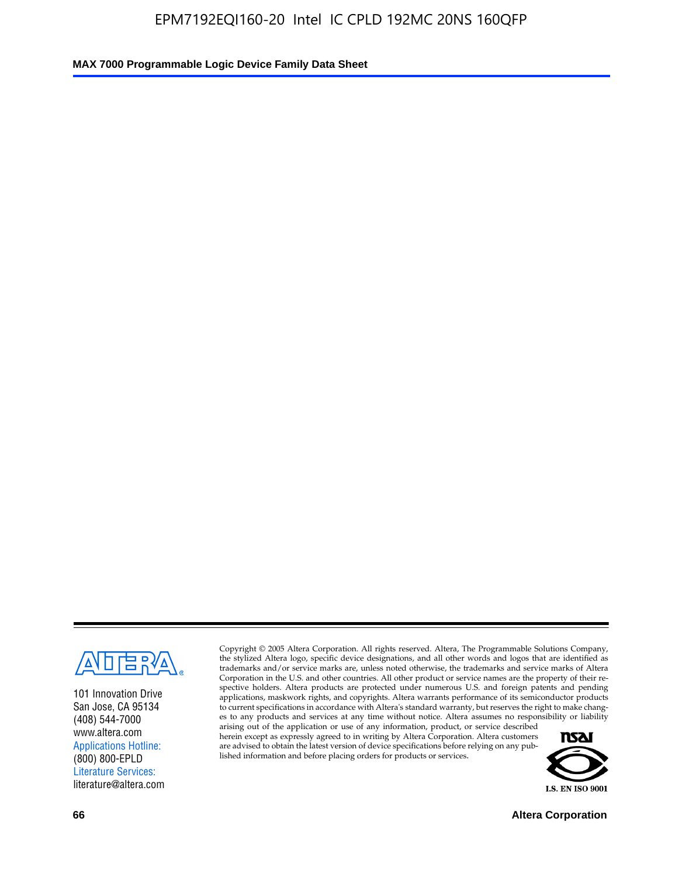

101 Innovation Drive San Jose, CA 95134 (408) 544-7000 www.altera.com Applications Hotline: (800) 800-EPLD Literature Services: literature@altera.com

Copyright © 2005 Altera Corporation. All rights reserved. Altera, The Programmable Solutions Company, the stylized Altera logo, specific device designations, and all other words and logos that are identified as trademarks and/or service marks are, unless noted otherwise, the trademarks and service marks of Altera Corporation in the U.S. and other countries. All other product or service names are the property of their respective holders. Altera products are protected under numerous U.S. and foreign patents and pending applications, maskwork rights, and copyrights. Altera warrants performance of its semiconductor products to current specifications in accordance with Altera's standard warranty, but reserves the right to make changes to any products and services at any time without notice. Altera assumes no responsibility or liability

arising out of the application or use of any information, product, or service described herein except as expressly agreed to in writing by Altera Corporation. Altera customers are advised to obtain the latest version of device specifications before relying on any published information and before placing orders for products or services.



**66 Altera Corporation**